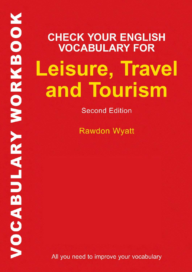# **CHECK YOUR ENGLISH VOCABULARY FOR** Leisure, Travel and Tourism

**Second Edition** 

**Rawdon Wyatt** 

All you need to improve your vocabulary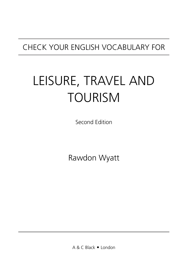# CHECK YOUR ENGLISH VOCABULARY FOR

# LEISURE, TRAVEL AND TOURISM

Second Edition

Rawdon Wyatt

A & C Black • London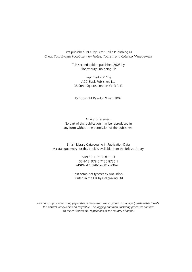First published 1995 by Peter Collin Publishing as *Check Your English Vocabulary for Hotels, Tourism and Catering Management*

> This second edition published 2005 by Bloomsbury Publishing Plc

Reprinted 2007 by A&C Black Publishers Ltd 38 Soho Square, London W1D 3HB

© Copyright Rawdon Wyatt 2007

All rights reserved. No part of this publication may be reproduced in any form without the permission of the publishers.

British Library Cataloguing in Publication Data A catalogue entry for this book is available from the British Library

> ISBN-10 0 7136 8736 3 ISBN-13 978 0 7136 8736 1 eISBN-13: 978-1-4081-0236-7

Text computer typeset by A&C Black Printed in the UK by Caligraving Ltd

*This book is produced using paper that is made from wood grown in managed, sustainable forests. It is natural, renewable and recyclable. The logging and manufacturing processes conform to the environmental regulations of the country of origin.*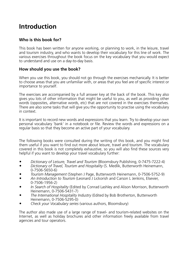### **Introduction**

#### **Who is this book for?**

This book has been written for anyone working, or planning to work, in the leisure, travel and tourism industry, and who wants to develop their vocabulary for this line of work. The various exercises throughout the book focus on the key vocabulary that you would expect to understand and use on a day-to-day basis.

#### **How should you use the book?**

When you use this book, you should not go through the exercises mechanically. It is better to choose areas that you are unfamiliar with, or areas that you feel are of specific interest or importance to yourself.

The exercises are accompanied by a full answer key at the back of the book. This key also gives you lots of other information that might be useful to you, as well as providing other words (opposites, alternative words, etc) that are not covered in the exercises themselves. There are also some tasks that will give you the opportunity to practise using the vocabulary in context.

It is important to record new words and expressions that you learn. Try to develop your own personal vocabulary 'bank' in a notebook or file. Review the words and expressions on a regular basis so that they become an active part of your vocabulary.

The following books were consulted during the writing of this book, and you might find them useful if you want to find out more about leisure, travel and tourism. The vocabulary covered in this book is not completely exhaustive, so you will also find these sources very helpful if you want to develop your travel vocabulary further:

- *Dictionary of Leisure, Travel and Tourism* (Bloomsbury Publishing, 0-7475-7222-4)
- *Dictionary of Travel, Tourism and Hospitality* (S. Medlik, Butterworth Heinemann, 0-7506-5650-6)
- *Tourism Management* (Stephen J Page, Butterworth Heinemann, 0-7506-5752-9)
- *An Introduction to Tourism* (Leonard J Lickorish and Carson L Jenkins, Elsevier, 0-7506-1956-2)
- *In Search of Hospitality* (Edited by Conrad Lashley and Alison Morrison, Butterworth Heinemann, 0-7506-5431-7)
- *The International Hospitality Industry* (Edited by Bob Brotherton, Butterworth Heinemann, 0-7506-5295-0)
- *Check your Vocabulary series* (various authors, Bloomsbury)

The author also made use of a large range of travel- and tourism-related websites on the Internet, as well as holiday brochures and other information freely available from travel agencies and tour operators.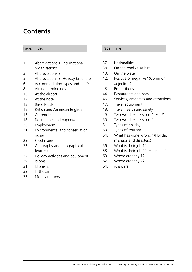### **Contents**

#### Page: Title: Page: Title:

- [1. Abbreviations 1: International](#page-5-0) organisations
- [3. Abbreviations 2](#page-7-0)
- [5. Abbreviations 3: Holiday brochure](#page-9-0)
- [6. Accommodation types and tariffs](#page-10-0)
- [8. Airline terminology](#page-12-0)
- [10. At the airport](#page-14-0)
- [12. At the hotel](#page-16-0)
- [13. Basic foods](#page-17-0)
- [15. British and American English](#page-19-0)
- [16. Currencies](#page-20-0)
- [18. Documents and paperwork](#page-22-0)
- [20. Employment](#page-24-0)
- [21. Environmental and conservation](#page-25-0) issues
- [23. Food issues](#page-27-0)
- [25. Geography and geographical](#page-29-0) features
- [27. Holiday activities and equipment](#page-31-0)
- [29. Idioms 1](#page-33-0)
- [31. Idioms 2](#page-35-0)
- [33. In the air](#page-37-0)
- [35. Money matters](#page-39-0)

- [37. Nationalities](#page-41-0)
- [38. On the road / Car hire](#page-42-0)
- [40. On the water](#page-44-0)
- [42. Positive or negative? \(Common](#page-46-0) adjectives)
- [43. Prepositions](#page-47-0)
- [44. Restaurants and bars](#page-48-0)
- [46. Services, amenities and attractions](#page-50-0)
- [47. Travel equipment](#page-51-0)
- [48. Travel health and safety](#page-52-0)
- [49. Two-word expressions 1: A Z](#page-53-0)
- [50. Two-word expressions 2](#page-54-0)
- [51. Types of holiday](#page-55-0)
- [53. Types of tourism](#page-57-0)
- [54. What has gone wrong? \(Holiday](#page-58-0) mishaps and disasters)
- [56. What is their job 1?](#page-60-0)
- [58. What is their job 2?: Hotel staff](#page-62-0)
- [60. Where are they 1?](#page-64-0)
- [62. Where are they 2?](#page-66-0)
- [64. Answers](#page-68-0)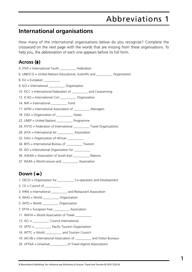### Abbreviations 1

### <span id="page-5-0"></span>**International organisations**

How many of the international organisations below do you recognise? Complete the crossword on the next page with the words that are missing from these organisations. To help you, the abbreviation of each one appears before its full form.

### **Across ()**

- 4. IYHF = International Youth \_\_\_\_\_\_\_\_\_\_ Federation
- 6. UNESCO = United Nations Educational, Scientific and \_\_\_\_\_\_\_\_\_\_ Organization
- 8.  $EU = European$
- 9. ILO = International \_\_\_\_\_\_\_\_\_\_ Organisation
- 10. FICC = International Federation of \_\_\_\_\_\_\_\_\_\_ and Caravanning
- 12. ICAO = International Civil \_\_\_\_\_\_\_\_\_\_ Organization
- 14. IMF = International \_\_\_\_\_\_\_\_\_\_ Fund
- 17. IATM = International Association of \_\_\_\_\_\_\_\_\_\_ Managers
- 18. OAS = Organization of \_\_\_\_\_\_\_\_\_\_ States
- 22. UNEP = United Nations \_\_\_\_\_\_\_\_\_\_ Programme
- 24. FIYTO = Federation of International \_\_\_\_\_\_\_\_\_\_ Travel Organizations
- 28. IATA = International Air \_\_\_\_\_\_\_\_\_\_ Association
- 32. OAU = Organization of African \_\_\_\_\_\_\_\_\_\_
- 34. BITS = International Bureau of \_\_\_\_\_\_\_\_\_\_ Tourism
- 35. ISO = International Organisation for \_\_\_\_\_\_\_\_\_\_
- 36. ASEAN = Association of South-East \_\_\_\_\_\_\_\_\_\_ Nations
- 37. WLRA = World Leisure and \_\_\_\_\_\_\_\_\_\_ Association

### **Down (** $\blacklozenge$ **)**

- 1. OECD = Organisation for Co-operation and Development
- 2.  $CE = Council$  of
- 3. IHRA = International \_\_\_\_\_\_\_\_\_\_ and Restaurant Association
- 4. WHO = World \_\_\_\_\_\_\_\_\_\_ Organization
- 5. WTO = World **Organization**
- 7. EFTA = European Free \_\_\_\_\_\_\_\_\_\_ Association
- 11. WATA = World Association of Travel
- 13. ACI = Council International
- 15. SPTO = \_\_\_\_\_\_\_\_\_\_ Pacific Tourism Organization
- 16. WTTC = World \_\_\_\_\_\_\_\_\_\_ and Tourism Council
- 19. IACVB = International Association of \_\_\_\_\_\_\_\_\_\_ and Visitor Bureaux
- 20. UFTAA = Universal \_\_\_\_\_\_\_\_\_\_ of Travel Agents Associations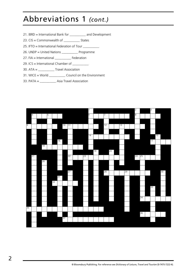### Abbreviations 1 *(cont.)*

- 21. IBRD = International Bank for \_\_\_\_\_\_\_\_\_\_ and Development
- 23. CIS = Commonwealth of \_\_\_\_\_\_\_\_\_\_ States
- 25. IFTO = International Federation of Tour \_\_
- 26. UNDP = United Nations \_\_\_\_\_\_\_\_\_\_ Programme
- 27. FIA = International \_\_\_\_\_\_\_\_\_\_ Federation
- 29. ICS = International Chamber of
- 30. ATA = \_\_\_\_\_\_\_\_\_\_ Travel Association
- 31. WICE = World \_\_\_\_\_\_\_\_\_\_ Council on the Environment
- 33. PATA = \_\_\_\_\_\_\_\_\_\_ Asia Travel Association

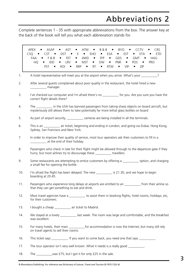# Abbreviations 2

<span id="page-7-0"></span>Complete sentences 1 - 35 with appropriate abbreviations from the box. The answer key at the back of the book will tell you what each abbreviation stands for.

APEX • ASAP • AST • ATM •  $B\&B$  •  $BYO$  •  $CCTV$  •  $CRS$ 

|     | $CSQ$ • $CST$ •<br>DST •<br>E • EHO<br>$\bullet$<br>ESA<br>$\bullet$<br>EST<br>$\bullet$<br>ETA<br>$\bullet$ ETD<br>$\bullet$<br>$\bullet$ FET<br>$\bullet$ 4WD<br><b>FFP</b><br>$\bullet$<br>GDS<br>$\bullet$<br>HAG<br>FAA<br>$\bullet$ F&B<br>GMT •<br>$\bullet$ LRV<br>MST<br>$\bullet$<br>OW<br><b>PNR</b><br>$\bullet$<br>POS •<br><b>PRO</b><br>HQ<br>$\bullet$ IDD<br>$\bullet$<br>$\bullet$<br>ROI<br>$RRP$ $\bullet$<br><b>RTW</b><br><b>VIP</b><br>$\bullet$ ZIP<br><b>PST</b><br><b>RT</b><br>$\bullet$<br>$\bullet$<br>$\bullet$<br>$\bullet$ |  |  |  |  |  |
|-----|------------------------------------------------------------------------------------------------------------------------------------------------------------------------------------------------------------------------------------------------------------------------------------------------------------------------------------------------------------------------------------------------------------------------------------------------------------------------------------------------------------------------------------------------------------|--|--|--|--|--|
| 1.  | A hotel representative will meet you at the airport when you arrive. What's your _________?                                                                                                                                                                                                                                                                                                                                                                                                                                                                |  |  |  |  |  |
| 2.  | After several guests complained about poor quality in the restaurant, the hotel hired a new<br>_________________ manager.                                                                                                                                                                                                                                                                                                                                                                                                                                  |  |  |  |  |  |
| 3.  | I've checked our computer and I'm afraid there's no _____________ for you. Are you sure you have the<br>correct flight details there?                                                                                                                                                                                                                                                                                                                                                                                                                      |  |  |  |  |  |
| 4.  | The ____________ in the USA has banned passengers from taking sharp objects on board aircraft, but<br>mysteriously still allows them to take potentially far more lethal glass bottles on board                                                                                                                                                                                                                                                                                                                                                            |  |  |  |  |  |
| 5.  | As part of airport security, ____________ cameras are being installed in all the terminals.                                                                                                                                                                                                                                                                                                                                                                                                                                                                |  |  |  |  |  |
| 6.  | This is an __________ air ticket, beginning and ending in London, and going via Dubai, Hong Kong,<br>Sydney, San Francisco and New York.                                                                                                                                                                                                                                                                                                                                                                                                                   |  |  |  |  |  |
| 7.  | In order to improve their quality of service, most tour operators ask their customers to fill in a<br>at the end of their holiday.                                                                                                                                                                                                                                                                                                                                                                                                                         |  |  |  |  |  |
| 8.  | Passengers who check in late for their flight might be allowed through to the departure gate if they<br>hurry, but most airlines try to discourage these __________ travellers.                                                                                                                                                                                                                                                                                                                                                                            |  |  |  |  |  |
| 9.  | Some restaurants are attempting to entice customers by offering a ___________ option, and charging<br>a small fee for opening the bottle.                                                                                                                                                                                                                                                                                                                                                                                                                  |  |  |  |  |  |
| 10. | I'm afraid the flight has been delayed. The new ___________ is 21.30, and we hope to begin<br>boarding at 20.45.                                                                                                                                                                                                                                                                                                                                                                                                                                           |  |  |  |  |  |
| 11. | Passengers who experience long delays at airports are entitled to an __________ from their airline so<br>that they can get something to eat and drink.                                                                                                                                                                                                                                                                                                                                                                                                     |  |  |  |  |  |
| 12. | Most travel agencies have a ___________ to assist them in booking flights, hotel rooms, holidays, etc,<br>for their customers.                                                                                                                                                                                                                                                                                                                                                                                                                             |  |  |  |  |  |
| 13. | I bought a cheap _________ air ticket to Madrid.                                                                                                                                                                                                                                                                                                                                                                                                                                                                                                           |  |  |  |  |  |
| 14. | We stayed at a lovely __________ last week. The room was large and comfortable, and the breakfast<br>was excellent.                                                                                                                                                                                                                                                                                                                                                                                                                                        |  |  |  |  |  |
| 15. | For many hotels, their main ____________________for accommodation is now the Internet, but many still rely<br>on travel agents to sell their rooms.                                                                                                                                                                                                                                                                                                                                                                                                        |  |  |  |  |  |
| 16. | This ticket says ____________. If you want to come back, you need one that says ___________.                                                                                                                                                                                                                                                                                                                                                                                                                                                               |  |  |  |  |  |
| 17. | The tour operator isn't very well known. What it needs is a really good _________.                                                                                                                                                                                                                                                                                                                                                                                                                                                                         |  |  |  |  |  |
| 18. | The ______________was £75, but I got it for only £25 in the sale.                                                                                                                                                                                                                                                                                                                                                                                                                                                                                          |  |  |  |  |  |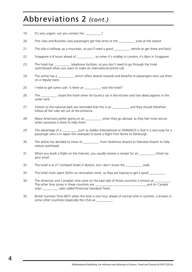### Abbreviations 2 *(cont.)*

- 19. It's very urgent: can you contact her \_\_\_\_\_\_\_\_\_\_?
- 20. First class and Business class passengers get free entry to the suite at the airport.
- 21. The villa is halfway up a mountain, so you'll need a good entirely vehicle to get there and back.
- 22. Singapore is 8 hours ahead of  $\qquad \qquad$ , so when it's midday in London, it's 8pm in Singapore.
- 23. The hotel has telephone facilities, so you don't need to go through the hotel switchboard when you want to make an international phone call.
- 24. The airline has a which offers several rewards and benefits to passengers who use them on a regular basis.
- 25. I need to get some cash. Is there an The art the hotel?
- 26. The closed the hotel when he found a rat in the kitchen and two dead pigeons in the water tank.
- 27. Visitors to the national park are reminded that this is an  $\blacksquare$ , and they should therefore follow all the rules set out at the entrance.
- 28. Many Americans prefer going on an zero when they go abroad, as they feel more secure when someone is there to help them.
- 29. The advantage of a **which as** *Galileo International* or *AMADEUS* is that it is very easy for a passenger who is in Japan (for example) to book a flight from Rome to Edinburgh.
- 30. The airline has decided to move its **the standard from Heathrow Airport to Stansted Airport to help** reduce overheads.
- 31. When you book a flight on the Internet, you usually receive a receipt for an \_\_\_\_\_\_\_\_\_\_-ticket via your email.
- 32. The hotel is at 27 Lombard Street in Boston, but I don't know the \_\_\_\_\_\_\_\_\_\_ code.
- 33. The hotel chain spent \$20m on renovation work, so they are hoping to get a good
- 34. The American and Canadian time zone on the east side of those countries is known as The other time zones in these countries are \_\_\_\_\_\_\_\_\_\_, \_\_\_\_\_\_\_\_\_\_, \_\_\_\_\_\_\_\_\_\_and (in Canada only) \_\_\_\_\_\_\_\_\_\_ (*also called Provincial Standard Time*).
- 35. British Summer Time (BST) when the time is one hour ahead of normal time in summer, is known in some other countries (especially the USA) as  $\qquad \qquad$ .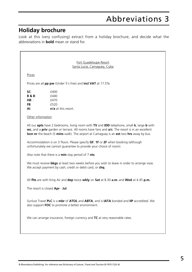# Abbreviations 3

### <span id="page-9-0"></span>**Holiday brochure**

Look at this (very confusing) extract from a holiday brochure, and decide what the abbreviations in **bold** mean or stand for.

|                                             | Fort Guadeloupe Resort                                                                                                                                                                                                                                                                |  |  |  |  |  |  |
|---------------------------------------------|---------------------------------------------------------------------------------------------------------------------------------------------------------------------------------------------------------------------------------------------------------------------------------------|--|--|--|--|--|--|
|                                             | Santa Lucia, Camaguey, Cuba                                                                                                                                                                                                                                                           |  |  |  |  |  |  |
| <b>Prices</b>                               |                                                                                                                                                                                                                                                                                       |  |  |  |  |  |  |
|                                             | Prices are all <b>pp pw</b> (Under 5's free) and <b>incl VAT</b> at 17.5%                                                                                                                                                                                                             |  |  |  |  |  |  |
| SC:<br><b>B&amp;B:</b><br>HB:<br>FB:<br>Al: | £400<br>£440<br>£470<br>£520<br>n/a at this resort.                                                                                                                                                                                                                                   |  |  |  |  |  |  |
| Other information                           |                                                                                                                                                                                                                                                                                       |  |  |  |  |  |  |
|                                             | All our apts have 2 bedrooms, living room with TV and IDD telephone, small k, large b with<br>wc, and a priv garden or terrace. All rooms have fans and a/c. The resort is in an excellent<br>locn nr the beach (5 mins walk). The airport at Camaguey is an est two hrs away by bus. |  |  |  |  |  |  |
|                                             | Accommodation is on 3 floors. Please specify GF, 1F or 2F when booking (although<br>unfortunately we cannot guarantee to provide your choice of room).                                                                                                                                |  |  |  |  |  |  |
|                                             | Also note that there is a <b>min</b> stay period of $7$ nts.                                                                                                                                                                                                                          |  |  |  |  |  |  |
|                                             | We must receive <b>bkgs</b> at least two weeks before you wish to leave in order to arrange visas.<br>We accept payment by cash, credit or debit card, or chq.                                                                                                                        |  |  |  |  |  |  |
|                                             | All fits are with King Air and dep twice wkly on Sat at 8.30 a.m. and Wed at 4.45 p.m.                                                                                                                                                                                                |  |  |  |  |  |  |
|                                             | The resort is closed Apr - Jul.                                                                                                                                                                                                                                                       |  |  |  |  |  |  |
|                                             | Sunlust Travel PLC is a mbr of ATOL and ABTA, and is IATA bonded and IIP accredited. We<br>also support FOC to promote a better environment.                                                                                                                                          |  |  |  |  |  |  |
|                                             | We can arrange insurance, foreign currency and TC at very reasonable rates.                                                                                                                                                                                                           |  |  |  |  |  |  |
|                                             |                                                                                                                                                                                                                                                                                       |  |  |  |  |  |  |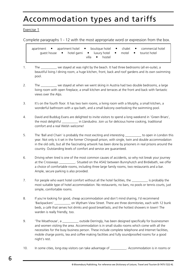# <span id="page-10-0"></span>Accommodation types and tariffs

#### Exercise 1

Complete paragraphs 1 - 12 with the most appropriate word or expression from the box.

| apartment • apartment hotel • boutique hotel • chalet • commercial hotel |                |  |  |
|--------------------------------------------------------------------------|----------------|--|--|
| quest house • hotel garni • luxury hotel • motel • tourist hotel         |                |  |  |
|                                                                          | villa • hostel |  |  |

- 1. The \_\_\_\_\_\_\_\_\_\_ we stayed at was right by the beach. It had three bedrooms (all en-suite), a beautiful living / dining room, a huge kitchen, front, back *and* roof gardens and its own swimming pool.
- 2. The we stayed at when we went skiing in Austria had two double bedrooms, a large living room with open fireplace, a small kitchen and terraces at the front and back with fantastic views over the Alps.
- 3. It's on the fourth floor. It has two twin rooms, a living room with a Murphy, a small kitchen, a wonderful bathroom with a spa bath, and a small balcony overlooking the swimming pool.
- 4. David and Buddug Evans are delighted to invite visitors to spend a long weekend in 'Green Briars', the most delightful \_\_\_\_\_\_\_\_\_\_ in Llandudno. Join us for delicious home cooking, traditional comfort and a real Welsh welcome!
- 5. The 'Ball and Chain' is probably the most exciting and interesting to open in London this year. Not only is it set in the former Chingwall prison, with single, twin and double accommodation in the old cells, but all the fascinating artwork has been done by prisoners in real prisons around the country. Outstanding levels of comfort and service are guaranteed.
- 6. Driving when tired is one of the most common causes of accidents, so why not break your journey at the Crossways \_\_\_\_\_\_\_\_\_\_. Situated on the A542 between Bunnyhutch and Birdiebath, we offer a choice of comfortable rooms, including three large family rooms, two restaurants and a bar. Ample, secure parking is also provided.
- 7. For people who want hotel comfort without all the hotel facilities, the \_\_\_\_\_\_\_\_\_\_ is probably the most suitable type of hotel accommodation. No restaurants, no bars, no pools or tennis courts, just simple, comfortable rooms.
- 8. If you're looking for good, cheap accommodation and don't mind sharing, I'd recommend 'Backpackers' **Example 2** on Wytham View Street. There are three dormitories, each with 12 bunk beds, a café that serves hot drinks and good breakfasts, and the hottest showers in town! The warden is really friendly, too.
- 9. 'The Moathouse', a coutside Derringly, has been designed specifically for businessmen and women visiting the area. Accommodation is in small studio rooms which come with all the necessities for the busy business person. These include complete telephone and Internet facilities, mobile charge points, tea and coffee making facilities and fully soundproofed rooms for a good night's rest.
- 10. In some cities, long-stay visitors can take advantage of \_\_\_\_\_\_\_\_\_\_. Accommodation is in rooms or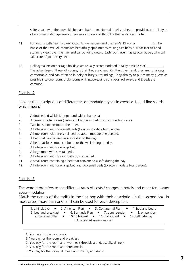suites, each with their own kitchen and bathroom. Normal hotel services are provided, but this type of accommodation generally offers more space and flexibility than a standard hotel.

- 11. For visitors with healthy bank accounts, we recommend the Tam'al Dhobi, a Theory on the banks of the river. All rooms are beautifully appointed with king size beds, full bar facilities and stunning views over the river and surrounding desert. Each room even has its own butler, who will take care of your every need.
- 12. Holidaymakers on package holidays are usually accommodated in fairly basic (2-star) The advantage of these, of course, is that they are cheap. On the other hand, they are not always comfortable, and can often be in noisy or busy surroundings. They also try to put as many guests as possible into one room: triple rooms with space-saving sofa beds, rollaways and Z-beds are common.

#### Exercise 2

Look at the descriptions of different accommodation types in exercise 1, and find words which mean:

- 1. A double bed which is longer and wider than usual.
- 2. A series of hotel rooms (bedroom, living room, etc) with connecting doors.
- 3. Two beds, one on top of the other.
- 4. A hotel room with two small beds (to accommodate two people).
- 5. A hotel room with one small bed (to accommodate one person).
- 6. A bed that can be used as a sofa during the day.
- 7. A bed that folds into a cupboard or the wall during the day.
- 8. A hotel room with one large bed.
- 9. A large room with several beds.
- 10. A hotel room with its own bathroom attached.
- 11. A small room containing a bed that converts to a sofa during the day.
- 12. A hotel room with one large bed and two small beds (to accommodate four people).

#### Exercise 3

The word *tariff* refers to the different rates of costs / charges in hotels and other temporary accommodation.

Match the names of the tariffs in the first box with their description in the second box. In most cases, more than one tariff can be used for each description.

|                            | 1. all-inclusive • 2. American Plan • 3. Continental Plan • 4. bed and board                     |  |
|----------------------------|--------------------------------------------------------------------------------------------------|--|
|                            | 5. bed and breakfast $\bullet$ 6. Bermuda Plan $\bullet$ 7. demi-pension $\bullet$ 8. en pension |  |
|                            | 9. European Plan • 10. full-board • 11. half-board • 12. self catering                           |  |
| 13. Modified American Plan |                                                                                                  |  |

- A. You pay for the room only.
- B. You pay for the room and breakfast
- C. You pay for the room and two meals (breakfast and, usually, dinner)
- D. You pay for the room and three meals.
- E. You pay for the room, all meals and snacks, and drinks.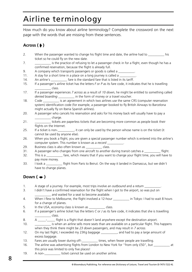# <span id="page-12-0"></span>Airline terminology

How much do you know about airline terminology? Complete the crossword on the next page with the words that are missing from these sentences.

### **Across ( )**

- 2. When the passenger wanted to change his flight time and date, the airline had to \_\_\_\_\_\_\_\_\_\_\_ his ticket so he could fly on the new date.
- 7. \_\_\_\_\_\_\_\_\_\_ is the practice of refusing to let a passenger check in for a flight, even though he has a confirmed reservation, because the flight is already full.
- 9. A company which transports passengers or goods is called a \_\_\_\_\_\_\_\_\_.
- 11. A stay for a short time in a place on a long journey is called a \_\_\_\_\_\_\_\_\_\_\_
- 14. An airline's fare is the standard fare that is listed in its tariff.
- 15. If a passenger's airline ticket has the letters *F* or *P* as its fare code, it indicates that he is travelling \_\_\_\_\_\_\_\_\_\_ class.
- 17. If a passenger experiences *7 across* as a result of *10 down*, he might be entitled to something called *denied boarding* \_\_\_\_\_\_\_\_\_\_ in the form of money or a travel voucher.
- 18. Code is an agreement in which two airlines use the same CRS (computer reservation system) identification code (for example, a passenger booked to fly British Airways to Barcelona might actually fly on Iberia Spanish airlines).
- 20. A passenger who cancels his reservation and asks for his money back will usually have to pay a \_\_\_\_\_\_\_\_\_\_ charge.
- 21. \_\_\_\_\_\_\_\_\_\_\_ tickets are paperless tickets that are becoming more common as people book their flights on the Internet.
- 25. If a ticket is non-<br>
If a ticket (it is nonighthall can only be used by the person whose name is on the ticket (it cannot be used by anyone else).
- 26. When you book a flight, you are given a special passenger number which is entered into the airline's computer system. This number is known as a *record* \_\_\_\_\_\_\_\_\_\_.
- 29. Business class is also often known as **Example 29.** class.
- 31. A passenger who changes from one aircraft to another during transit catches a \_\_\_\_\_\_\_\_\_\_ flight.
- 32. This is a \_\_\_\_\_\_\_\_\_\_ fare, which means that if you want to change your flight time, you will have to pay more money.
- 33. I took a \_\_\_\_\_\_\_\_\_\_ flight from Paris to Beirut. On the way it landed in Damascus, but we didn't have to change planes.

### **Down (**  $\rightarrow$  **)**

- 1. A stage of a journey. For example, most trips involve an *outbound* and a *return* \_\_\_\_\_\_\_\_\_\_.
- 3. I didn't have a confirmed reservation for the flight when I got to the airport, so was put on and waited for a seat to become available.
- 4. When I flew to Melbourne, the flight involved a 12-hour \_\_\_\_\_\_\_\_\_\_ in Tokyo: I had to wait 8 hours for a change of planes.
- 5. In the USA, economy class is known as \_\_\_\_\_\_\_\_\_\_ class.
- 6. If a passenger's airline ticket has the letters *C* or *J* as its fare code, it indicates that she is travelling \_\_\_\_\_\_\_\_\_\_ class.
- 8. A \_\_\_\_\_-\_\_\_\_\_ flight is a flight that doesn't land anywhere except the destination airport.
- 10. \_\_\_\_\_\_\_\_\_\_ is when an airline sells more seats than are available on a particular flight. This happens when they think there might be *23 down* passengers, and may result in *7 across*.
- 12. On my last flight, I exceeded my 23Kg baggage \_\_\_\_\_\_\_\_\_, and had to pay a large amount of excess baggage.
- 13. Fares are usually lower during off-\_\_\_\_\_\_\_\_\_\_\_ times, when fewer people are travelling.
- 16. The airline was advertising flights from London to New York for "from only £50", but \_\_\_\_\_\_\_\_\_\_ at this price was limited to only five places!
- 19. A non-\_\_\_\_\_\_\_\_\_\_ ticket cannot be used on another airline.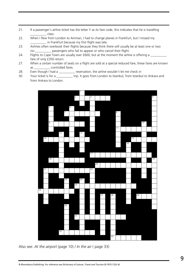- 21. If a passenger's airline ticket has the letter Y as its fare code, this indicates that he is travelling \_\_\_\_\_\_\_\_\_\_ class.
- 22. When I flew from London to Amman, I had to change planes in Frankfurt, but I missed my in Frankfurt because my first flight was late.
- 23. Airlines often overbook their flights because they think there will usually be at least one or two no-\_\_\_\_\_\_\_\_\_\_ passengers who fail to appear or who cancel their flight.
- 24. Flights to Cape Town are usually over  $£600$ , but at the moment the airline is offering a fare of only £350 return.
- 27. When a certain number of seats on a flight are sold at a special reduced fare, these fares are known as \_\_\_\_\_\_\_\_\_\_-controlled fares.
- 28. Even though I had a \_\_\_\_\_\_\_\_\_\_ reservation, the airline wouldn't let me check in
- 30. Your ticket is for a \_\_\_\_\_\_\_\_\_\_ trip. It goes from London to Istanbul, from Istanbul to Ankara and from Ankara to London.



Also see: *At the airport* (page 10) / *In the air* ( page 33)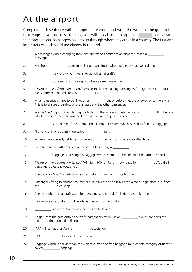# <span id="page-14-0"></span>At the airport

Complete each sentence with an appropriate word, and write the words in the grid on the next page. If you do this correctly, you will reveal something in the shaded vertical strip that international passengers have to go through when they arrive in a country. The first and last letters of each word are already in the grid.

- 1. A passenger who is changing from one aircraft to another at an airport is called a passenger.
- 2. An airport is a main building at an airport where passengers arrive and depart.
- 3. \_\_\_\_\_\_\_\_\_\_ is a word which means 'to get off an aircraft'.
- 4. **\_\_\_\_\_\_\_\_\_** is the section of an airport where passengers arrive.
- 5. (*Heard on the information tannoy*) 'Would the last remaining passengers for flight BA631 to Basel please proceed immediately to \_\_\_\_\_\_\_\_\_\_ 14.'
- 6. All air passengers have to go through a \_\_\_\_\_\_\_\_\_\_ check before they are allowed onto the aircraft. This is to ensure the safety of the aircraft and the other passengers.
- 7. A *scheduled* flight is a regular flight which is in the airline's timetable, and a Thight is one which has been specially arranged for a particular group or purpose.
- 8. \_\_\_\_\_\_\_\_\_\_\_\_\_ is the name of the international computer system which is used to find lost baggage.
- 9. Flights within one country are called \_\_\_\_\_\_\_\_\_\_ flights.
- 10. Airlines have specially set times for taking off from an airport. These are called time \_\_\_\_\_\_\_\_\_\_.
- 11. Each time an aircraft arrives at an airport, it has to pay a state fee.
- 12. \_\_\_\_\_\_\_\_\_\_ baggage is passenger's baggage which is put into the aircraft's hold after he checks in.
- 13. (*Heard on the information tannoy*) 'AF flight 100 for Paris is now ready for \_\_\_\_\_\_\_\_\_\_. Would all passengers please proceed to …….'
- 14. The track, or 'road' on which an aircraft takes off and lands is called the \_\_\_\_\_\_\_\_\_.
- 15. Passengers flying to another country are usually entitled to buy cheap alcohol, cigarettes, etc, from the the free shop.
- 16. The area where an aircraft waits for passengers, is loaded, fuelled, etc, is called the \_\_\_\_\_\_\_\_\_.
- 17. Before an aircraft takes off, it needs permission from air traffic
- 18. **\_\_\_\_\_\_\_\_\_** is a word that means 'permission to take off'.
- 19. To get from the gate onto an aircraft, passengers often use an \_\_\_\_\_\_\_\_\_\_, which connects the aircraft to the terminal building.
- 20. IAPA = International Airline Association.
- 21. FAA = Aviation Administration.
- 22. Baggage which is heavier than the weight allowed as free baggage for a certain category of ticket is called \_\_\_\_\_\_\_\_\_\_ baggage.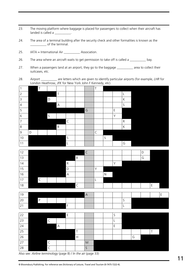- 23. The moving platform where baggage is placed for passengers to collect when their aircraft has landed is called a \_\_\_\_\_\_\_\_\_\_\_.
- 24. The area of a terminal building after the security check and other formalities is known as the of the terminal.
- 25. IATA = International Air \_\_\_\_\_\_\_\_\_\_ Association.
- 26. The area where an aircraft waits to get permission to take off is called a \_\_\_\_\_\_\_\_\_ bay.
- 27. When a passengers land at an airport, they go to the baggage \_\_\_\_\_\_\_\_\_ area to collect their suitcases, etc.
- 28. Airport \_\_\_\_\_\_\_\_\_\_ are letters which are given to identify particular airports (for example, *LHR* for London Heathrow, *JFK* for New York John F Kennedy, etc).



| 12                       |           |  |              |   |  |   |  |   |  |
|--------------------------|-----------|--|--------------|---|--|---|--|---|--|
| 13                       |           |  |              | B |  |   |  | G |  |
| 14                       |           |  | $\mathsf{R}$ |   |  |   |  |   |  |
| 15                       |           |  | D            |   |  |   |  |   |  |
| 16                       |           |  | Α            |   |  | Ν |  |   |  |
| $\overline{\phantom{0}}$ | $\subset$ |  |              |   |  |   |  |   |  |
| 18                       |           |  |              |   |  |   |  |   |  |



| 22 |   |   | Е |   |   |  |   |   |           |
|----|---|---|---|---|---|--|---|---|-----------|
| 23 | ╰ |   |   |   |   |  |   |   |           |
| 24 |   | А |   |   |   |  | - |   |           |
| 25 |   |   |   |   |   |  |   |   | $\mathbf$ |
| 26 |   |   |   | H |   |  |   | G |           |
| 27 |   |   |   |   | M |  |   |   |           |
| 28 |   |   |   |   |   |  |   |   |           |

Also see: *Airline terminology* (page 8) / *In the air* (page 33)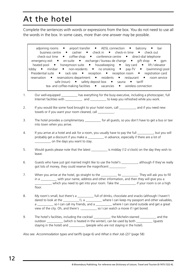# <span id="page-16-0"></span>At the hotel

Complete the sentences with words or expressions from the box. You do not need to use all the words in the box. In some cases, more than one answer may be possible.

adjoining rooms • airport transfer • ADSL connection • balcony • bar business centre • cashier • check in • check-in time • check out check-out time • coffee shop • conference centre • direct-dial telephone emergency exit • en-suite • exchange / bureau de change • gift shop • gym heated pool • honeymoon suite • housekeeping • key card • lift / elevator<br>bby • minibar • non-residents • no smoking • pav-TV • (swimmina) pc  $\bullet$  minibar • non-residents • no smoking • pay-TV • (swimming) pool Presidential suite • rack rate • reception • reception room • registration card reservation • reservations department • residents • restaurant • room service safe (noun) • safety deposit box • sauna • tariff tea- and coffee-making facilities • vacancies • wireless connection

- 1. Our well-equipped \_\_\_\_\_\_\_\_\_ has everything for the busy executive, including a photocopier, full Internet facilities with \_\_\_\_\_\_\_\_\_\_, and \_\_\_\_\_\_\_\_\_\_ to keep you refreshed while you work.
- 2. If you would like some food brought to your hotel room, call same and if you need new towels or if you want your room cleaned, call
- 3. The hotel provides a complimentary \_\_\_\_\_\_\_\_\_ for all quests, so you don't have to get a bus or taxi into town when you arrive.
- 4. If you arrive at a hotel and ask for a room, you usually have to pay the full electron put you will probably get a discount if you make a \_\_\_\_\_\_\_\_ in advance, especially if there are a lot of \_\_\_\_\_\_\_\_\_\_ on the days you want to stay.
- 5. Would guests please note that the latest \_\_\_\_\_\_\_\_\_\_ is midday (12 o'clock) on the day they wish to leave.
- 6. Guests who have just got married might like to use the hotel's \_\_\_\_\_\_\_\_\_\_, although if they've really got lots of money, they could reserve the magnificent \_\_\_\_\_\_\_\_\_\_
- 7. When you arrive at the hotel, go straight to the \_\_\_\_\_\_\_\_\_\_ to \_\_\_\_\_\_\_\_\_. They will ask you to fill in a with your name, address and other information, and then they will give you a \_\_\_\_\_\_\_\_\_\_, which you need to get into your room. Take the \_\_\_\_\_\_\_\_\_\_ if your room is on a high floor.
- 8. My room's small, but there's a \_\_\_\_\_\_\_\_\_\_ full of drinks, chocolate and snacks (although I haven't dared to look at the \_\_\_\_\_\_\_\_\_\_\_!), a \_\_\_\_\_\_\_\_\_\_ where I can keep my passport and other valuables, a \_\_\_\_\_\_\_\_\_\_ so I can call my friends, and a \_\_\_\_\_\_\_\_\_\_\_ where I can stand outside and get a great view of the city. Oh, and there's \_\_\_\_\_\_\_\_\_\_ so I can watch a movie if I get bored.
- 9. The hotel's facilities, including the cocktail \_\_\_\_\_\_\_\_\_\_, the Michelin-starred \_\_\_\_\_\_\_\_\_\_\_ and the outdoor entirely include (which is heated in the winter), can be used by both the sum of the virtual of the virtual of the virtual of the virtual of the virtual of the virtual of the virtual of the virtual of the virtual o staying in the hotel) and (people who are not staying in the hotel).

Also see: *Accommodation types and tariffs* (page 6) and *What is their Job (2)?* (page 58)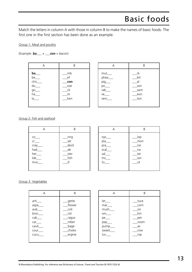# Basic foods

<span id="page-17-0"></span>Match the letters in column A with those in column B to make the names of basic foods. The first one in the first section has been done as an example.

Group 1: Meat and poultry

(Example: *ba*\_\_\_ + \_\_\_*con* = *bacon*)



| mut     | rk   |
|---------|------|
| phea___ | bit  |
| pig___  | al   |
|         | son  |
| rab     | sant |
| ve_     | eon  |
| veni    | ton  |

#### Group 2: Fish and seafood

| Α                                                                                                          | B                                               | Α                                                                                                      | B                                                 |
|------------------------------------------------------------------------------------------------------------|-------------------------------------------------|--------------------------------------------------------------------------------------------------------|---------------------------------------------------|
| $CO_{\_\_\_\_\_}$<br>$cr_{\perp}$<br>$cray$ <sub>____</sub><br>$had_{\_\_\_\_}$<br>$\mathsf{lob}\_$<br>mus | $\_ring$<br>sel<br>_dock<br>ab<br>_ster<br>fish | $OYS$ <sub>____</sub><br>pla___<br>pra___<br>$scal$ <sub>___</sub><br>sal<br>$\mathsf{tro}_{\_}$<br>tu | _lop<br>_mon<br>ice<br>na<br>$_t$ ter<br>wn<br>ut |

### \_\_\_lop \_\_\_mon \_\_\_ice \_\_\_na ter \_\_\_wn  $u$ t

#### Group 3: Vegetables

| Д       | R      |
|---------|--------|
| arti    | gette  |
| aspa___ | flower |
| aub     | coli   |
| broc    | rot    |
| cab     | ragus  |
| car     | mber   |
| cauli   | bage   |
| cour    | choke  |
| cucu    | ergine |

| А | B                                                                            | Α                                                                                             | B                                                             |
|---|------------------------------------------------------------------------------|-----------------------------------------------------------------------------------------------|---------------------------------------------------------------|
|   | gette<br>flower<br>coli<br>rot<br>_ragus<br>mber<br>bage<br>choke<br>_ergine | let<br>mar<br>mush_<br>oni<br>$pe$ <sub>___</sub><br>pep___<br>pump___<br>sweet____<br>tur___ | _tuce<br>corn<br>on<br>kin<br>per<br>room<br>as<br>row<br>nip |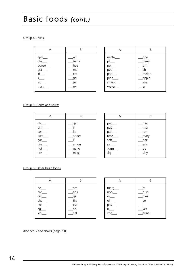## Basic foods *(cont.)*

#### Group 4: Fruits

|                      | R     |
|----------------------|-------|
| apri___              | wi    |
| che                  | berry |
| goose_               | hee   |
| $gra$ <sub>___</sub> | me    |
| ki                   | cot   |
| li -                 | .go   |
| lyc.                 | pe    |
| man_                 | rry   |

| necta_ | rine   |
|--------|--------|
| pl     | berry  |
| pe__   | um     |
| pea_   | ch     |
| pap_   | melon  |
| pine_  | _apple |
| straw_ | aya    |
| water_ | ar     |

#### Group 5: Herbs and spices

| Д      | R     |
|--------|-------|
| chi_   | ger   |
| cinn   | in    |
| cori_  | lic   |
| cum    | ander |
| gar___ | lli   |
| gin    | amon  |
| $nut_$ | gano  |
| ore    | meg   |

|                     | B                             |
|---------------------|-------------------------------|
| $pep$ ____          | me                            |
| pap___              | rika                          |
| par <sub>____</sub> | ron                           |
| rose                | mary                          |
| saff_               | per                           |
| $sa$ <sub>—</sub>   | eric                          |
| turm_               | ge                            |
| thy                 | $\overline{\phantom{a}}$ sley |

#### Group 6: Other basic foods

| $be_{-}$             | am   |
|----------------------|------|
| $bre_{\_}$           | ans  |
| $cer$ <sub>___</sub> | gs   |
| $che_$               | tils |
| $cre_$               | ese  |
| eg_                  | ad   |
| len                  | eal  |

| marg             | ta    |
|------------------|-------|
| noo              | hurt  |
| $0^{\mathsf{i}}$ | dles  |
| oli              | ce    |
| pas_             | ves   |
| ri               | arine |

Also see: *Food issues* (page 23)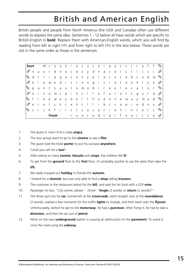### British and American English

<span id="page-19-0"></span>British people and people from North America (the USA and Canada) often use different words to express the same idea. Sentences 1 - 12 below all have words which are specific to British-English in **bold**. Replace them with American-English words, which you will find by reading from left to right  $(\Rightarrow)$  and from right to left  $(\Leftarrow)$  in the box below. These words are not in the same order as those in the sentences.

|  | <b>Start</b> $\Rightarrow$ cookies over pass traff $\Rightarrow$                                                                 |  |  |  |  |  |  |  |                                 |  |  |                |
|--|----------------------------------------------------------------------------------------------------------------------------------|--|--|--|--|--|--|--|---------------------------------|--|--|----------------|
|  | $ \mathcal{F}$ nu ord no cesy d na cel cricci $\mathcal{F}$                                                                      |  |  |  |  |  |  |  |                                 |  |  |                |
|  | $ \mathfrak{B}\rangle$ dtrip gasan yplace cabs ubw $\mathfrak{B}\rangle$                                                         |  |  |  |  |  |  |  |                                 |  |  |                |
|  | $ \mathcal{F}$ klawed is langis retaehty a $\mathcal{F}$                                                                         |  |  |  |  |  |  |  |                                 |  |  |                |
|  | $ \hspace{-.02in}\backslash\hspace{-.1in} \rangle$ pants automobile elevator $\hspace{-.1in}\backslash\hspace{-.1in} \mathbb{D}$ |  |  |  |  |  |  |  |                                 |  |  |                |
|  | $ \mathcal{F}$ eivomspihcllaferotsgurd $\mathcal{F}$                                                                             |  |  |  |  |  |  |  |                                 |  |  |                |
|  | $ \mathbb{Q}$ freeway bell hoponeway mad $\mathbb{Q}$                                                                            |  |  |  |  |  |  |  |                                 |  |  |                |
|  | $ \mathcal{F}$ erotsk cehc II i bssapred nu $\mathcal{F}$                                                                        |  |  |  |  |  |  |  |                                 |  |  |                |
|  | $ \mathbb{Q}$ sick first vacation inters $\mathbb{Q}$                                                                            |  |  |  |  |  |  |  |                                 |  |  |                |
|  |                                                                                                                                  |  |  |  |  |  |  |  | <b>Finish</b> ruoted talfnoitce |  |  | $\mathscr P$ . |

- 1. The guest in room 314 is really **angry**.
- 2. The tour group want to go to the **cinema** to see a **film**.
- 3. The guest told the hotel **porter** to put his suitcase **anywhere**.
- 4. Could you call me a **taxi**?
- 5. After eating so many **sweets**, **biscuits** and **crisps**, the children felt **ill**.
- 6. To get from the **ground** floor to the **first** floor, it's probably quicker to use the stairs than take the **lift**.
- 7. We really enjoyed our **holiday** in Florida this **autumn**.
- 8. I looked for a **chemist**, but was only able to find a **shop** selling **trousers**.
- 9. The customer in the restaurant asked for the **bill**, and paid for his food with a £20 **note**.
- 10. *Passenger on bus*: "City centre, please". *Driver*: "**Single** (2 words) or **return** (2 words)?"
- 11. The driver got into his **car**, turned left at the **crossroads**, went straight over at the **roundabout** (2 words), waited a few moments for the traffic **lights** to change, and then went over the **flyover**. Unfortunately, before he got to the **motorway**, he had a **puncture**. After fixing it, he had to take a **diversion**, and then he ran out of **petrol**.
- 12. Work on the new **underground** station is causing an obstruction on the **pavement**. To avoid it, cross the road using the **subway**.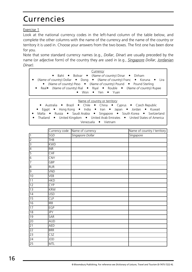### <span id="page-20-0"></span>Currencies

Exercise 1

Look at the national currency codes in the left-hand column of the table below, and complete the other columns with the name of the currency and the name of the country or territory it is used in. Choose your answers from the two boxes. The first one has been done for you.

Note that some standard currency names (e.g., *Dollar*, *Dinar*) are usually preceded by the name (or adjective form) of the country they are used in (e.g., *Singapore Dollar*, *Jordanian Dinar)*.

| Currency:<br>• Baht • Bolivar • (Name of country) Dinar • Dirham<br>(Name of country) Dollar • Dong • (Name of country) Franc • Koruna • Lira<br>• (Name of country) Peso • (Name of country) Pound • Pound Sterling<br>• Real • (Name of country) Rial • Riyal • Rouble • (Name of country) Rupee<br>• Won • Yen • Yuan |
|--------------------------------------------------------------------------------------------------------------------------------------------------------------------------------------------------------------------------------------------------------------------------------------------------------------------------|
| Name of country or territory:<br>• Australia • Brazil • Chile • China • Cyprus • Czech-Republic<br>• Egypt • Hong Kong • India • Iran • Japan • Jordan • Kuwait                                                                                                                                                          |
| • Malta • Russia • Saudi Arabia • Singapore • South Korea • Switzerland<br>• Thailand • United Kingdom • United Arab Emirates • United States of America<br>Venezuela • Vietnam                                                                                                                                          |

|                     | Currency code           | Name of currency | Name of country / territory |
|---------------------|-------------------------|------------------|-----------------------------|
| $\vert$ 1           | SGD                     | Singapore Dollar | Singapore                   |
| $\overline{2}$      | <b>THB</b>              |                  |                             |
| $\overline{\bm{3}}$ | <b>KWD</b>              |                  |                             |
| $\overline{4}$      | <b>INR</b>              |                  |                             |
| $\overline{5}$      | CHF                     |                  |                             |
| $\overline{6}$      | <b>CNY</b>              |                  |                             |
| $\overline{7}$      | <b>GBP</b>              |                  |                             |
| $\overline{8}$      | <b>RUR</b>              |                  |                             |
| $\overline{9}$      | VND                     |                  |                             |
| 10                  | <b>VEB</b>              |                  |                             |
| 11                  | <b>HKD</b>              |                  |                             |
| $\overline{12}$     | <b>CYP</b>              |                  |                             |
| 13                  | <b>KRW</b>              |                  |                             |
| 14                  | <b>USD</b>              |                  |                             |
| 15                  | <b>CLP</b>              |                  |                             |
| 16                  | <b>IRR</b>              |                  |                             |
| $\overline{17}$     | <b>EGP</b>              |                  |                             |
| 18                  | <b>JPY</b>              |                  |                             |
| 19                  | SAR                     |                  |                             |
| $\overline{20}$     | <b>AUD</b>              |                  |                             |
| $\overline{21}$     | <b>AED</b>              |                  |                             |
| 22                  | <b>BRR</b>              |                  |                             |
| $\overline{23}$     | $\overline{\text{CSZ}}$ |                  |                             |
| $\overline{24}$     | JOD                     |                  |                             |
| 25                  | <b>MTL</b>              |                  |                             |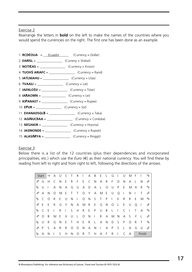#### Exercise 2

Rearrange the letters in **bold** on the left to make the names of the countries where you would spend the currencies on the right. The first one has been done as an example.

1. **RCDEOUA** = \_\_\_*Ecuador*\_\_\_\_\_\_ (Currency = *Dollar*) 2. **EARISL** = \_\_\_\_\_\_\_\_\_\_\_\_\_\_\_\_ (Curreny = Shekel) 3. **NOTIEAS** = \_\_\_\_\_\_\_\_\_\_\_\_\_\_\_\_ (Currency = Kroon) 4. **TUOHS ARIAFC** = \_\_\_\_\_\_\_\_\_\_\_\_\_\_\_\_ (Currency = Rand) 5. **IATLNIAHU** = \_\_\_\_\_\_\_\_\_\_\_\_\_\_\_\_ (Currency = Litas) 6. **TVAALI** = \_\_\_\_\_\_\_\_\_\_\_\_\_\_\_\_ (Currency = Lat) 7. **IAENLOSV** = \_\_\_\_\_\_\_\_\_\_\_\_\_\_\_\_ (Currency = Tolar) 8. **IARAOMN** = \_\_\_\_\_\_\_\_\_\_\_\_\_\_\_ (Currency = Lei) 9. **KIPANAST** = \_\_\_\_\_\_\_\_\_\_\_\_\_\_\_\_ (Currency = Rupee) 10. **EPUR** = \_\_\_\_\_\_\_\_\_\_\_\_\_\_\_\_ (Currency = Sol) 11. **EHANADSGLB** = \_\_\_\_\_\_\_\_\_\_\_\_\_\_\_\_ (Currency = Taka) 12. **AGINUCRAA** = \_\_\_\_\_\_\_\_\_\_\_\_\_\_\_\_ (Currency = Cordoba) 13. **NEUAKIR** = \_\_\_\_\_\_\_\_\_\_\_\_\_\_\_\_ (Currency = Hryvnia) 14. **IASINONDE** = \_\_\_\_\_\_\_\_\_\_\_\_\_\_\_\_ (Currency = Rupiah) 15. **ALASIMYA** =  $(Current)$ 

#### Exercise 3

Below there is a list of the 12 countries (plus their dependencies and incorporated principalities, etc.) which use the *Euro* (€) as their national currency. You will find these by reading from left to right and from right to left, following the directions of the arrows.

|  |  |  |  |  |                                       |  |  |  | Start $\Rightarrow$ A U S T R I A B E L G I U M F I $\Rightarrow$ |               |
|--|--|--|--|--|---------------------------------------|--|--|--|-------------------------------------------------------------------|---------------|
|  |  |  |  |  |                                       |  |  |  | ∉ G H C N E R F E C N A R F D N A L N ا                           |               |
|  |  |  |  |  | & U I A N A G U A D A L O U P E M A R |  |  |  |                                                                   | $\mathcal{F}$ |
|  |  |  |  |  | FANOMETTOYAMEUQINIT                   |  |  |  |                                                                   | $\mathcal{P}$ |
|  |  |  |  |  |                                       |  |  |  |                                                                   |               |
|  |  |  |  |  | FEERGYNAMREGNOLEUQI                   |  |  |  |                                                                   | $\mathscr{P}$ |
|  |  |  |  |  |                                       |  |  |  |                                                                   |               |
|  |  |  |  |  |                                       |  |  |  | $\mathcal F$ O B M E X U L O N I R A M N A S Y L H                |               |
|  |  |  |  |  |                                       |  |  |  | ५ U R G N E T H E R L A N D S P O R T २                           |               |
|  |  |  |  |  |                                       |  |  |  | $\mathcal{F}$ P S A R R O D N A N I A P S L A G U $\mathcal{F}$   |               |
|  |  |  |  |  | & A N I S H N O R T H A F R I C A     |  |  |  | Finish                                                            |               |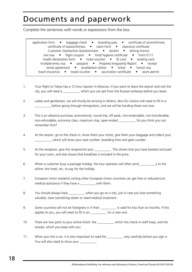### <span id="page-22-0"></span>Documents and paperwork

Complete the sentences with words or expressions from the box.

application form  $\bullet$  baggage check  $\bullet$  boarding pass  $\bullet$  certificate of airworthiness certificate of seaworthiness • claim form • clearance certificate Customer Satisfaction Questionnaire • docket • driving licence exit visa  $\bullet$  flight coupon  $\bullet$  food hygiene certificate  $\bullet$  Form E111 health declaration form • hotel voucher • ID card • landing card multiple-entry visa • passport • Property Irregularity Report • receipt rental agreement  $\bullet$  revalidation sticker  $\bullet$  ticket  $\bullet$  transit visa travel insurance • travel voucher • vaccination certificate • work permit

- 1. Your flight to Tokyo has a 12-hour layover in Moscow. If you want to leave the airport and visit the city, you will need a \_\_\_\_\_\_\_\_\_\_, which you can get from the Russian embassy before you leave.
- 2. Ladies and gentlemen, we will shortly be arriving in Athens. Non-EU citizens will need to fill in a \_\_\_\_\_\_\_\_\_\_ before going through Immigration, and we will be handing these out now.
- 3. This is an advance purchase, promotional, round-trip, off-peak, non-endorsable, non-transferable, non-refundable, economy class, maximum stay, open-ended \_\_\_\_\_\_\_\_\_\_. Do you think you can remember that?
- 4. At the airport, go to the check-in, show them your ticket, give them your baggage and collect your \_\_\_\_\_\_\_\_\_\_, which will show your seat number, boarding time and gate number.
- 5. At the reception, give the receptionist your \_\_\_\_\_\_\_\_\_\_. This shows that you have booked and paid for your room, and also shows that breakfast is included in the price.
- 6. When a customer buys a package holiday, the tour operator will often send \_\_\_\_\_\_\_\_\_\_s to the airline, the hotel, etc, to pay for the holiday.
- 7. European Union residents visiting other European Union countries can get free or reduced-cost medical assistance if they have a \_\_\_\_\_\_\_\_\_\_with them.
- 8. You should always have \_\_\_\_\_\_\_\_\_ when you go on a trip, just in case you lose something valuable, have something stolen or need medical treatment.
- 9. Some countries will not let foreigners in if their \_\_\_\_\_\_\_\_\_\_\_ is valid for less than six months. If this applies to you, you will need to fill in an \_\_\_\_\_\_\_\_\_\_ for a new one.
- 10. There are two parts to your airline ticket: the \_\_\_\_\_\_\_\_\_\_, which the check-in staff keep, and the receipt, which you keep with you.
- 11. When you hire a car, it is very important to read the \_\_\_\_\_\_\_\_\_\_ very carefully before you sign it. You will also need to show your \_\_\_\_\_\_\_\_\_\_.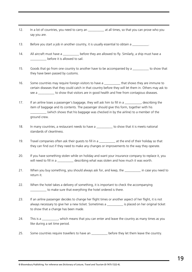- 12. In a lot of countries, you need to carry an \_\_\_\_\_\_\_\_\_\_ at all times, so that you can prove who you say you are.
- 13. Before you start a job in another country, it is usually essential to obtain a
- 14. All aircraft must have a \_\_\_\_\_\_\_\_\_\_\_ before they are allowed to fly. Similarly, a ship must have a \_\_\_\_\_\_\_\_\_\_ before it is allowed to sail.
- 15. Goods that go from one country to another have to be accompanied by a \_\_\_\_\_\_\_\_\_\_ to show that they have been passed by customs.
- 16. Some countries may require foreign visitors to have a \_\_\_\_\_\_\_\_\_\_\_ that shows they are immune to certain diseases that they could catch in that country before they will let them in. Others may ask to see a \_\_\_\_\_\_\_\_\_\_ to show that visitors are in good health and free from contagious diseases.
- 17. If an airline loses a passenger's baggage, they will ask him to fill in a state secribing the item of baggage and its contents. The passenger should give this form, together with his \_\_\_\_\_\_\_\_\_\_ (which shows that his baggage was checked in by the airline) to a member of the ground crew.
- 18. In many countries, a restaurant needs to have a b allow that it is meets national standards of cleanliness.
- 19. Travel companies often ask their quests to fill in a The end of their holiday so that they can find out if they need to make any changes or improvements to the way they operate.
- 20. If you have something stolen while on holiday and want your insurance company to replace it, you will need to fill in a \_\_\_\_\_\_\_\_\_\_\_\_ describing what was stolen and how much it was worth.
- 21. When you buy something, you should always ask for, and keep, the \_\_\_\_\_\_\_\_\_\_ in case you need to return it.
- 22. When the hotel takes a delivery of something, it is important to check the accompanying to make sure that everything the hotel ordered is there.
- 23. If an airline passenger decides to change her flight times or another aspect of her flight, it is not always necessary to give her a new ticket. Sometimes a \_\_\_\_\_\_\_\_\_\_ is placed on her original ticket to show that a change has been made.
- 24. This is a \_\_\_\_\_\_\_\_, which means that you can enter and leave the country as many times as you like during a set time period.
- 25. Some countries require travellers to have an \_\_\_\_\_\_\_\_\_\_\_ before they let them leave the country.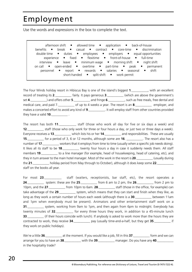# <span id="page-24-0"></span>Employment

Use the words and expressions in the box to complete the text.

|  | afternoon shift • allowed time • application • back-of-house       |  |
|--|--------------------------------------------------------------------|--|
|  | benefits • break • casual • contract • core-time • discrimination  |  |
|  | double time • duties • employees • employers • equal opportunities |  |
|  | experience • fixed • flexitime • front-of-house • full-time        |  |
|  | interview • leave • minimum wage • morning shift • night shift     |  |
|  | on call • open-ended • overtime • part-time • peak • permanent     |  |
|  | personnel • report • rewards • salaries • seasonal • shift         |  |
|  | short-handed • split-shift • work permit                           |  |

The Four Winds holiday resort in Hibiscus Bay is one of the island's biggest **1**.\_\_\_\_\_\_\_\_\_\_, with an excellent record of treating its **2**.\_\_\_\_\_\_\_\_\_\_ fairly. It pays generous **3**.\_\_\_\_\_\_\_\_\_\_ (which are above the government's set **4**.\_\_\_\_\_\_\_\_\_\_) and offers other **5**.\_\_\_\_\_\_\_\_\_\_ and fringe **6**.\_\_\_\_\_\_\_\_\_\_, such as free meals, free dental and medical care, and paid 7.\_\_\_\_\_\_\_\_\_\_ of up to 4 weeks a year. The resort is an **8**.\_\_\_\_\_\_\_\_\_\_ employer, and makes a concerted effort to avoid any kind of **9**.\_\_\_\_\_\_\_\_\_\_. It will employ staff from other countries provided they have a valid **10**.\_\_\_\_\_\_\_\_\_\_ .

The resort has both **11**.\_\_\_\_\_\_\_\_\_\_ staff (those who work all day for five or six days a week) and **12**. Staff (those who only work for three or four hours a day, or just two or three days a week). Everyone receives a **13**. Which lists his or her **14**. These are usually and responsibilities. These are usually **15**.\_\_\_\_\_\_\_\_\_\_ for a period of 3, 6 or 12 months, although some are **16**. \_\_\_\_\_\_\_\_\_\_. The resort also has a number of **17**. \_\_\_\_\_\_\_\_\_ workers that it employs from time to time (usually when a specific job needs doing). It likes all its staff to be **18**. Let us twenty four hours a day in case it suddenly needs them. All staff members **19**.\_\_\_\_\_\_\_\_\_\_\_ to a line manager (for example, head of housekeeping, head of catering, etc), and they in turn answer to the main hotel manager. Most of the work in the resort is **20**.\_\_\_\_\_\_\_\_\_\_ (usually during the **21**.\_\_\_\_\_\_\_\_\_\_ holiday period from May through to October), although it does keep some **22**.\_\_\_\_\_\_\_\_\_\_ staff on the books all year.

For most **23**.\_\_\_\_\_\_\_\_\_\_ staff (waiters, receptionists, bar staff, etc), the resort operates a **24**.\_\_\_\_\_\_\_\_\_\_ system: these are the **25**.\_\_\_\_\_\_\_\_\_\_ from 6 am to 2 pm, the **26**.\_\_\_\_\_\_\_\_\_\_ from 2 pm to 10pm, and the **27**.\_\_\_\_\_\_\_\_\_\_ from 10pm to 6am. **28**.\_\_\_\_\_\_\_\_\_\_ staff (those in the office, for example) can take advantage of the **29**.\_\_\_\_\_\_\_\_\_\_ system, which means that they can start and finish when they like, as long as they work a certain number of hours each week (although there is a **30**.\_\_\_\_\_\_\_\_\_\_ between 11am and 1pm when everybody must be present). Animators and other entertainment staff work on a **31**.\_\_\_\_\_\_\_\_\_\_ system, working from 9am to 1pm, and then again from 6pm to midnight. Everybody has twenty minutes of **32**.\_\_\_\_\_\_\_\_\_\_ for every three hours they work, in addition to a 45-minute lunch **33**.\_\_\_\_\_\_\_\_\_\_ (if their hours coincide with lunch). If anybody is asked to work more than the hours they are contracted to work, they receive **34**.\_\_\_\_\_\_\_\_\_\_ pay (usually time-and-a-half, but they get **35**.\_\_\_\_\_\_\_\_\_\_ if they work on public holidays).

We're a little **36**.\_\_\_\_\_\_\_\_\_\_ at the moment. If you would like a job, fill in this **37**.\_\_\_\_\_\_\_\_\_\_ form and we can arrange for you to have an **38**.\_\_\_\_\_\_\_\_\_\_ with the **39**.\_\_\_\_\_\_\_\_\_\_ manager. Do you have any **40**.\_\_\_\_\_\_\_\_\_\_ in the hospitality trade?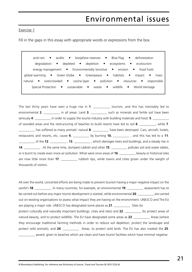### Environmental issues

#### <span id="page-25-0"></span>Exercise 1

Fill in the gaps in this essay with appropriate words or expressions from the box.

acid rain • audits • biosphere reserves • Blue Flag • deforestation degradation • depleted • depletion • ecosystems • ecotourism energy management  $\bullet$  Environmentally Sensitive  $\bullet$  erosion  $\bullet$  fossil fuels global warming • Green Globe • Greenpeace • habitats • impact • mass natural • overcrowded • ozone layer • pollution • resources • responsible Special Protection • sustainable • waste • wildlife • World Heritage

The last thirty years have seen a huge rise in **1**. \_\_\_\_\_\_\_\_\_\_ tourism, and this has inevitably led to environmental **2**. \_\_\_\_\_\_\_\_\_\_ in all areas. Land **3**. \_\_\_\_\_\_\_\_\_\_ such as minerals and fertile soil have been seriously **4**. \_\_\_\_\_\_\_\_\_\_ in order to supply the tourist industry with building materials and food. **5**. \_\_\_\_\_\_\_\_ of wooded areas and the restructuring of beaches to build resorts have led to soil **6**. \_\_\_\_\_\_\_\_\_\_, while **7**. \_\_\_\_\_\_\_\_\_\_ has suffered as many animals' natural **8**. \_\_\_\_\_\_\_\_\_\_ have been destroyed. Cars, aircraft, hotels, restaurants and resorts, etc, cause **9.** \_\_\_\_\_\_\_\_\_\_ by burning **10.** \_\_\_\_\_\_\_\_\_\_ , and this has led to a **11**. \_\_\_\_\_\_\_\_\_\_ of the **12**. \_\_\_\_\_\_\_\_\_\_ , **13**. \_\_\_\_\_\_\_\_\_\_ , which damages trees and buildings, and a steady rise in **14**. **14. 14. 14.** At the same time, dumped rubbish and other **15**. **14. 11.** pollutes soil and water tables, or is burnt to create even more air pollution. What were once areas of **16**. \_\_\_\_\_\_\_\_\_\_ beauty or historical sites are now little more than **17**. \_\_\_\_\_\_\_\_\_\_ rubbish tips, while towns and cities groan under the weight of thousands of visitors.

All over the world, concerted efforts are being made to prevent tourism having a major negative impact on the world's **18**. \_\_\_\_\_\_\_\_\_\_. In many countries, for example, an environmental **19**. \_\_\_\_\_\_\_\_\_\_ assessment has to be carried out before any major tourist development is started, while environmental **20**. \_\_\_\_\_\_\_\_\_\_ are carried out on existing organisations to assess what impact they are having on the environment. UNESCO and The EU are playing a major role. UNESCO has designated some places as **21**. \_\_\_\_\_\_\_\_\_\_ Sites (to protect culturally and naturally important buildings, cities and sites) and **22**. \_\_\_\_\_\_\_\_\_\_ (to protect areas of natural beauty, and to protect wildlife). The EU have designated some areas as **23**. \_\_\_\_\_\_\_\_\_\_ Areas (where they encourage traditional farming methods in order to reduce soil depletion, protect the landscape and protect wild animals), and **24**. \_\_\_\_\_\_\_\_\_\_ Areas, to protect wild birds. The EU has also created the **25**. \_\_\_\_\_\_\_\_\_\_ award, given to beaches which are clean and have tourist facilities which have minimal negative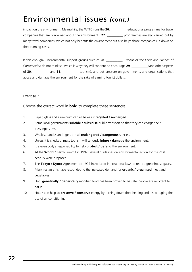### Environmental issues *(cont.)*

impact on the environment. Meanwhile, the WTTC runs the **26**. educational programme for travel companies that are concerned about the environment. **27**. The programmes are also carried out by many travel companies, which not only benefits the environment but also helps those companies cut down on their running costs.

Is this enough? Environmental support groups such as **28**. \_\_\_\_\_\_\_\_\_\_, *Friends of the Earth* and *Friends of Conservation* do not think so, which is why they will continue to encourage **29**. \_\_\_\_\_\_\_\_\_\_ (and other aspects of **30**. \_\_\_\_\_\_\_\_\_\_ and **31**. \_\_\_\_\_\_\_\_\_\_ tourism), and put pressure on governments and organisations that abuse and damage the environment for the sake of earning tourist dollars.

#### Exercise 2

Choose the correct word in **bold** to complete these sentences.

- 1. Paper, glass and aluminium can all be easily **recycled / recharged**.
- 2. Some local governments **subside / subsidise** public transport so that they can charge their passengers less.
- 3. Whales, pandas and tigers are all **endangered / dangerous** species.
- 4. Unless it is checked, mass tourism will seriously **injure / damage** the environment.
- 5. It is everybody's responsibility to help **protect / defend** the environment.
- 6. At the **World / Earth** Summit in 1992, several guidelines on environmental action for the 21st century were proposed.
- 7. The **Tokyo / Kyoto** Agreement of 1997 introduced international laws to reduce greenhouse gases.
- 8. Many restaurants have responded to the increased demand for **organic / organised** meat and vegetables.
- 9. Until **genetically / generically** modified food has been proved to be safe, people are reluctant to eat it.
- 10. Hotels can help to **preserve / conserve** energy by turning down their heating and discouraging the use of air conditioning.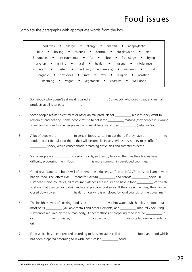### Food issues

<span id="page-27-0"></span>Complete the paragraphs with appropriate words from the box.

|                                                                  | additives • allergic • allergy • analysis • anaphylactic    |  |  |
|------------------------------------------------------------------|-------------------------------------------------------------|--|--|
|                                                                  | blue • boiling • calories • control • cut down on • diet    |  |  |
| E-numbers • environmental • fat • fibre • free range • frying    |                                                             |  |  |
|                                                                  | give up • grilling • halal • health • hygiene • intolerance |  |  |
| intolerant • kosher • medium (or medium-rare) • minerals • moral |                                                             |  |  |
|                                                                  | organic • pesticides • rare • raw • religion • roasting     |  |  |
|                                                                  | steaming • vegan • vegetarian • vitamins • well-done        |  |  |

- 1. Somebody who doesn't eat meat is called a \_\_\_\_\_\_\_\_\_\_. Somebody who doesn't eat any animal products at all is called a
- 2. Some people refuse to eat meat or other animal products for easons (they want to remain fit and healthy), some people refuse to eat it for \_\_\_\_\_\_\_\_\_\_ reasons (they believe it is wrong to eat animals) and some people refuse to eat it because of their \_\_\_\_\_\_\_\_\_\_ (belief in God).
- 3. A lot of people are \_\_\_\_\_\_\_\_\_\_ to certain foods, so cannot eat them. If they have an \_\_\_\_\_\_\_\_\_\_ to foods and accidentally eat them, they will become ill. In very serious cases, they may suffer from shock, which causes shock, breathing difficulties and sometimes death.
- 4. Some people are \_\_\_\_\_\_\_\_\_\_\_ to certain foods, so they try to avoid them as their bodies have difficulty processing them. Food **in the same is more common in developed countries.**
- 5. Good restaurants and hotels will often send their kitchen staff on an HACCP course to learn how to handle food. The letters HACCP stand for '*health* \_\_\_\_\_\_\_\_\_\_ and *critical* \_\_\_\_\_\_\_\_\_\_ *point*'. In European Union countries, all restaurant kitchens are required to have a food \_\_\_\_\_\_\_\_\_\_ certificate to show that they can (and do) handle and prepare food safely. If they break the rules, they can be closed down by an \_\_\_\_\_\_\_\_\_\_ health officer who is employed by local councils or the government.
- 6. The healthiest way of cooking food is by \_\_\_\_\_\_\_\_\_\_\_ it over hot water, which helps the food retain most of its  $($ valuable metals and other elements) and  $($ naturally occurring substances required by the human body). Other methods of preparing food include \_\_\_\_\_\_\_\_\_ in oil, \_\_\_\_\_\_\_\_\_\_ in hot water, \_\_\_\_\_\_\_\_\_\_ in an oven and \_\_\_\_\_\_\_\_\_\_ (also called *broiling*) under a grill.
- 7. Food which has been prepared according to Moslem law is called \_\_\_\_\_\_\_\_\_\_ food, and food which has been prepared according to Jewish law is called food.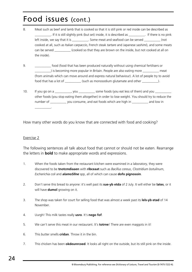### Food issues (cont.)

- 8. Meat such as beef and lamb that is cooked so that it is still pink or red inside can be described as \_\_\_\_\_\_\_\_\_\_. If it is still slightly pink (but set) inside, it is described as \_\_\_\_\_\_\_\_\_\_. If there is no pink left inside, we say that it is \_\_\_\_\_\_\_\_\_\_\_. Some meat and seafood can be served \_\_\_\_\_\_\_\_\_\_ (not cooked at all, such as Italian *carpaccio*, French steak *tartare* and Japanese *sashimi*), and some meats can be served \_\_\_\_\_\_\_\_\_\_\_ (cooked so that they are brown on the inside, but not cooked at all on the inside).
- 9. \_\_\_\_\_\_\_\_\_\_ food (food that has been produced naturally without using chemical fertilisers or \_\_\_\_\_\_\_\_\_\_) is becoming more popular in Britain. People are also eating more \_\_\_\_\_\_\_\_\_\_ meat (from animals which can move around and express natural behaviour). A lot of people try to avoid food that has a lot of \_\_\_\_\_\_\_\_\_\_ (such as monosodium glutamate and other \_\_\_\_\_\_\_\_\_\_).
- 10. If you go on a \_\_\_\_\_\_\_\_\_, you \_\_\_\_\_\_\_\_\_\_ some foods (you eat less of them) and you other foods (you stop eating them altogether) in order to lose weight. You should try to reduce the number of \_\_\_\_\_\_\_\_\_\_\_ you consume, and eat foods which are high in \_\_\_\_\_\_\_\_\_\_\_ and low in \_\_\_\_\_\_\_\_\_\_.

How many other words do you know that are connected with food and cooking?

#### Exercise 2

The following sentences all talk about food that cannot or should not be eaten. Rearrange the letters in **bold** to make appropriate words and expressions.

- 1. When the foods taken from the restaurant kitchen were examined in a laboratory, they were discovered to be **tnotcmdiaaen** with **ribceaat** such as *Bacillus cereus*, *Clostridium botulinum*, *Escherichia coli* and *alamoSllne* spp, all of which can cause **dofo pignosoin**.
- 2. Don't serve this bread to anyone: it's well past its **sue-yb etda** of 2 July. It will either be **lates**, or it will have **dumol** growing on it.
- 3. The shop was taken for court for selling food that was almost a week past its **lels-yb etad** of 14 November.
- 4. Uurgh! This milk tastes really **usro**. It's **nego fof**.
- 5. We can't serve this meat in our restaurant. It's **totrne**! There are even maggots in it!
- 6. This butter smells **cridan**. Throw it in the bin.
- 7. This chicken has been **okdeunrcoed**. It looks all right on the outside, but its still pink on the inside.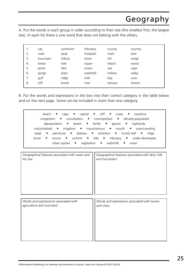## Geography

<span id="page-29-0"></span>A. Put the words in each group in order according to their size (the smallest first, the largest last). In each list there is one word that does not belong with the others.

| 1. | city     | continent | tributary | county  | country |  |
|----|----------|-----------|-----------|---------|---------|--|
| 2. | road     | peak      | footpath  | track   | lane    |  |
| 3. | mountain | hillock   | shore     | hill    | range   |  |
| 4. | forest   | tree      | copse     | beach   | wood    |  |
| 5. | pond     | lake      | ocean     | sea     | cape    |  |
| 6. | gorge    | plain     | waterfall | hollow  | valley  |  |
| 7. | qulf     | ridge     | inlet     | bay     | cove    |  |
| 8. | cliff    | brook     | river     | estuary | stream  |  |
|    |          |           |           |         |         |  |

B. Put the words and expressions in the box into their correct category in the table below and on the next page. Some can be included in more than one category.

| beach • cape • capital • cliff • coast • coastline               |
|------------------------------------------------------------------|
| congestion • conurbation • cosmopolitan • densely-populated      |
| depopulation • desert • fertile • glacier • highlands            |
| industrialised • irrigation • mountainous • mouth • overcrowding |
| peak • peninsula • plateau • pollution • (coral) reef • ridge    |
| shore • source • summit • tide • tributary • under-developed     |
| urban sprawl • vegetation • waterfall • wave                     |

| Geographical features associated with water and | Geographical features associated with land, hills |
|-------------------------------------------------|---------------------------------------------------|
| the sea:                                        | and mountains:                                    |
|                                                 |                                                   |
| Words and expresssions associated with          | Words and expressions associated with towns       |
| agriculture and rural land:                     | and cities:                                       |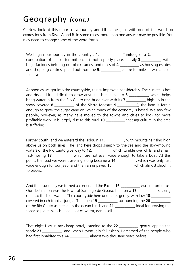### Geography *(cont.)*

C. Now look at this report of a journey and fill in the gaps with one of the words or expressions from Tasks A and B. In some cases, more than one answer may be possible. You may need to change some of the word forms.

We began our journey in the country's **1**. \_\_\_\_\_\_\_\_\_, Trinifuegos, a **2**. conurbation of almost ten million. It is not a pretty place: heavily **3**.\_\_\_\_\_\_\_\_\_\_, with huge factories belching out black fumes, and miles of **4**.\_\_\_\_\_\_\_\_\_\_ as housing estates and shopping centres spread out from the 5. The second centre for miles. t was a relief to leave.

As soon as we got into the countryside, things improved considerably. The climate is hot and dry and it is difficult to grow anything, but thanks to **6**. The sum which helps bring water in from the Rio Cauto (the huge river with its **7**.\_\_\_\_\_\_\_\_\_\_ high up in the snow-covered **8**.\_\_\_\_\_\_\_\_\_\_ of the Sierra Maestra **9**.\_\_\_\_\_\_\_\_\_\_), the land is fertile enough to grow the sugar cane on which much of the economy is based. We saw few people, however, as many have moved to the towns and cities to look for more profitable work. It is largely due to this rural **10**. The standard that agriculture in the area is suffering.

Further south, and we entererd the Holguin **11**. The with mountains rising high above us on both sides. The land here drops sharply to the sea and the slow-moving waters of the Rio Cauto give way to **12**. Noting which tumble over cliffs, and small, fast-moving **13**.\_\_\_\_\_\_\_\_\_\_ which are not even wide enough to take a boat. At this point, the road we were travelling along became a **14**.\_\_\_\_\_\_\_\_\_\_, which was only just wide enough for our jeep, and then an unpaved **15**. \_\_\_\_\_\_\_\_\_\_ which almost shook it to pieces.

And then suddenly we turned a corner and the Pacific **16**. Was in front of us. Our destination was the town of Santiago de Gibara, built on a **17**.\_\_\_\_\_\_\_\_\_\_ sticking out into the blue waters. The countryside here undulates gently, with low **18**.\_\_\_\_\_\_\_\_\_\_ covered in rich tropical jungle. The open **19**.\_\_\_\_\_\_\_\_\_\_ surrounding the **20**.\_\_\_\_\_\_\_\_\_\_ of the Rio Cauto as it reaches the ocean is rich and **21**.\_\_\_\_\_\_\_\_\_\_, ideal for growing the tobacco plants which need a lot of warm, damp soil.

That night I lay in my cheap hotel, listening to the **22**. That night apping the sandy **23**.\_\_\_\_\_\_\_\_\_\_, and when I eventually fell asleep, I dreamed of the people who had first inhabited this **24**.\_\_\_\_\_\_\_\_\_\_ almost two thousand years before.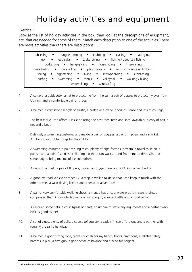### Holiday activities and equipment

#### <span id="page-31-0"></span>Exercise 1

Look at the list of holiday activities in the box, then look at the descriptions of equipment, etc, that are needed for some of them. Match each description to one of the activities. There are more activities than there are descriptions.

| abseiling • bungee jumping • clubbing • cycling • eating out        |
|---------------------------------------------------------------------|
| golf • jeep safari • scuba diving • fishing / deep-sea fishing      |
| go-karting • hang-gliding • horse riding • Inter-railing            |
| parachuting • parasailing • photography • rock or mountain climbing |
| sailing • sightseeing • skiing • snowboarding • sunbathing          |
| surfing • swimming • tennis • volleyball • walking / hiking         |
| water skiing • windsurfing                                          |

- 1. A camera, a guidebook, a hat to protect me from the sun, a pair of glasses to protect my eyes from UV rays, and a comfortable pair of shoes.
- 2. A helmet, a very strong length of elastic, a bridge or a crane, good insurance and lots of courage!
- 3. The best tackle I can afford (I insist on using the best rods, reels and lines available), plenty of bait, a net and a boat.
- 4. Definitely a swimming costume, and maybe a pair of goggles, a pair of flippers and a snorkel. Armbands and rubber rings for the children.
- 5. A swimming costume, a pair of sunglasses, plenty of high-factor suncream, a towel to lie on, a parasol and a pair of sandals or flip flops so that I can walk around from time to time. Oh, and somebody to bring me lots of ice-cold drinks.
- 6. A wetsuit, a mask, a pair of flippers, gloves, an oxygen tank and a PADI-qualified buddy.
- 7. A good off-road vehicle or other RV, a map, a walkie-talkie so that I can keep in touch with the other drivers, a valid driving licence and a sense of adventure!
- 8. A pair of very comfortable walking shoes, a map, a hat or cap, waterproofs in case it rains, a compass so that I know which direction I'm going in, a water bottle and a good picnic.
- 9. A racquet, some balls, a court (grass or hard), an umpire to settle any arguments and a partner who isn't as good as me!
- 10. A set of clubs, plenty of balls, a course (of course), a caddy if I can afford one and a partner with roughly the same handicap.
- 11. A helmet, a good strong rope, gloves or chalk for my hands, boots, crampons, a reliable safety harness, a pick, a firm grip, a good sense of balance and a head for heights.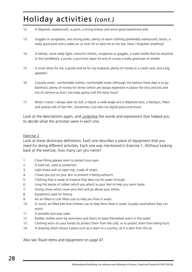### Holiday activities *(cont.)*

- 12. A lifejacket, waterproofs, a yacht, a strong breeze and some good seasickness pills.
- 13. Goggles or sunglasses, two strong poles, plenty of warm clothing (preferably waterproof), boots, a really good piste and a cable-car or chair lift to take me to the top. Have I forgotten anything?
- 14. A helmet, some *really* tight, colourful clothes, sunglasses or goggles, a water bottle that be attached to the handlebars, a pump, a puncture repair kit and of course a really good pair of wheels.
- 15. A smart dress for me, a jacket and tie for my husband, plenty of money or a credit card, and a big appetite!
- 16. Casually smart , comfortable clothes, comfortable shoes (although the fashion these days is to go barefoot), plenty of money for drinks (which are always expensive in places like this) and lots and lots of stamina so that I can keep going until the early hours!
- 17. When I travel, I always take my SLR, a tripod, a wide-angle and a telephoto lens, a flashgun, filters and several rolls of fast film. Sometimes I just take my digital point-and-shoot.

Look at the descriptions again, and underline the words and expressions that helped you to decide what the activities were in each one.

#### Exercise 2

Look at these dictionary definitions. Each one describes a piece of equipment that you need for doing different activities. Each one was mentioned in Exercise 1. Without looking back at the exercise, how many can you name?

- 1. Close-fitting glasses worn to protect your eyes.
- 2. A solid hat, used as protection.
- 3. Light shoes with an open top, made of straps.
- 4. Cream you put on your skin to prevent it being sunburnt.
- 5. Clothing that is made of material that does not let water through.
- 6. Long flat pieces of rubber which you attach to your feet to help you swim faster.
- 7. Strong shoes which cover your feet and go above your ankles.
- 8. Equipment used for fishing.
- 9. An air-filled or cork-filled coat to help you float in water.
- 10. A round, air-filled belt that children use to help them float in water (usually used before they can swim)
- 11. A portable two-way radio.
- 12. Rubber clothes worn by swimmers and divers to keep themselves warm in the water.
- 13. Clothing worn on your hands (to protect them from the cold, or to protect them from being hurt)
- 14. A drawing which shows a place such as a town or a country, as it is seen from the air.

Also see *Travel items and equipment* on page 47.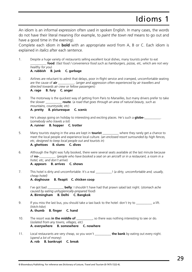### Idioms 1

<span id="page-33-0"></span>An idiom is an informal expression often used in spoken English. In many cases, the words do not have their literal meaning (for example, to *paint the town red* means to go out and have a good time in the evening).

Complete each idiom in **bold** with an appropriate word from A, B or C. Each idiom is explained in *italics* after each sentence.

- 1. Despite a huge variety of restaurants selling excellent local dishes, many tourists prefer to eat \_\_\_\_\_\_\_\_\_\_ **food**. (*fast food / convenience food such as hamburgers, pizzas, etc, which are not very healthy for you*) **A. rubbish B. junk C. garbage**
- 2. Airlines are reluctant to admit that delays, poor in-flight service and cramped, uncomfortable seating are the cause of **air** \_\_\_\_\_\_\_\_\_\_. (*anger and aggression often experienced by air travellers and directed towards air crew or fellow passengers*) **A. rage B. fury C. anger**
- 3. The motorway is the quickest way of getting from Paris to Marseilles, but many drivers prefer to take the slower \_\_\_\_\_\_\_\_\_\_ **route**. (*a road that goes through an area of natural beauty, such as mountains, countryside, etc*) **A. pretty B. picturesque C. scenic**
- 4. He's always going on holiday to interesting and exciting places. He's such a **globe-**\_\_\_\_\_\_\_\_\_\_. (*somebody who travels a lot*) **A. runner B. hopper C. trotter**
- 5. Many tourists staying in the area are kept in **tourist** where they rarely get a chance to meet the local people and experience local culture. (*an enclosed resort surrounded by high fences, etc, designed to keep local people out and tourists in*) **A. ghettoes B. slums C. dives**
- 6. Although the flight was fully booked, there were several seats available at the last minute because of **no-**\_\_\_\_\_\_\_\_\_\_. (*people who have booked a seat on an aircraft or in a restaurant, a room in a hotel, etc, and don't arrive*) **A. appears B. arrives C. shows**
- 7. This hotel is dirty and uncomfortable. It's a real \_\_\_\_\_\_\_\_\_\_! (*a dirty, uncomfortable and, usually, cheap hotel)* **A. doghouse B. fleapit C. chicken coop**
- 8. I've got bad \_\_\_\_\_\_\_\_\_\_ **belly**: I shouldn't have had that prawn salad last night. (*stomach ache caused by eating unhygienically-prepared food*) **A. Birmingham B. Delhi C. Bangkok**
- 9. If you miss the last bus, you should take a taxi back to the hotel: don't try to \_\_\_\_\_\_\_\_\_\_ a lift. (*hitch-hike*) **A. thumb B. finger C. hand**
- 10. The resort was **in the middle of** \_\_\_\_\_\_\_\_\_\_, so there was nothing interesting to see or do. (*isolated from any towns, villages, etc*) **A. everywhere B. somewhere C. nowhere**
- 11. Local restaurants are very cheap, so you won't \_\_\_\_\_\_\_\_\_\_ **the bank** by eating out every night. (*spend a lot of money*) **A. rob B. bankrupt C. break**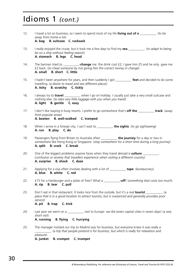# Idioms 1 *(cont.)*

| 12. | I travel a lot on business, so I seem to spend most of my life <b>living out of a</b> ___________. (to be<br>away from home a lot)<br>A. bag B. suitcase C. rucksack                                                                                           |
|-----|----------------------------------------------------------------------------------------------------------------------------------------------------------------------------------------------------------------------------------------------------------------|
| 13. | I really enjoyed the cruise, but it took me a few days to find my sea __________. (to adapt to being<br>be on a ship without feeling seasick)<br>A. stomach B. legs C. head                                                                                    |
| 14. | £2 back. (to cheat someone by not giving him the correct money in change)<br><b>B.</b> short C. little<br>A. small                                                                                                                                             |
| 15. | I hadn't been anywhere for years, and then suddenly I got __________ feet and decided to do some<br>travelling. (a desire to travel and see different places)<br>A. itchy B. scratchy C. tickly                                                                |
| 16. | I always try to <b>travel</b> __________ when I go on holiday. I usually just take a very small suitcase and<br>nothing else. (to take very little luggage with you when you travel)<br>A. light B. gentle C. easy                                             |
| 17. | I don't like staying in busy resorts. I prefer to go somewhere that's <b>off the _________ track</b> . (away<br>from popular areas)<br>A. beaten B. well-walked C. tramped                                                                                     |
| 18. | When I arrive in a foreign city, I can't wait to __________ the sights. (to go sightseeing)<br>A. run B. play C. do                                                                                                                                            |
| 19. | Passengers flying from Britain to Australia often __________ the journey for a day or two in<br>somewhere like Hong Kong or Singapore. (stop somewhere for a short time during a long journey)<br>A. split B. crack C. break                                   |
| 20. | One of the biggest problems anyone faces when they travel abroad is <b>culture</b> __________.<br>(confusion or anxiety that travellers experience when visiting a different country)<br>A. surprise B. shock C. daze                                          |
| 21. | Applying for a visa often involves dealing with a lot of __________ tape. (bureaucracy)<br>A. blue B. white C. red                                                                                                                                             |
| 22. | <b>B.</b> tear<br>C. pull<br>A. rip                                                                                                                                                                                                                            |
| 23. | Don't eat in that restaurant. It looks nice from the outside, but it's a real <b>tourist</b> _________. (a<br>place that is in a good location to attract tourists, but is overpriced and generally provides poor<br>service)<br>C. trick<br>B. trap<br>A. pit |
| 24. | Last year we went on a _________ visit to Europe: we did seven capital cities in seven days! (a very<br>short visit)<br><b>B.</b> flying<br>C. hurrying<br>A. running                                                                                          |
| 25. | The manager insisted our trip to Madrid was for business, but everyone knew it was really a<br>. (a trip that people pretend is for business, but which is really for relaxation and<br>pleasure)<br>C. trumpet<br>A. junket<br><b>B.</b> crumpet              |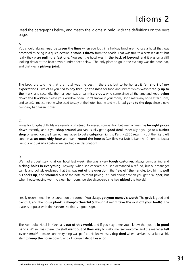# Idioms 2

<span id="page-35-0"></span>Read the paragraphs below, and match the idioms in **bold** with the definitions on the next page.

#### A.

You should always **read between the lines** when you look in a holiday brochure. I chose a hotel that was described as being in a quiet location **a stone's throw** from the beach. That was true to a certain extent, but really they were **pulling a fast one**. You see, the hotel was **in the back of beyond**, and it was on a cliff looking down at the beach two hundred feet below! The only place to go in the evening was the hotel bar, and that was a **pick-up joint**.

#### B.

The brochure told me that the hotel was the best in the area, but to be honest it **fell short of my expectations**. First of all you had to **pay through the nose** for food and service which **wasn't really up to the mark**, and secondly, the manager was a real **misery guts** who complained all the time and kept **laying down the law** ('Don't leave your window open, Don't smoke in your room, Don't make any noise after 10pm, and so on). I met someone who used to stay at the hotel, but he told me it had **gone to the dogs** since a new company had taken it over.

#### $\mathcal{C}_{\mathcal{C}}$

Prices for long-haul flights are usually a bit **steep**. However, competition between airlines has **brought prices down** recently, and if you **shop around** you can usually get a **good deal**, especially if you go to a **bucket shop** or search on the Internet. I managed to get a **cut-price** flight to Perth - £350 return! - but the flight left London at **an unearthly hour** and went **round the houses** (we flew via Dubai, Karachi, Colombo, Kuala Lumpur and Jakarta.) before we reached our destination!

#### D.

We had a guest staying at our hotel last week. She was a very **tough customer**, always complaining and **picking holes in everything**. Anyway, when she checked out, she demanded a refund, but our manager calmly and politely explained that this was **out of the question**. She **flew off the handle**, told him to **pull his socks up**, and **stormed out** of the hotel without paying! It's bad enough when you get a **skipper**, but when housekeeping went to clean her room, we also discovered she had **nicked** the towels!

E.

I really recommend the restaurant on the corner. You always **get your money's worth**. The **grub** is good and plentiful, and the house **plonk** is **cheap'n'cheerful** (although it might **take the skin off your teeth**). The place is popular with the **natives**, so that's a good sign.

F.

The Aphrodite Hotel in Kyrenia is **out of this world**, and if you stay there you'll know that you're **in good hands**. When I was there, the staff **went out of their way** to make me feel welcome, and the manager **fell over himself** to make sure everything was perfect. He knew I was **dog-tired** when I arrived, so asked all his staff to **keep the noise down**, and of course I **slept like a log**!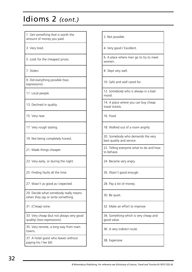### Idioms 2 *(cont.)*

1. Get something that is worth the amount of money you paid. 3. Very tired. 5. Look for the cheapest prices. 7. Stolen. 9. Did everything possible (two expressions). 11. Local people. 13. Declined in quality. 15. Very near. 17. Very rough tasting. 19. Not being completely honest. 21. Made things cheaper. 23. Very early, or during the night. 25. Finding faults all the time. 27. Wasn't as good as I expected. 29. Decide what somebody really means when they say or write something. 31. (Cheap) wine. 33. Very cheap (but not always very good quality) (two expressions). 35. Very remote, a long way from main towns. 37. A hotel guest who leaves without paying his / her bill. 2. Not possible. 4. Very good / Excellent. 6. A place where men go to try to meet women. 8. Slept very well. 10. Safe and well cared for. 12. Somebody who is always in a bad mood. 14. A place where you can buy cheap travel tickets. 16. Food. 18. Walked out of a room angrily. 20. Somebody who demands the very best quality and service. 22. Telling everyone what to do and how to behave. 24. Became very angry. 26. Wasn't good enough. 28. Pay a lot of money. 30. Be quiet. 32. Make an effort to improve. 34. Something which is very cheap and good value. 36. A very indirect route. 38. Expensive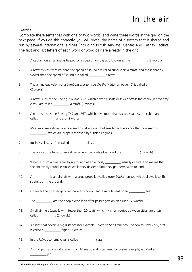# In the air

Exercise 1

Complete these sentences with one or two words, and write these words in the grid on the next page. If you do this correctly, you will reveal the name of a system that is shared and run by several international airlines (including British Airways, Qantas and Cathay Pacific). The first and last letters of each word or word pair are already in the grid.

- 1. A captain on an airliner is helped by a co-pilot, who is also known as the \_\_\_\_\_\_\_\_\_\_\_. (2 words)
- 2. Aircraft which fly faster than the speed of sound are called supersonic aircraft, and those that fly slower than the speed of sound are called \_\_\_\_\_\_\_\_\_ aircraft.
- 3. The airline equivalent of a *bareboat charter* (see *On the Water* on page 40) is called a \_\_\_\_\_\_\_\_\_\_. (2 words)
- 4. Aircraft such as the Boeing 737 and 757, which have six seats or fewer across the cabin (in economy class), are called \_\_\_\_\_\_\_\_\_\_ aircraft. (2 words)
- 5. Aircraft such as the Boeing 747 and 767, which have more than six seats across the cabin, are called \_\_\_\_\_\_\_\_\_\_ aircraft. (2 words)
- 6. Most modern airliners are powered by jet engines, but smaller airliners are often powered by \_\_\_\_\_\_\_\_\_\_, which are propellers driven by turbine engines.
- 7. Business class is often called \_\_\_\_\_\_\_\_\_ class.
- 8. The area at the front of an airliner where the pilots sit is called the \_\_\_\_\_\_\_\_\_. (2 words).
- 9. When a lot of airliners are trying to land at an airport, \_\_\_\_\_\_\_\_\_\_\_\_ usually occurs. This means that the aircraft fly round in circles while they descend until they get permission to land.
- 10. A \_\_\_\_\_\_\_\_\_\_ is an aircraft with a large propeller (called *rotor blades*) on top which allows it to lift straight off the ground.
- 11. On an airliner, passengers can have a window seat, a middle seat or an \_\_\_\_\_\_\_\_\_\_\_ seat.
- 12. The \_\_\_\_\_\_\_\_\_\_ are the people who look after passengers on an airline. (2 words)
- 13. Small airliners (usually with fewer than 20 seats) which fly short routes between cities are often called \_\_\_\_\_\_\_\_\_\_. (2 words)
- 14. A flight that covers a big distance (for example, Tokyo to San Francisco, London to New York, etc) is called a \_\_\_\_\_\_\_\_\_\_ flight. (2 words)
- 15. In the USA, economy class is called \_\_\_\_\_\_\_\_\_\_ class.
- 16. A small jet (usually with fewer than 10 seats, and often used by businesspeople) is called an \_\_\_\_\_\_\_\_\_\_ jet.

<sup>©</sup> Bloomsbury Publishing. For reference see *Dictionary of Leisure, Travel and Tourism* (0-7475-7222-4).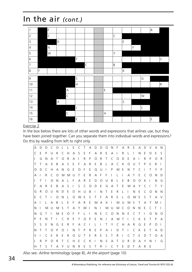## In the air *(cont.)*



### Exercise 2

In the box below there are lots of other words and expressions that airlines use, but they have been joined together. Can you separate them into individual words and expressions? Do this by reading from left to right only.

| $\mathsf{A}$ | D.           | D.           | C             | O                                      | $\Box$  | L E                                                                                                                                                                                                                                  |              | C T                     |                | A | D                                                           |              | D O N F        |                |                 | A R           |                | E            | A            | D.           | V       | A              | N                        |
|--------------|--------------|--------------|---------------|----------------------------------------|---------|--------------------------------------------------------------------------------------------------------------------------------------------------------------------------------------------------------------------------------------|--------------|-------------------------|----------------|---|-------------------------------------------------------------|--------------|----------------|----------------|-----------------|---------------|----------------|--------------|--------------|--------------|---------|----------------|--------------------------|
| C            | E.           | P            | U             | R.                                     | $C$ H   |                                                                                                                                                                                                                                      |              | A S E F                 |                |   |                                                             | A R          | $\mathsf{E}^-$ | $A \mid$       |                 | R             | $\perp$        | $\mathbf{L}$ | N.           | E.           | D       | F.             | S                        |
| $\mathbf{L}$ | G            | N            | $\mathsf{A}$  | T                                      | $\circ$ | ${\sf R}$                                                                                                                                                                                                                            | $\mathsf{A}$ | $\mathbf{1}$            | R.             | P | $\circ$                                                     | $\mathsf{R}$ | $\mathsf{T}$   | $\overline{C}$ | $\circ$         | D             | E              | A            | $\mathbb{R}$ | R            | P       | ∩              | R                        |
| T            | T.           | A            | $\times$      | B                                      |         | A S E F                                                                                                                                                                                                                              |              |                         | A              | R | E.                                                          | B            | $\mathsf{L}$   | $\mathsf{A}$   | C K             |               | $\circ$        | U            | $\top$       | $\mathsf{P}$ | E       | R              | $\overline{\phantom{a}}$ |
| O            | D.           | - C          | H             | A                                      | N G E   |                                                                                                                                                                                                                                      |              | OF E                    |                |   |                                                             |              |                |                | Q U I P M E     |               | N              | T C          |              | $\Box$       | $\top$  | Y P            |                          |
| A            | $\mathbf{L}$ | R            | $\subset$     |                                        | O M M U |                                                                                                                                                                                                                                      |              | T E                     |                | R |                                                             |              |                |                | AFFILI          |               | A T            |              | E C          |              | - 0     | N              | D                        |
| $\mathbf{L}$ | $\top$       | $\perp$      | $\circ$       | N                                      |         | A L F                                                                                                                                                                                                                                |              | A R                     |                | E | D O                                                         |              |                |                | UBLE            |               | B              | $\circ$ O    | $\circ$      | K            | $\Box$  | N              | G                        |
| F.           | $\mathsf{A}$ | - R          | E             | B                                      |         |                                                                                                                                                                                                                                      |              | A S I S C O D E G A T E |                |   |                                                             |              |                |                |                 |               |                | W A Y C      |              |              | $\Box$  | T.             | Y                        |
| G            | R            | O            | - U           | N                                      |         | D E                                                                                                                                                                                                                                  | D            | H U                     |                | B | I N T E                                                     |              |                |                | R               | $\perp$       | $\blacksquare$ |              | - E          | C            | $\circ$ | N              | - N                      |
| E.           | C            | $\top$       | $\mathcal{L}$ | $\circ$                                | - N     |                                                                                                                                                                                                                                      |              | L O W E S T F A R       |                |   |                                                             |              |                |                |                 |               | E L O W E      |              |              |              | S T     | A V            |                          |
| A            | $\mathbf{L}$ | L A          |               | B L                                    |         | E.                                                                                                                                                                                                                                   |              | F A R                   |                | E |                                                             |              | M A X I        |                | M U             |               |                | MS T         |              |              | A Y     | M I            |                          |
| N.           | $\mathbf{L}$ | M U          |               | M S                                    |         |                                                                                                                                                                                                                                      |              | T A Y M I               |                |   | N                                                           | $\mathbf{1}$ |                | M U            | M C             |               | $\circ$        | - N          | N.           | E            | C       | T <sub>1</sub> |                          |
| N.           | G            | $\mathsf{T}$ | $\Box$        | M E                                    |         | $\circ$                                                                                                                                                                                                                              |              | FFLI                    |                |   |                                                             | N E          | $C$ O          |                | NNE             |               |                | $\subset$    | $\top$       | $\Box$       | O       | N.             | O                        |
| P            | E            | N.           | $\top$        | $\begin{array}{ccc} & & C \end{array}$ |         | K E                                                                                                                                                                                                                                  |              |                         | T O P          |   | E                                                           | N            |                |                | J A W T I C K E |               |                |              |              |              | $\top$  | P.             | A                        |
| S.           | <sub>S</sub> | E            | <sup>N</sup>  | G                                      | - E     |                                                                                                                                                                                                                                      | $R$ F        | A C                     |                |   | $\begin{array}{ccc} & \vdots & \vdots & \vdots \end{array}$ |              |                |                | T Y C H A       |               |                | R            | G            | - E          | P       | O              | $\Box$                   |
| N.           | T.           | $\top$       | $\circ$       | P.                                     | $\circ$ | <b>The Contract of the Contract of the Contract of the Contract of the Contract of the Contract of the Contract of the Contract of the Contract of the Contract of the Contract of the Contract of the Contract of the Contract </b> | N.           | T P                     |                | R | E                                                           | P            |                | $A \mid$       |                 | $D$ T $\perp$ |                | C            | K            | - E          | $\top$  | $\mathsf{A}$   | - D                      |
| V            | $\mathbf{1}$ | C            | E             | R                                      | E       | R                                                                                                                                                                                                                                    | $\circ$      | - U                     | T E            |   | R                                                           |              |                |                | E S T R I C     |               |                | T E          |              | D.           | $\top$  | $\circ$        | A                        |
| $\mathbf{L}$ | R            | P            | $\circ$       | R.                                     | T C     |                                                                                                                                                                                                                                      | $H$ E        |                         | $\overline{C}$ | K | $\mathbb{R}$                                                |              |                |                | N S A T U       |               | R              | D            | A Y          |              | N       | $\mathbb{R}$   | G                        |
| H.           | $\top$       | S T          |               |                                        | A Y U N |                                                                                                                                                                                                                                      |              | R E S T R I C T E D     |                |   |                                                             |              |                |                |                 |               |                | $-F$         | $\mathsf{A}$ | - R          | E       |                |                          |

Also see: *Airline terminology* (page 8), *At the airport* (page 10)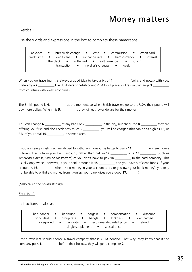### Money matters

### Exercise 1

Use the words and expressions in the box to complete these paragraphs.

advance • bureau de change • cash • commission • credit card credit limit • debit card • exchange rate • hard currency • interest in the black  $\bullet$  in the red  $\bullet$  soft currencies  $\bullet$  strong transaction • traveller's cheques • weak

When you go travelling, it is always a good idea to take a bit of **1**. (coins and notes) with you: preferably a **2**.\_\_\_\_\_\_\_\_\_\_ like US dollars or British pounds\*. A lot of places will refuse to change **3**.\_\_\_\_\_\_\_\_\_\_ from countries with weak economies.

The British pound is **4**.\_\_\_\_\_\_\_\_\_\_ at the moment, so when British travellers go to the USA, their pound will buy more dollars. When it is **5**.\_\_\_\_\_\_\_\_\_\_, they will get fewer dollars for their money.

You can change **6**. \_\_\_\_\_\_\_\_\_\_\_ at any bank or **7**. \_\_\_\_\_\_\_\_\_\_\_ in the city, but check the **8**. \_\_\_\_\_\_\_\_\_ they are offering you first, and also check how much **9**.\_\_\_\_\_\_\_\_\_\_ you will be charged (this can be as high as £5, or 8% of your total **10**.\_\_\_\_\_\_\_\_\_\_, in some places.

If you are using a cash machine abroad to withdraw money, it is better to use a **11**.\_\_\_\_\_\_\_\_\_\_ (where money is taken directly from your bank account) rather than get an **12**.\_\_\_\_\_\_\_\_\_\_ on a **13**.\_\_\_\_\_\_\_\_\_\_ (such as *American Express*, *Visa* or *Mastercard*) as you don't have to pay **14**.\_\_\_\_\_\_\_\_\_\_ to the card company. This usually only works, however, if your bank account is **15**. \_\_\_\_\_\_\_\_ and you have sufficient funds. If your account is **16**.\_\_\_\_\_\_\_\_\_\_ (there is no money in your account and / or you owe your bank money), you may not be able to withdraw money from it (unless your bank gives you a good **17**.\_\_\_\_\_\_\_)

(\*also called the *pound sterling*)

### Exercise 2

Instructions as above.

| backhander<br>$\mathsf{qood}$ deal $\bullet$ |                                   | • bankrupt • bargain • compensation • discount<br>group rate • haggle • kickback • overcharged |        |
|----------------------------------------------|-----------------------------------|------------------------------------------------------------------------------------------------|--------|
|                                              | single supplement • special price | overpriced • rack rate • recommended retail price •                                            | refund |

British travellers should choose a travel company that is ABTA-bonded. That way, they know that if the company goes **1**. **before their holiday, they will get a complete <b>2**.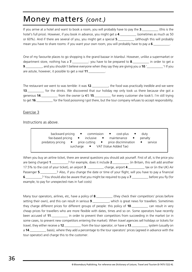### Money matters *(cont.)*

If you arrive at a hotel and want to book a room, you will probably have to pay the **3**.\_\_\_\_\_\_\_\_\_\_ (this is the hotel's full price). However, if you book in advance, you might get a **4**.\_\_\_\_\_\_\_\_\_\_ (sometimes as much as 50 or 60%). And if there are several of you, you might get a special **5**.\_\_\_\_\_\_\_\_\_\_ (although this will probably mean you have to share rooms: if you want your own room, you will probably have to pay a **6**.

One of my favourite places to go shopping is the grand bazaar in Istanbul. However, unlike a supermarket or department store, nothing has a **7**.\_\_\_\_\_\_\_\_\_\_: you have to be prepared to **8**.\_\_\_\_\_\_\_\_\_\_ in order to get a **9**.\_\_\_\_\_\_\_\_\_\_, and you shouldn't believe everyone when they say they are giving you a **10**.'\_\_\_\_\_\_\_\_\_\_'! If you are astute, however, it possible to get a real **11**.\_\_\_\_\_\_\_\_\_\_.

The restaurant we went to was terrible: it was **12**.\_\_\_\_\_\_\_\_\_\_, the food was practically inedible and we were **13**.\_\_\_\_\_\_\_\_\_\_ for the drinks. We discovered that our holiday rep only took us there because she got a generous **14**.\_\_\_\_\_\_\_\_\_\_ from the owner (a €5 **15**.\_\_\_\_\_\_\_\_\_\_ for every customer she took!). I'm still trying to get **16**.\_\_\_\_\_\_\_\_\_\_ for the food poisoning I got there, but the tour company refuses to accept responsibility.

### Exercise 3

Instructions as above.

|                                                                    |  | backward pricing • commission • cost-plus •<br>fee-based pricing • inclusive • maintenance • | dutv<br>penalty |
|--------------------------------------------------------------------|--|----------------------------------------------------------------------------------------------|-----------------|
| predatory pricing • price cutting • price discrimination • service |  | surcharge • VAT (Value Added Tax)                                                            |                 |

When you buy an airline ticket, there are several questions you should ask yourself. First of all, is the price you are being charged **1**.\_\_\_\_\_\_\_\_\_\_? For example, does it include **2**.\_\_\_\_\_\_\_\_\_\_ (in Britain, this will add another 17.5% to the cost of your ticket), an airport **3**. \_\_\_\_\_\_\_\_\_\_ charge, airport **4**.\_\_\_\_\_\_\_\_\_\_ tax or (in the UK) Air Passenger **5**. <sup>2</sup> Also, if you change the date or time of your flight, will you have to pay a financial **6**.\_\_\_\_\_\_\_\_\_\_? You should also be aware that you might be required to pay a **7**.\_\_\_\_\_\_\_\_\_\_ before you fly (for example, to pay for unexpected rises in fuel costs)

Many tour operators, airlines, etc, have a policy of **8**. They check their competitors' prices before setting their own), and this can result in serious **9**.\_\_\_\_\_\_\_\_\_\_, which is great news for travellers. Sometimes they charge different prices for different groups of people: this policy of **10**.\_\_\_\_\_\_\_\_\_\_ can result in very cheap prices for travellers who are more flexible with dates, times and so on. Some operators have recently been accused of **11**.\_\_\_\_\_\_\_\_\_\_ in order to prevent their competitors from succeeding in the market (or in some cases, to prevent new competitors entering the market). When travel agencies sell holidays or tickets for travel, they either receive a **12**.\_\_\_\_\_\_\_\_\_\_ from the tour operator, or have a **13**.\_\_\_\_\_\_\_\_\_\_ system (usually on a **14**.\_\_\_\_\_\_\_\_\_\_ basis), where they add a percentage to the tour operators' prices (agreed in advance with the tour operator) and charge this to the customer.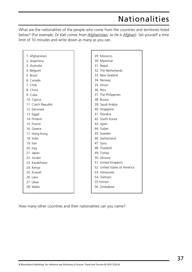## Nationalities

What are the nationalities of the people who come from the countries and territories listed below? (For example, *Dr Kali comes from Afghanistan, so he is Afghan*). Set yourself a time limit of 10 minutes and write down as many as you can.

| 1. Afghanistan     | 29. Morocco                  |
|--------------------|------------------------------|
| 2. Argentina       | 30. Myanmar                  |
| 3. Australia       | 31. Nepal                    |
| 4. Belgium         | 32. The Netherlands          |
| 5. Brazil          | 33. New Zealand              |
| 6. Canada          | 34. Norway                   |
| 7. Chile           | 35. Oman                     |
| 8. China           | 36. Peru                     |
| 9. Cuba            | 37. The Philippines          |
| 10. Cyprus         | 38. Russia                   |
| 11. Czech Republic | 39. Saudi Arabia             |
| 12. Denmark        | 40. Singapore                |
| 13. Egypt          | 41. Slovakia                 |
| 14. Finland        | 42. South Korea              |
| 15. France         | 43. Spain                    |
| 16. Greece         | 44. Sudan                    |
| 17. Hong Kong      | 45. Sweden                   |
| 18. India          | 46. Switzerland              |
| 19. Iran           | 47. Syria                    |
| 20. Iraq           | 48. Thailand                 |
| 21. Japan          | 49. Turkey                   |
| 22. Jordan         | 50. Ukraine                  |
| 23. Kazakhstan     | 51. United Kingdom           |
| 24. Kenya          | 52. United States of America |
| 25. Kuwait         | 53. Venezuela                |
| 26. Laos           | 54. Vietnam                  |
| 27. Libya          | 55.Yemen                     |
| 28. Malta          | 56. Zimbabwe                 |
|                    |                              |

How many other countries and their nationalities can you name?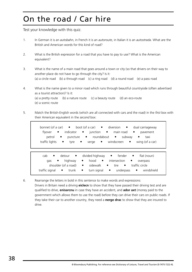# On the road / Car hire

Test your knowledge with this quiz.

- 1. In German it is an *autobahn*, in French it is an *autoroute*, in Italian it is an *autostrada*. What are the British and American words for this kind of road?
- 2. What is the British expression for a road that you have to pay to use? What is the American equivalent?
- 3. What is the name of a main road that goes around a town or city (so that drivers on their way to another place do not have to go through the city? Is it: (a) a circle road (b) a through road (c) a ring road (d) a round road (e) a pass road
- 4. What is the name given to a minor road which runs through beautiful countryside (often advertised as a tourist attraction)? Is it:

```
(a) a pretty route (b) a nature route (c) a beauty route (d) an eco-route 
(e) a scenic route
```
5. Match the British-English words (which are all connected with cars and the road) in the *first* box with their American equivalent in the *second* box:

| indicator •<br>$\bullet$<br>flyover<br>petrol<br>$\bullet$<br>traffic lights $\bullet$ | bonnet (of a car) $\bullet$ boot (of a car) $\bullet$ diversion $\bullet$ dual carriageway<br>$\frac{1}{2}$ junction • main road • pavement<br>puncture • roundabout • subway<br>$\bullet$<br>taxi<br>tyre • verge • windscreen •<br>wing (of a car) |
|----------------------------------------------------------------------------------------|------------------------------------------------------------------------------------------------------------------------------------------------------------------------------------------------------------------------------------------------------|
| cab<br>detour •                                                                        | divided highway $\bullet$ fender $\bullet$ flat (noun)                                                                                                                                                                                               |
| highway<br>$\bullet$<br>gas                                                            | hood •<br>intersection •<br>$\bullet$<br>overpass                                                                                                                                                                                                    |
| shoulder (of a road)                                                                   | tire •<br>traffic circle<br>sidewalk •<br>$\bullet$                                                                                                                                                                                                  |
| traffic signal $\bullet$ trunk                                                         | turn signal • underpass • windshield<br>$\bullet$                                                                                                                                                                                                    |

6. Rearrange the letters in bold in this sentence to make words and expressions: Drivers in Britain need a driving **eiclecn** to show that they have passed their driving test and are qualified to drive, **enisarcnu** in case they have an accident, and **ador axt** (money paid to the government which allows them to use the road) before they can drive their cars on public roads. If they take their car to another country, they need a **nerge drac** to show that they are insured to drive.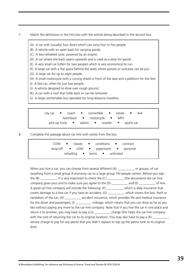- 7. Match the definitions in the first box with the vehicle being described in the second box.
	- (A) A car with (usually) four doors which can carry four or five people
	- (B) A vehicle with an open back for carrying goods.
	- (C) A two-wheeled cycle, powered by an engine.
	- (D) A car where the back opens upwards and is used as a door for goods.
	- (E) A very small car (often for two people) which is very economical to run.
	- (F) A large car with a flat space behind the seats where parcels or suitcases can be put.
	- (G) A large car for up to eight people.
	- (H) A small motorcycle with a curving shield in front of the seat and a platform for the feet.
	- (I) A fast car, often for just two people.
	- (J) A vehicle designed to drive over rough ground.
	- (K) A car with a roof that folds back or can be removed.
	- (L) A large comfortable bus operated for long-distance travellers.

| city car • coach • convertible • estate • |  |                                               |  | 4x4 |  |
|-------------------------------------------|--|-----------------------------------------------|--|-----|--|
|                                           |  | hatchback • motorcycle • MPV                  |  |     |  |
|                                           |  | pick-up truck • saloon • scooter • sports car |  |     |  |

#### 8. Complete this passage about car hire with words from the box.

|  |                                |  |  | $CDW \bullet$ classes $\bullet$ conditions $\bullet$ contract |
|--|--------------------------------|--|--|---------------------------------------------------------------|
|  |                                |  |  | drop-off • LDW • paperwork • personal                         |
|  | refuelling • terms • unlimited |  |  |                                                               |

When you hire a car, you can choose from several different (A) \_\_\_\_\_\_\_\_\_, or groups, of car (anything from a small group A economy car to a large group 7M people carrier). Before you sign the  $(B)$  \_\_\_\_\_\_\_\_, it is very important to check the  $(C)$  \_\_\_\_\_\_\_\_\_\_\_(the documents the car hire company gives you) and to make sure you agree to the (D) \_\_\_\_\_\_\_\_\_ and (E) \_\_\_\_\_\_\_\_\_ of hire. A good car hire company will include the following: (F) \_\_\_\_\_\_\_\_\_\_, which is daily insurance that covers damage to a hire car if you have an accident; (G) \_\_\_\_\_\_\_\_\_\_, which covers the loss, theft or vandalism of the car; (H) \_\_\_\_\_\_\_\_\_\_ accident insurance, which provides life and medical insurance for the driver and passengers; (I) \_\_\_\_\_\_\_\_\_\_\_ mileage, which means that you can drive as far as you like without paying any more to the car hire company. Note that if you hire the car in one place and return it to another, you may have to pay a  $(J)$  \_\_\_\_\_\_\_\_\_\_\_\_ charge (this helps the car hire company with the cost of returning the car to its original location). You may also have to pay a  $(K)$ service charge to pay for any petrol that you didn't replace to top up the petrol tank to its original level.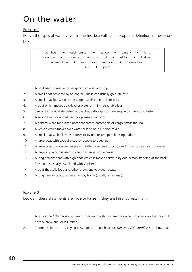# On the water

Exercise 1

Match the types of water vessel in the first box with an appropriate definition in the second box.



- 1. A boat used to rescue passengers from a sinking ship.
- 2. A small boat powered by an engine. These can usually go quite fast.
- 3. A small boat for two or three people, with either sails or oars.
- 4. A boat which moves quickly over water on thin, retractable legs.
- 5. Similar to the boat described above, but with a gas turbine engine to make it go faster.
- 6. A sailing boat, or a boat used for pleasure and sport.
- 7. A general word for a large boat that carries passengers or cargo across the sea.
- 8. A vehicle which moves over water or land on a cushion of air.
- 9. A small boat which is moved forward by one or two people using paddles.
- 10. A large boat with special areas for people to sleep in.
- 11. A large boat that carries people and (often) cars and trucks to and fro across a stretch of water.
- 12. A large ship which is used to carry passengers on a cruise.
- 13. A long narrow boat with high ends which is moved forward by one person standing at the back (this boat is usually associated with Venice)
- 14. A boat that sells food and other provisions to bigger boats.
- 15. A long narrow boat used as a holiday home (usually on a canal).

### Exercise 2

Decide if these statements are **True** or **False**. If they are false, correct them.

- 1. A *provisioned charter* is a system of chartering a ship where the owner provides only the ship, but *not* the crew, fuel or insurance,
- 2. Before a ship can carry paying passengers, it must have a *certificate of airworthiness* to show that it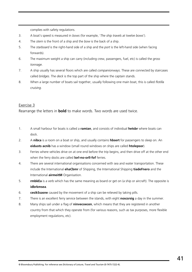complies with safety regulations.

- 3. A boat's speed is measured in *bows* (for example, '*The ship travels at twelve bows*').
- 4. The *stern* is the front of a ship and the *bow* is the back of a ship.
- 5. The *starboard* is the right-hand side of a ship and the *port* is the left-hand side (when facing forwards).
- 6. The maximum weight a ship can carry (including crew, passengers, fuel, etc) is called the *gross tonnage*.
- 7. A ship usually has several floors which are called *companionways*. These are connected by staircases called *bridges*. The *deck* is the top part of the ship where the captain stands.
- 8. When a large number of boats sail together, usually following one main boat, this is called *flotilla cruising*.

### Exercise 3

Rearrange the letters in **bold** to make words. Two words are used twice.

- 1. A small harbour for boats is called a **ramian**, and consists of individual **hetsbr** where boats can dock.
- 2. A **nibca** is a room on a boat or ship, and usually contains **hbsert** for passengers to sleep on. An **eiduots acnib** has a window (small round windows on ships are called **htolepsor**).
- 3. Ferries where vehicles drive on at one end before the trip begins, and then drive off at the other end when the ferry docks are called **lorl-no-orll-fof** ferries.
- 4. There are several international organisations concerned with sea and water transportation. These include the International **ehaCbmr** of Shipping, the International Shipping **tiadeFnero** and the International **airmeitM** Organisation.
- 5. **rmbkEa** is a verb which has the same meaning as board or get on (a ship or aircraft). The opposite is **idbrkmsea**.
- 6. **cesikSsasne** caused by the movement of a ship can be relieved by taking pills.
- 7. There is an excellent ferry service between the islands, with eight **noscsrsig** a day in the summer.
- 8. Many ships sail under a flag of **ninvecoecen**, which means that they are registered in another country from that which they operate from (for various reasons, such as tax purposes, more flexible employment regulations, etc).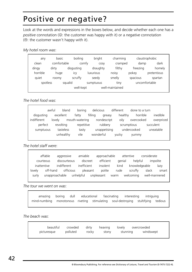## Positive or negative?

Look at the words and expressions in the boxes below, and decide whether each one has a *positive* connotation (☺: the customer was happy with it) or a *negative* connotation  $(\odot)$ : the customer wasn't happy with it).

### *My hotel room was*:

airy basic boiling bright charming claustrophobic clean comfortable comfy cosy cramped damp dark dingy dirty disgusting draughty filthy freezing homely horrible huge icy luxurious noisy pokey pretentious quiet roomy scruffy seedy smelly spacious spartan spotless squalid sumptuous tiny uncomfortable well-kept well-maintained

### *The hotel food was*:

awful bland boring delicious different done to a turn disgusting excellent fatty filling greasy healthy horrible inedible indifferent lovely mouth-watering nondescript oily overcooked overpriced perfect revolting repetitive rubbery scrumptious succulent sumptuous tasteless tasty unappetising undercooked uneatable unhealthy vile wonderful yucky yummy

### *The hotel staff were*:

affable aggressive amiable approachable attentive considerate courteous discourteous discreet efficient genial helpful impolite inattentive indifferent inefficient insolent kind knowledgeable lazy lovely off-hand officious pleasant polite rude scruffy slack smart surly unapproachable unhelpful unpleasant warm welcoming well-mannered

*The tour we went on was*:

amazing boring dull educational fascinating interesting intriguing mind-numbing monotonous riveting stimulating soul-destroying stultifying tedious

*The beach was*:

| beautiful   |                |       | crowded dirty heaving lovely overcrowded |
|-------------|----------------|-------|------------------------------------------|
| picturesque | polluted rocky | stony | windswept<br>stunnina                    |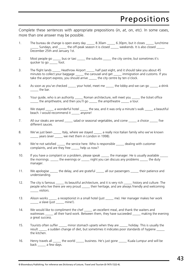## Prepositions

Complete these sentences with appropriate prepositions (*in*, *at*, *on*, etc). In some cases, more than one answer may be possible.

- 1. The bureau de change is open every day \_\_\_\_\_ 8.30am \_\_\_\_\_ 6.30pm, but it closes \_\_\_\_\_ lunchtime \_\_\_\_\_ Sundays, and \_\_\_\_\_ the off-peak season it is closed \_\_\_\_\_ weekends. It is also closed \_\_\_\_\_ December 25th and January 1st.
- 2. Most people go bus or taxi the suburbs the city centre, but sometimes it's quicker to go \_\_\_\_\_\_ foot.
- 3. The flight lands \_\_\_\_\_ Heathrow Airport \_\_\_\_\_ half past eight, and it should take you about 45 minutes to collect your baggage \_\_\_\_\_ the carousel and get \_\_\_\_\_ immigration and customs. If you take the airport express, you should arrive \_\_\_\_\_ the city centre by ten o'clock.
- 4. As soon as you've checked \_\_\_\_\_ your hotel, meet me \_\_\_\_\_ the lobby and we can go \_\_\_\_\_ a drink \_\_\_\_\_ the bar.
- 5. Your guide, who is an authority \_\_\_\_\_\_ Roman architecture, will meet you \_\_\_\_\_ the ticket office \_\_\_\_\_ the ampitheatre, and then you'll go \_\_\_\_\_ the ampitheatre \_\_\_\_\_ a tour.
- 6. We stayed \_\_\_\_\_ a wonderful hotel \_\_\_\_\_ the sea, and it was only a minute's walk \_\_\_\_\_ a beautiful beach. I would recommend it \_\_\_\_\_ anyone!
- 7. All our steaks are served \_\_\_\_\_ salad or seasonal vegetables, and come \_\_\_\_\_ a choice \_\_\_\_\_ five different sauces.
- 8. We've just been \_\_\_\_\_ Italy, where we stayed \_\_\_\_\_ a really nice Italian family who we've known years (ever we met them in London in 1998).
- 9. We're not satisfied the service here. Who is responsible dealing with customer complaints, and are they free \_\_\_\_\_ help us now?
- 10. If you have a complaint or a problem, please speak \_\_\_\_\_ the manager. He is usually available \_\_\_\_\_ the mornings. \_\_\_\_\_ the evenings or \_\_\_\_\_ night you can discuss any problems \_\_\_\_\_ the duty manager.
- 11. We apologise \_\_\_\_\_\_ the delay, and are grateful \_\_\_\_\_ all our passengers \_\_\_\_\_ their patience and understanding.
- 12. The city is famous its beautiful architecture, and it is very rich history and culture. The people who live there are very proud \_\_\_\_\_ their heritage, and are always friendly and welcoming \_\_\_\_\_ visitors.
- 13. Alison works \_\_\_\_\_ a receptionist in a small hotel (just \_\_\_\_\_ me). Her manager makes her work \_\_\_\_\_ a slave (just \_\_\_\_\_ mine!).
- 14. We would like to compliment the chef \_\_\_\_\_ an excellent meal, and thank the waiters and waitresses \_\_\_\_\_ all their hard work. Between them, they have succeeded \_\_\_\_\_ making the evening a great success.
- 15. Tourists often suffer \_\_\_\_\_ minor stomach upsets when they are \_\_\_\_\_ holiday. This is usually the result \_\_\_\_\_\_ a sudden change of diet, but sometimes it indicates poor standards of hygiene \_\_\_\_\_\_ the kitchen.
- 16. Henry travels all \_\_\_\_\_ the world \_\_\_\_\_ business. He's just gone \_\_\_\_\_ Kuala Lumpur and will be back \_\_\_\_\_\_ a few days.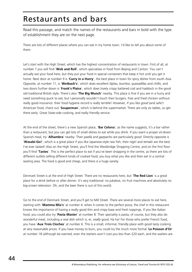## Restaurants and bars

Read this passage, and match the names of the restaurants and bars in bold with the type of establishment they are on the next page.

There are lots of different places where you can eat in my home town. I'd like to tell you about some of them.

Let's start with the High Street, which has the highest concentration of restaurants in town. First of all, at number 7 you will find '**Wok and Roll**', which specialises in food from Beijing and Canton. You can't actually eat your food here, but they put your food in special containers that keep it hot until you get it home. Next door at number 9 is '**Curry in a Hurry**', the best place in town for spicy dishes from south Asia. Opposite, at number 11, is '**Wetback's**', which does excellent *fajitas*, *burritos*, *quesadillas* and *chillis*, and two doors further down is '**Frank's Plaice**', which does lovely crispy battered cod and haddock in the good old traditional British style. There's also '**The Big Munch**' nearby. This place is fine if you are in a hurry and need something quick to eat, but I personally wouldn't touch their burgers, fries and fried chicken without really good insurance: their food hygiene record is really terrible! However, if you like *good* (and safe!) American food, check out '**Souperman**', which is behind the supermarket. There are only six tables, so get there early. Great State-side cooking, and really friendly service.

At the end of the street, there's a new Spanish place, '**Bar Celona**'; as the name suggests, it's a bar rather than a restaurant, but you can get lots of small dishes to eat while you drink. If you want a proper sit-down Spanish meal, try '**Alhambra**' nearby. Their *paella* and *gazpacho* are particularly good. Directly opposite is '**Wasabi-Go!**', which is a great place if you like Japanese-style raw fish; their *nigiri* and *temaki* are the best I've ever tasted! Also on the High Street, you'll find the Westbridge Shopping Centre, and on the first floor you'll find '**Tastes**'. This is the perfect place to eat if you've been shopping in the centre, as there are lots of different outlets selling different kinds of cooked food; you buy what you like and then eat in a central seating area. The food is good and cheap, and there is a huge variety.

Denmark Street is at the end of High Street. There are no restaurants here, but '**The Red Lion**' is a great place for a drink before or after dinner. It's very traditional: no jukebox, no fruit machines and absolutely no big-screen television. Oh, and the beer there is out of this world.

Go to the end of Denmark Street, and you'll get to Mill Street. There are several more places to eat here, starting with '**Mamma Mia's**' at number 4: when it comes to the perfect pizza, the chef in this restaurant knows the importance of having a really good thin and crispy base and fresh toppings. If you like Italian food, you could also try '**Pasta Master**' at number 8. Their speciality is pasta, of course, but they also do wonderful meat, including a veal dish which is, er, *veally* good. Ha ha! For those who prefer French food, you have '**Aux Trois Cloches**' at number 6. This is a small, informal, friendly place with good tasty cooking at very reasonable prices. If you have money to burn, you could try the much more formal '**Le Poisson d'Or**' at number 18 (although be warned, even the starters won't cost you less than £20 each, and the waiters are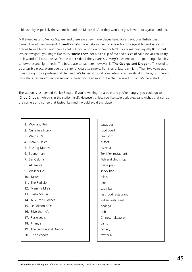a bit snobby, especially the sommelier and the Maitre d'. And they won't let you in without a jacket and tie).

Mill Street leads to Venice Square, and there are a few more places here. For a traditional British roast dinner, I would recommend '**Silverthorne's**'. You help yourself to a selection of vegetables and sauces or gravies from a buffet, and then a chef cuts you a portion of beef or lamb. For something equally British but less extravagant, you might like to try '**Rosie Lee's**' for a nice cup of tea and a slice of cake (or you could try their wonderful cream teas). On the other side of the square is '**Jimmy's**', where you can get things like pies, sandwiches and light meals. The best place to eat here, however, is '**The George and Dragon**'. This used to be a terrible place: warm beer, the stink of cigarette smoke, fights on a Saturday night. Then two years ago it was bought by a professional chef and he's turned it round completely. You can still drink here, but there's now also a restaurant section serving superb food. Last month the chef received his first Michelin star!

The station is just behind Venice Square. If you're waiting for a train and you're hungry, you could go to '**Choo-Choo's**', which is in the station itself. However, unless you like stale pork pies, sandwiches that curl at the corners and coffee that tastes like mud, I would avoid this place.

| 1. Wok and Roll |  |  |  |  |
|-----------------|--|--|--|--|
|-----------------|--|--|--|--|

- 2. Curry in a Hurry
- 3. Wetback's
- 4. Frank's Plaice
- 5. The Big Munch
- 6. Souperman
- 7. Bar Celona
- 8. Alhambra
- 9. Wasabi-Go!
- 10. Tastes
- 11 The Red Lion
- 12. Mamma Mia's
- 13. Pasta Master
- 14. Aux Trois Cloches
- 15. Le Poisson d'Or
- 16. Silverthorne's
- 17. Rosie Lee's
- 18. Jimmy's
- 19. The George and Dragon
- 20. Choo choo's

tapas bar food court tea room buffet pizzeria Tex-Mex restaurant Fish and chip shop gastropub snack bar relais diner sushi bar fast food restaurant Indian restaurant bodega pub Chinese takeaway bistro carvery trattoria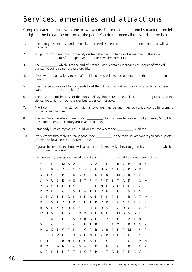## Services, amenities and attractions

Complete each sentence with one or two words. These can all be found by reading from left to right in the box at the bottom of the page. You do not need all the words in the box.

- 1. I need to get some cash and the banks are closed. Is there a/an \_\_\_\_\_\_\_\_\_\_ near here that will take my card?
- 2. To get from Summertown to the city centre, take the number 2 or the number 7. There's a \_\_\_\_\_\_\_\_\_\_ in front of the supermarket. Try to have the correct fare.
- 3. The \_\_\_\_\_\_\_\_\_\_, which is at the end of Nathan Road, contains thousands of species of tropical plants, including some very rare orchids.
- 4. If you want to get a ferry to one of the islands, you will need to get one from the \_\_\_\_\_\_\_\_\_\_ in Piraeus.
- 5. I want to send an email to my friends to let them know I'm well and having a good time. Is there a/an \_\_\_\_\_\_\_\_\_\_ near the hotel?
- 6. The hotels are full because of the public holiday, but there's an excellent \_\_\_\_\_\_\_\_\_\_ just outside the city centre which is much cheaper but just as comfortable.
- 7. The Blue \_\_\_\_\_\_\_\_\_\_ in Istanbul, with its towering minarets and huge dome, is a wonderful example of Islamic architecture.
- 8. The *Fondation Beyeler* in Basel is a/an \_\_\_\_\_\_\_\_\_\_ that contains famous works by Picasso, Miró, Max Ernst and other 20th century artists and sculptors.
- 9. Somebody's stolen my wallet. Could you tell me where the \_\_\_\_\_\_\_\_\_ is, please?
- 10. Every Wednesday there's a really good food \_\_\_\_\_\_\_\_\_\_ in the main square where you can buy lots of delicious local delicacies to take home.
- 11. If guests become ill, the hotel will call a doctor. Alternatively, they can go to his \_\_\_\_\_\_\_\_\_\_, which is just round the corner.
- 12. I've broken my glasses and I need to find a/an so that I can get them replaced.

| $\mathsf{C}$ |              | N            | E            | M            | A            | A      |              | R T G A L    |              |              |          | $\perp$      | E            | R            | Y            | P        | A            | R.       | K.     |
|--------------|--------------|--------------|--------------|--------------|--------------|--------|--------------|--------------|--------------|--------------|----------|--------------|--------------|--------------|--------------|----------|--------------|----------|--------|
| L            | $\mathbf{I}$ | B            | R            | A            | R            | Y      | C            | A S          |              | $\mathbf{L}$ | N        | 0            | А            | $\perp$      | R.           | P        | O            | R        | Τ      |
| S            | H            | $\Omega$     | P            | P            | $\mathbf{L}$ | N      | G            | C            | - E          | N            | Τ        | R            | E            | M            | A            | R        | K            | Ε        | $\top$ |
| Α            | M            | U            | S            | Е            | M            | E      | N            | Τ            | $\mathsf{P}$ | A            | R        | K            | S            | T            | A            | D        | $\mathbf{I}$ | U        | M      |
| Y            | O            | -U           | Τ            | Н            | H            | O      | S            | T            | - E          | L.           | N        | $\mathbf{L}$ | G            | Н            | T            | C        | L            | U        | B      |
| P            | $\Omega$     | $\mathbf{I}$ | $\mathbf{L}$ | C            | Ε            | S      | $\mathsf{T}$ | A T          |              | $\perp$      | $\Omega$ | N            | B            | $\cup$       | S            | S        | $\top$       | $\Omega$ | P      |
| S.           | T            | A            | Τ            | $\mathbf{L}$ | O            | N      | Н            | E.           | A            | L            | Τ        | H            | C            | $\mathsf{L}$ | U            | B        | A            | $\top$   | M      |
| R            | E            | S.           | T            | A            | U            | R      | A            | <sup>N</sup> | $\top$       | $\mathsf{P}$ | O        | R            | Τ            | C            | Α            | -S       | $\top$       | L        | Ε      |
| B            | A            | N            | K            | G            | U            | E      | S            | $\top$       | H O          |              | - U      | S            | Ε            | Ζ            | $\Omega$     | $\Omega$ | P            | $\cup$   | B      |
| M            | $\cup$       | S.           | Ε            | U            | M            | $\top$ | O            | W            | <sup>N</sup> | H            | Α        | $\mathsf{L}$ | L.           | M            | $\circ$      | -S       | Q            | U        | E      |
| IT.          | E            | M            | P            | L.           | Ε            | S      | U            | R            | G            | E            | R        | Y            | T            | H            | E.           | A        | T            | R        | E      |
| S            | P            | $\Omega$     | R            | $\top$       | S            | C      | E            | N            | $\top$       | $\mathsf{R}$ | E        | T            | A            | X            | $\Box$       | R        | A            | N        | К      |
| P            | $\Omega$     | S.           | T            | O            | F            | F.     | $\mathbf{I}$ | C            | E            | Β            | Α        | R            | C            | H            | E            | M        | $\perp$      | S        | Τ      |
| IΤ           | R            | A            | - V          | E.           | $\mathsf{L}$ | A      | G            | E            | <sup>N</sup> | C            | Y        | P            | Н            | O            | N            | E        | B            | O        | X      |
|              | N            | T            | E            | R            | N            | E.     | $\top$       | $\subset$    | A            | $-F$         | Ε        | 0            | P            | T            | $\mathbf{L}$ | C        | $\mathbf{I}$ | A        | N      |
| B            | $\Omega$     | T            | A            | N            | $\mathbf{L}$ | C      | G            | A            | R            | D            | Ε        | N            | $\mathbf{I}$ | C            | Ε            | R        | $\mathbf{I}$ | N        | K      |
| D            | E            | N            | $\top$       | $\perp$      | S            | Τ      | Н            | O            | -S           | P            | $\perp$  | T            | Α            | $\mathsf{L}$ | B            | E        | A            | C        | H      |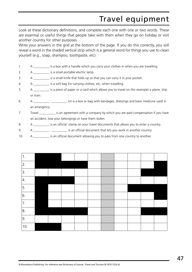# Travel equipment

Look at these dictionary definitions, and complete each one with one or two words. These are essential or useful things that people take with them when they go on holiday or visit another country for other purposes.

Write your answers in the grid at the bottom of the page. If you do this correctly, you will reveal a word in the shaded vertical strip which is a general word for things you use to clean yourself (e.g., soap, shampoo, toothpaste, etc).

- 1. A \_\_\_\_\_\_\_\_\_ is a box with a handle which you carry your clothes in when you are travelling.
- 2. A \_\_\_\_\_\_\_\_\_\_ is a small portable electric lamp.
- 3. A \_\_\_\_\_\_\_\_\_\_ is a small knife that folds up so that you can carry it in your pocket.
- 4. A cancelling a soft bag for carrying clothes, etc, when travelling.
- 5. A \_\_\_\_\_\_\_\_\_\_ is a piece of paper or a card which allows you to travel on (for example) a plane, ship or train.
- 6. A contract a head of the same of the same of the same of the same of the same of the same of the same of the same of the same of the same of the same of the same of the same of the same of the same of the same of the sa an emergency.
- 7. Travel \_\_\_\_\_\_\_\_\_\_ is an agreement with a company by which you are paid compensation if you have an accident, lose your belongings or have them stolen.
- 8. A \_\_\_\_\_\_\_\_\_ is an official stamp on your travel documents that allows you to enter a country.
- 9. A \_\_\_\_\_\_\_\_\_\_\_ \_\_\_\_\_\_\_\_\_\_\_ is an official document that lets you work in another country.
- 10. A can be a an official document allowing you to pass from one country to another.

| 1.  |  |  |  |  |  |
|-----|--|--|--|--|--|
| 2.  |  |  |  |  |  |
| 3.  |  |  |  |  |  |
| 4.  |  |  |  |  |  |
| 5.  |  |  |  |  |  |
| 6.  |  |  |  |  |  |
| 7.  |  |  |  |  |  |
| 8.  |  |  |  |  |  |
| 9.  |  |  |  |  |  |
| 10. |  |  |  |  |  |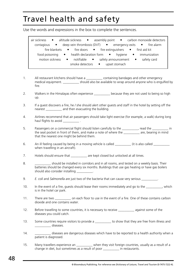# Travel health and safety

Use the words and expressions in the box to complete the sentences.

|                                                                              |                                                                                         | air sickness • altitude sickness • assembly point • carbon monoxide detectors    |
|------------------------------------------------------------------------------|-----------------------------------------------------------------------------------------|----------------------------------------------------------------------------------|
|                                                                              |                                                                                         | contagious • deep vein thrombosis (DVT) • emergency exits • fire alarm           |
|                                                                              | fire blankets $\bullet$ fire doors $\bullet$ fire extinguishers $\bullet$ first aid kit |                                                                                  |
| food poisoning $\bullet$ health declaration form $\bullet$ hygiene $\bullet$ | smoke detectors • upset stomach                                                         | immunization<br>motion sickness • notifiable • safety announcement • safety card |

- 1. All restaurant kitchens should have a \_\_\_\_\_\_\_\_\_\_\_ containing bandages and other emergency medical equipment. \_\_\_\_\_\_\_\_\_\_\_\_ should also be available to wrap around anyone who is engulfed by fire.
- 2. Walkers in the Himalayas often experience \_\_\_\_\_\_\_\_\_\_\_ because they are not used to being so high up.
- 3. If a guest discovers a fire, he / she should alert other guests and staff in the hotel by setting off the nearest and then evacuating the building.
- 4. Airlines recommend that air passengers should take light exercise (for example, a walk) during long haul flights to avoid
- 5. Passengers on a commercial flight should listen carefully to the \_\_\_\_\_\_\_\_, read the \_\_\_\_\_\_\_\_\_\_ in the seat pocket in front of them, and make a note of where the \_\_\_\_\_\_\_\_\_\_ are, bearing in mind that the nearest one might be behind them.
- 6. An ill feeling caused by being in a moving vehicle is called  $\qquad$  (it is also called when travelling in an aircraft).
- 7. Hotels should ensure that \_\_\_\_\_\_\_\_\_\_ are kept closed but unlocked at all times.
- 8. \_\_\_\_\_\_\_\_\_\_ should be installed in corridors and in all rooms, and tested on a weekly basis. Their batteries should be changed every six months. Buildings that use gas heating or have gas boilers should also consider installing \_
- 9. *E. coli* and *Salmonella* are just two of the bacteria that can cause very serious \_\_\_\_\_\_\_\_\_\_.
- 10. In the event of a fire, quests should lease their rooms immediately and go to the  $\blacksquare$ , which is in the hotel car park.
- 11. There are two \_\_\_\_\_\_\_\_ on each floor to use in the event of a fire. One of these contains carbon dioxide and one contains water.
- 12. Before travelling to some countries, it is necessary to receive against some of the diseases you could catch.
- 13. Some countries require visitors to provide a state of providing to show that they are free from illness and diseases.
- 14. \_\_\_\_\_\_\_\_\_\_ diseases are dangerous diseases which have to be reported to a health authority when a patient is diagnosed.
- 15. Many travellers experience an \_\_\_\_\_\_\_\_\_ when they visit foreign countries, usually as a result of a change in diet, but sometimes as a result of poor \_\_\_\_\_\_\_\_\_\_ in restaurants.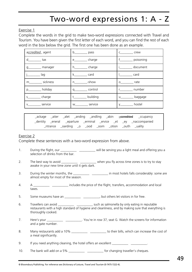## Two-word expressions 1: A - Z

### Exercise 1

Complete the words in the grid to make two-word expressions connected with Travel and Tourism. You have been given the first letter of each word, and you can find the rest of each word in the box below the grid. The first one has been done as an example.

| accredited agent   | b<br>pass     | crew             |
|--------------------|---------------|------------------|
| d<br>tax           | charge<br>e — | poisoning        |
| manager<br>q       | charge<br>h.  | document         |
| lag                | k<br>card     | card             |
| sickness<br>m      | -show<br>n    | rate<br>$\Omega$ |
| holiday<br>$p_{i}$ | control<br>a  | number           |
| charge<br>ς        | building      | baggage<br>u     |
| service<br>$\vee$  | service<br>W  | hostel           |

\_ackage \_aiter \_alet \_anding \_andling \_abin <del>\_ccredited</del> \_ccupancy \_dentity \_eneral \_eparture \_erminal \_ervice \_et \_ey \_naccompanied ntrance oarding o ood oom otion outh uality

### Exercise 2

Complete these sentences with a two-word expression from above.

- 1. During the flight, our \_\_\_\_\_\_\_\_\_\_\_\_\_\_\_\_\_\_\_\_\_\_\_\_\_ will be serving you a light meal and offering you a selection of drinks from the bar.
- 2. The best way to avoid \_\_\_\_\_\_\_\_\_\_\_\_\_\_\_\_\_\_\_\_\_\_\_\_\_\_ when you fly across time zones is to try to stay awake in your new time zone until it gets dark.
- 3. During the winter months, the \_\_\_\_\_\_\_\_\_\_\_\_\_\_ \_\_\_\_\_\_\_\_\_\_ in most hotels falls considerably: some are almost empty for most of the season.
- 4. A contract A controller includes the price of the flight, transfers, accommodation and local taxes.
- 5. Some museums have an \_\_\_\_\_\_\_\_\_\_\_\_ \_\_\_\_\_\_\_\_\_\_, but others let visitors in for free.
- 6. Travellers can avoid **the same of the such as salmonella by only eating in reputable** restaurants with a high standard of hygiene and cleanliness, and by making sure that everything is thoroughly cooked.
- 7. Here's your \_\_\_\_\_\_\_\_\_\_\_\_\_\_\_\_\_\_\_\_\_\_\_\_\_. You're in row 37, seat G. Watch the screens for information and a gate number.
- 8. Many restaurants add a 10% \_\_\_\_\_\_\_\_\_\_\_\_\_ \_\_\_\_\_\_\_\_\_\_\_ to their bills, which can increase the cost of a meal significantly.

9. If you need anything cleaning, the hotel offers an excellent

10. The bank will add on a 5% \_\_\_\_\_\_\_\_\_\_\_\_\_ \_\_\_\_\_\_\_\_\_\_ for changing traveller's cheques.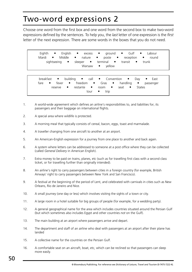## Two-word expressions 2

Choose one word from the first box and one word from the second box to make two-word expressions defined by the sentences. To help you, the *last* letter of one expression is the *first* letter of the next expression. There are some words in the boxes that you do not need.

| sightseeing $\bullet$                   | Warsaw •                     | Eighth • English • excess • ground • Gulf • Labour<br>Mardi • Middle • nature • poste • reception • round<br>sleeper • terminal •<br>transit • trunk<br>yellow |
|-----------------------------------------|------------------------------|----------------------------------------------------------------------------------------------------------------------------------------------------------------|
| $breakfast$ $\bullet$<br>fare $\bullet$ | reserve • restante •<br>tour | building • call • Convention •<br>Day • East<br>fever • freedom • Gras • handling • passenger<br>room •<br><b>States</b><br>seat •<br>trip<br>$\bullet$        |

- 1. A world-wide agreement which defines an airline's responsibilities to, and liabilities for, its passengers and their baggage on international flights.
- 2. A special area where wildlife is protected.
- 3. A morning meal that typically consists of cereal, bacon, eggs, toast and marmalade.
- 4. A traveller changing from one aircraft to another at an airport.
- 5. An American-English expression for a journey from one place to another and back again.
- 6. A system where letters can be addressed to someone at a post office where they can be collected (called *General Delivery* in American English).
- 7. Extra money to be paid on trains, planes, etc (such as for travelling first class with a second class ticket, or for travelling further than originally intended).
- 8. An airline's right to carry passengers between cities in a foreign country (for example, British Airways' right to carry passengers between New York and San Francisco).
- 9. A festival at the beginning of the period of Lent, and celebrated with carnivals in cities such as New Orleans, Rio de Janeiro and Nice.
- 10. A small journey (one day or less) which involves visiting the sights of a town or city.
- 11. A large room in a hotel suitable for big groups of people (for example, for a wedding party).
- 12. A general geographical name for the area which includes countries situated around the Persian Gulf (but which sometimes also includes Egypt and other countries *not* on the Gulf).
- 13. The main building at an airport where passengers arrive and depart.
- 14. The department and staff of an airline who deal with passengers at an airport after their plane has landed
- 15. A collective name for the countries on the Persian Gulf.
- 16. A comfortable seat on an aircraft, boat, etc, which can be reclined so that passengers can sleep more easily.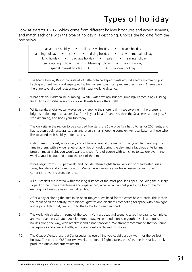# Types of holiday

<span id="page-55-0"></span>Look at extracts 1 - 17, which come from different holiday brochures and advertisements, and match each one with the type of holiday it is describing. Choose the holidays from the box below.

| adventure holiday • all-inclusive holiday                         | beach holiday<br>$\bullet$           |
|-------------------------------------------------------------------|--------------------------------------|
| camping holiday • cruise • diving holiday • environmental holiday |                                      |
| hiking holiday • package holiday • safari • sailing holiday       |                                      |
| self-catering holiday •                                           | sightseeing holiday • skiing holiday |
| special interest holiday<br>tour<br>$\bullet$                     | working holiday<br>$\bullet$         |

- 1. The Maria Holiday Resort consists of 24 self-contained apartments around a large swimming pool. Each apartment has a well-equipped kitchen where guests can prepare their meals. Alternatively, there are several good restaurants within easy walking distance.
- 2. What gets your adrenaline pumping? White-water rafting? Bungee jumping? Parachuting? Gliding? Rock climbing? Whatever your choice, Thrash Tours offers it all!
- 3. White sands, crystal water, waves gently lapping the shore, palm trees swaying in the breeze, a bright sun floating in an azure sky. If this is your idea of paradise, then the Seychelles are for you. So stop dreaming, and book your trip today!
- 4. The only site in the region to be awarded five stars, the Solero de Risa has pitches for 200 tents, and has its own pool, restaurants, bars and even a small shopping complex. An ideal base for those who like to spend their holiday under canvas.
- 5. Cabins are luxuriously appointed, and all have a view of the sea. Not that you'll be spending much time in them: with a wide range of activities on deck during the day, and a fabulous entertainment programme at night, you won't want to sleep! And of course with ten cities to explore over three weeks, you'll be out and about the rest of the time.
- 6. Prices begin from £350 per week, and include return flights from Gatwick or Manchester, visas, taxes, transfers and accommodation. We can even arrange your travel insurance and foreign currency - at very reasonable rates.
- 7. All our chalets are located within walking distance of the most popular slopes, including the nursery slope. For the more adventurous and experienced, a cable car can get you to the top of the most exciting black-run pistes within half an hour.
- 8. After a day exploring the area in an open-top jeep, we head for the water-hole at dusk. This is then the focus of all the activity, with hippos, giraffes and elephants competing for space with flamingos and egrets. After that, we return to the lodge for dinner and bed.
- 9. The walk, which takes in some of the country's most beautiful scenery, takes five days to complete, and we cover an estimated 20 kilometres a day. Accommodation is in youth hostels and guest houses along the way, with breakfast and dinner provided. We strongly recommend that you bring waterproofs and a water bottle, and wear comfortable walking shoes.
- 10. The Cuatro Vientos resort at Santa Lucia has everything you could possibly want for the perfect holiday. The price of £850 for two weeks includes all flights, taxes, transfers, meals, snacks, locally produced drinks and entertainment.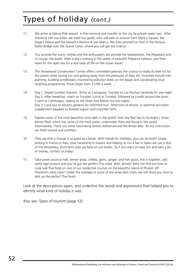# Types of holiday *(cont.)*

- 11. We arrive at Marco Polo airport in the morning and transfer to the city by private water taxi. After checking into our hotel, we meet our guide, who will take us around Saint Mark's Square, the Doge's Palace and the beautiful Basilica di San Marco. We then proceed on foot to the famous Rialto Bridge over the Grand Canal, where you will get the chance….
- 12. You provide the warm clothes and the enthusiasm, we provide the waterproofs, the lifejackets and, of course, the boats. After a day's training in the safety of peaceful Poliparut harbour, you then head for the open sea for a real taste of life on the ocean wave!
- 13. The Arrowhead Conservation Centre offers committed greenies the chance to really do their bit for the planet while having fun and getting away from the pressures of daily life. Activities include tree planting, building windbreaks, monitoring pollution levels on the beach and coordinating local recycling programmes. Prices begin from £1200 a week….
- 14. Day 1: Depart London Gatwick. Arrive at Camaguey. Transfer to Los Pinchos hacienda for one night. Day 2: After breakfast, coach to Trinidad. Lunch in Trinidad, followed by a walk around the town. Coach to Cienfuegos, staying at the Hotel Jose Martin for two nights. Day 3: Local bus to botanic gardens for informed tour. Afternoon at leisure, or optional excursion (supplement payable) to Burette lagoon and crocodile farm.
- 15. Explore some of the most beautiful coral reefs in the world, from the Red Sea to Australia's Great Barrier Reef, which has some of the most exotic underwater flora and fauna in the world. Alternatively, check out some fascinating wrecks dotted around the British Isles. All our instructors are PADI trained and certified…
- 16. They say that a change is as good as a break. With Hands-On Holidays, you can do both! Grape picking in France or Italy, olive harvesting in Greece and helping to run a bar in Spain are just a few of the temporary, short-term jobs we have on our books. So if you want to have fun and earn a bit of money, contact us today!
- 17. Take some coconut milk, lemon grass, chillies, garlic, ginger, and fish sauce, mix it together, add some tiger prawns and you've got the perfect Thai meal. Well, almost! Why not find out how to cook real Thai food on one of our residential courses on the beautiful island of Phuket, off Thailand's west coast? Under the tutelage of some of the areas best chefs, we will show you how to dish up the perfect Thai feast!

Look at the descriptions again, and underline the words and expressions that helped you to identify what kind of holiday it was.

Also see: *Types of tourism* [\(page 53\)](#page-57-0)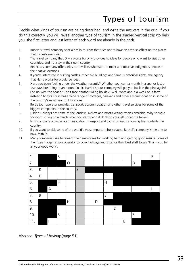# Types of tourism

<span id="page-57-0"></span>Decide what kinds of tourism are being described, and write the answers in the grid. If you do this correctly, you will reveal another type of tourism in the shaded vertical strip (to help you, the first letter and last letter of each word are already in the grid).

- 1. Robert's travel company specialises in tourism that tries not to have an adverse effect on the places that its customers visit.
- 2. The travel company that Olivia works for only provides holidays for people who want to visit other countries, and not stay in their own country.
- 3. Rebecca's company offers trips to travellers who want to meet and observe indigenous people in their native locations.
- 4. If you're interested in visiting castles, other old buildings and famous historical sights, the agency that Harry works for would be ideal.
- 5. Have you been feeling under the weather recently? Whether you want a month in a spa, or just a few days breathing clean mountain air, Harriet's tour company will get you back in the pink again!
- 6. Fed up with the beach? Can't face another skiing holiday? Well, what about a week on a farm instead? Andy's Tours has a wide range of cottages, caravans and other accommodation in some of the country's most beautiful locations.
- 7. Bert's tour operator provides transport, accommodation and other travel services for some of the biggest companies in the country.
- 8. Hilda's Holidays has some of the loudest, liveliest and most exciting resorts available. Why spend a fortnight sitting on a beach when you can spend it drinking yourself under the table?!
- 9. Ian's company provides accommodation, transport and tours for visitors coming from outside the country.
- 10. If you want to visit some of the world's most important holy places, Rachel's company is the one to have faith in.
- 11. Many companies like to reward their employees for working hard and getting good results. Some of them use Imogen's tour operator to book holidays and trips for their best staff to say 'Thank you for all your good work'.

| 1.  |              |                          | ${\sf R}$     |               |             |   |                           |   |   |             | $\mathsf E$ |
|-----|--------------|--------------------------|---------------|---------------|-------------|---|---------------------------|---|---|-------------|-------------|
| 2.  |              |                          |               | $\circ$       |             |   |                           |   |   | D           |             |
| 3.  | ${\sf R}$    |                          |               |               | $\mathsf S$ |   |                           |   |   |             |             |
| 4.  | $\mathsf{H}$ |                          |               |               |             |   | E                         |   |   |             |             |
| 5.  |              |                          | H             |               |             |   | $\boldsymbol{\mathsf{H}}$ |   |   |             |             |
| 6.  |              | $\overline{A}$           |               |               |             |   |                           |   |   |             |             |
| 7.  | $\sf B$      |                          |               |               |             |   | S                         |   |   |             |             |
| 8.  |              |                          |               | $\mathsf{H}%$ |             | D |                           |   |   |             |             |
| 9.  |              |                          | $\vert \vert$ |               |             |   |                           | D |   |             |             |
| 10. |              |                          | ${\sf R}$     |               |             |   |                           |   |   | $\mathsf S$ |             |
| 11. |              | $\overline{\phantom{a}}$ |               |               |             |   |                           |   | E |             |             |

Also see: *Types of holiday* [\(page 51\)](#page-55-0)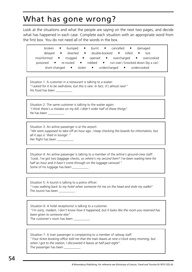## What has gone wrong?

Look at the situations and what the people are saying on the next two pages, and decide what has happened in each case. Complete each situation with an appropriate word from the first box. You do not need all of the words in the box.

| broken •      | bumped • burnt • cancelled •<br>damaged                                      |
|---------------|------------------------------------------------------------------------------|
| delaved       | • diverted • double-booked •<br>killed<br>lost<br>$\bullet$                  |
| misinformed • | opened • overcharged •<br>mugged •<br>overcooked                             |
|               | robbed • run over / knocked down (by a car)<br>poisoned • re-routed •        |
|               | undercharged $\bullet$<br>short-changed $\bullet$<br>stolen •<br>undercooked |

Situation 1: A customer in a restaurant is talking to a waiter: "*I asked for it to be well-done, but this is rare. In fact, it's almost raw*!" His food has been \_\_\_\_\_\_\_\_\_\_.

Situation 2: The same customer is talking to the waiter again: *"I think there's a mistake on my bill. I didn't order half of these things".* He has been \_\_\_\_\_\_\_\_\_\_.

Situation 3: An airline passenger is at the airport: *"We were supposed to take off an hour ago. I keep checking the boards for information, but all it says is 'Wait in lounge'."*  Her flight has been \_\_\_\_\_\_\_\_\_\_.

Situation 4: An airline passenger is talking to a member of the airline's ground-crew staff: *"Look, I've got two baggage checks, so where's my second item? I've been waiting here for half an hour and it hasn't come through on the luggage carousel."* Some of his luggage has been \_\_\_\_\_\_\_\_\_\_.

Situation 5: A tourist is talking to a police officer: "*I was walking back to my hotel when someone hit me on the head and stole my wallet*" The tourist has been \_\_\_\_\_\_\_\_\_\_\_\_\_.

Situation 6: A hotel receptionist is talking to a customer. "*I'm sorry, madam, I don't know how it happened, but it looks like the room you reserved has been given to someone else*". The customer's room has been  $\blacksquare$ 

Situation 7: A train passenger is complaining to a member of railway staff. "*Your ticket booking office told me that the train leaves at nine o'clock every morning, but when I got to the station, I discovered it leaves at half past eight*". The passenger has been \_\_\_\_\_\_\_\_\_\_.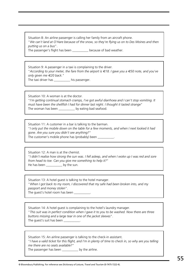Situation 8: An airline passenger is calling her family from an aircraft phone.

"*We can't land at O'Hare because of the snow, so they're flying us on to Des Moines and then putting us on a bus*".

The passenger's flight has been \_\_\_\_\_\_\_\_\_\_ because of bad weather.

Situation 9: A passenger in a taxi is complaining to the driver. "*According to your meter, the fare from the airport is €18. I gave you a €50 note, and you've only given me €20 back.*" The taxi driver has **the has** his passenger.

Situation 10: A woman is at the doctor. "*I'm getting continual stomach cramps, I've got awful diarrhoea and I can't stop vomiting. It must have been the shellfish I had for dinner last night. I thought it tasted strange*" The woman has been by eating bad seafood.

Situation 11: A customer in a bar is talking to the barman. "*I only put the mobile down on the table for a few moments, and when I next looked it had gone. Are you sure you didn't see anything?*" The customer's mobile phone has (probably) been  $\blacksquare$ 

Situation 12: A man is at the chemist. "*I didn't realise how strong the sun was. I fell asleep, and when I woke up I was red and sore from head to toe. Can you give me something to help it?*" He has been by the sun.

Situation 13: A hotel guest is talking to the hotel manager. "*When I got back to my room, I discovered that my safe had been broken into, and my passport and money stolen*". The guest's hotel room has been \_\_\_\_\_

Situation 14: A hotel guest is complaining to the hotel's laundry manager. "*This suit was in perfect condition when I gave it to you to be washed. Now there are three buttons missing and a large tear in one of the jacket sleeves*". The guest's suit has been \_\_\_\_\_\_

Situation 15: An airline passenger is talking to the check-in assistant. "*I have a valid ticket for this flight, and I'm in plenty of time to check in, so why are you telling me there are no seats available?*" The passenger has been by the airline.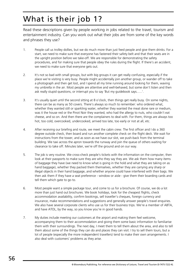# What is their job 1?

Read these descriptions given by people working in jobs related to the travel, tourism and entertainment industry. Can you work out what their jobs are from some of the key words and phrases they use?

- 1. People call us trolley dollies, but we do much more than just feed people and give them drinks. For a start, we need to make sure that everyone has fastened their safety belt and that their seats are in the upright position before we take-off. We are responsible for demonstrating the safety procedures, and for making sure that people obey the rules during the flight. If there's an accident, we need to make sure that everyone gets out.
- 2. It's not so bad with small groups, but with big groups it can get really confusing, especially if the place we're visiting is very busy. People might accidentally join another group, or wander off to take a photograph and then get lost, and I spend all my time running around looking for them, waving my umbrella in the air. Most people are attentive and well-behaved, but some don't listen and then ask really stupid questions, or interrupt you to say 'But my quidebook says......'.
- 3. It's usually quiet until the second sitting at 8 o'clock, then things get really busy. On some nights, there can be as many as 50 covers. There's always so much to remember: who ordered what, whether they wanted still or sparkling water, whether they wanted the meat done rare or medium, was it the house red or the Pinot Noir they wanted, who had the allergy to nuts, who couldn't eat cheese, and so on. And then there are the complainers to deal with. For them, things are always too hot, too cold, overcooked, undercooked, arrived too late, too early or not at all, etc.
- 4. After receiving our briefing and route, we meet the cabin crew. The first officer and I do a 360 degree outside check, then board and run another complete check on the flight deck. We wait for instructions from the tower, and as soon as we have our slot, we push-back from the terminal building. We taxi across the apron towards the runway and join the queue of others waiting for clearance to take off. Minutes later, we're off the ground and on our way.
- 5. The job is very routine. We cross-check people's tickets with the information on the computer, then look at their passports to make sure they are who they say they are. We ask them how many items of baggage they have (we need to know what is going in the hold and what they are taking on as hand baggage), whether they packed them themselves, whether they are carrying any sharp or illegal objects in their hand baggage, and whether anyone could have interfered with their bags. We then ask them if they have a seat preference - window or aisle - give them their boarding cards and tell them which gate to go to.
- 6. Most people want a simple package tour, and come to us for a brochure. Of course, we do a lot more than just hand out brochures. We book holidays, look for the cheapest flights, check accommodation availability, confirm bookings, sell traveller's cheques, foreign currency and insurance, make recommendations and suggestions and generally answer people's travel enquiries. We also have several corporate clients who use us for their business trips. We're a member of ABTA, and have ATOL, by the way, so you know you're in good hands.
- 7. My duties include meeting our customers at the airport and making them feel welcome, accompanying them to their accommodation and giving them some basic information to familiarise them with their surroundings. The next day, I meet them to tell them about the area, and also to tell them about some of the things they can do and places they can visit. I try to sell them tours, but a lot of people (especially the more independent travellers) tend to make their own arrangements. I also deal with customers' problems as they arise.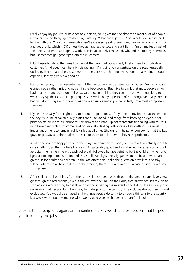- 8. I really enjoy my job. I'm quite a sociable person, so it gives me the chance to meet a lot of people. Of course, when things get really busy, I just say 'What can I get you?' or 'Would you like ice and lemon with that?', so the conversation isn't always so great. Sometimes, people have a bit too much and get drunk, which is OK unless they get aggressive too, and start fights. I'm on my feet most of the time, so after a hard night's work I can be absolutely exhausted. Oh, and the money is terrible, but I sometimes get good tips from the customers.
- 9. I don't usually talk to the fares I pick up at the rank, but occasionally I get a friendly or talkative customer. Mind you, it can be a bit distracting if I'm trying to concentrate on the road, especially during rush hour, and there's someone in the back seat chatting away. I don't really mind, though, especially if they give me a good tip.
- 10. For some people, I'm an essential part of their entertainment experience, to others I'm just a noise (sometimes a rather irritating noise!) in the background. But I like to think that most people enjoy having a nice tune going on in the background, something they can hum or even sing along to while they sip their cocktail. I get requests, as well, so my repertoire of 500 songs can really come in handy. I don't sing along, though, as I have a terrible singing voice. In fact, I'm almost completely tone deaf!
- 11. My beat is usually from eight a.m. to 4 p.m. . I spend most of my time on my feet, so at the end of the day I'm quite exhausted. My duties are quite varied, and range from keeping an eye out for pickpockets, ticket touts, dishonest taxi drivers and other rip-off merchants to dealing with tourists who have been victims of crime, and occasionally dealing with a case of shoplifting. The most important thing is to remain highly visible at all times (the uniform helps, of course), so that the bad guys keep away and the tourists can see I'm there to help them if they have problems.
- 12. A lot of people are happy to spend their days lounging by the pool, but quite a few actually want to do something, so that's where I come in. A typical day goes like this: at nine, I do a session of pool aerobics, then at ten there's beach volleyball, followed by face painting for the children. After lunch, I give a cooking demonstration and this is followed by some silly games on the beach, which are great fun for adults and children. In the late afternoon, I take the guests on a walk to a nearby village, where we all have a drink. In the evening, there's usually karaoke, a casino night or a disco to organise.
- 13. After collecting their things from the carousel, most people go through the green channel: very few go through the red channel, even if they're over the limit on their duty free allowance. It's my job to stop anyone who's trying to get through without paying the relevant import duty. It's also my job to make sure that people don't bring anything illegal into the country. This includes drugs, firearms and explosives. You would be amazed at the things people do to try to smuggle things into the country; last week we stopped someone with twenty gold watches hidden in an artificial leg!

Look at the descriptions again, and underline the key words and expressions that helped you to identify the jobs.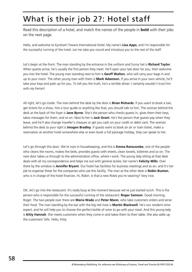# What is their job 2?: Hotel staff

Read this description of a hotel, and match the names of the people in **bold** with their jobs on the next page.

Hello, and welcome to Eynsham Towers International Hotel. My name's **Lisa Apps**, and I'm responsible for the successful running of the hotel. Let me take you round and introduce you to the rest of the staff.

Let's begin at the front. The man standing by the entrance in the uniform and funny hat is **Richard Taylor**. When guests arrive, he's usually the first person they meet. He'll open your taxi door for you, then welcome you into the hotel. The young man standing next to him is **Geoff Walton**, who will carry your bags in and up to your room. The other young man with them is **Mark Adamson**. If you arrive in your own vehicle, he'll take your keys and park up for you. To tell you the truth, he's a terrible driver: I certainly wouldn't trust him with *my* Ferrari!

All right, let's go inside. The man behind the desk by the door is **Brian Richards**. If you want to book a taxi, get tickets for a show, hire a tour guide or anything like that, you should talk to him. The woman behind the desk at the back of the foyer is **Jane Byrne**. She's the person who checks guests in, gives them their keys, takes messages for them, and so on. Next to her is **Jack Grant**. He's the person that guests pay when they leave, and he'll also change traveller's cheques or get you cash on your credit or debit card. The woman behind the desk to your right is **Imogen Bradley**: if guests want to book an air or train ticket, make a reservation at another hotel somewhere else or even book a full package holiday, they can speak to her.

Let's go through this door. We're now in housekeeping, and this is **Emma Ranscombe**, one of the people who cleans the rooms, makes the beds, provides guests with sheets, clean towels, toiletries and so on. The next door takes us through to the administration office, where I work. The young lady sitting at that desk deals with all my correspondence and helps me out with general duties; her name's **Felicity Mills**. Over there by the window is **Jennifer Bryant**. Our hotel has facilities for business meetings and so on, and it's her job to organise these for the companies who use this facility. The man at the other desk is **Robin Buxton**, who is in charge of the hotel finances. Hi, Robin. Is that a new Rolex you're wearing? Very nice.

OK, let's go into the restaurant. It's really busy at the moment because we've just started lunch. This is the person who is responsible for the successful running of the restaurant: **Roger Samson**. Good morning, Roger. The two people over there are **Maria Wade** and **Peter Mann**, who take customers orders and serve their food. The man standing by the bar with the big red nose is **Martin Blackwell**. He's our resident wine expert, and he will help you to choose the perfect bottle of wine to go with your meal. And this young lady is **Kitty Hannah**. She meets customers when they come in and takes them to their table. She also adds up the customers' bills. Hello, Kitty.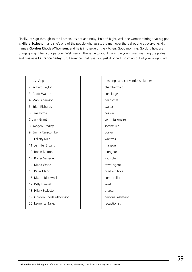Finally, let's go through to the kitchen. It's hot and noisy, isn't it? Right, well, the woman stirring that big pot is **Hilary Eccleston**, and she's one of the people who assists the man over there shouting at everyone. His name's **Gordon Rhodes-Thomson**, and he is in charge of the kitchen. Good morning, Gordon, how are things going? I beg your pardon? Well, really! The same to you. Finally, the young man washing the plates and glasses is **Laurence Bailey**. Uh, Laurence, that glass you just dropped is coming out of your wages, lad.

- 1. Lisa Apps
- 2. Richard Taylor
- 3. Geoff Walton
- 4. Mark Adamson
- 5. Brian Richards
- 6. Jane Byrne
- 7. Jack Grant
- 8. Imogen Bradley
- 9. Emma Ranscombe
- 10. Felicity Mills
- 11. Jennifer Bryant
- 12. Robin Buxton
- 13. Roger Samson
- 14. Maria Wade
- 15. Peter Mann
- 16. Martin Blackwell
- 17. Kitty Hannah
- 18. Hilary Eccleston
- 19. Gordon Rhodes-Thomson
- 20. Laurence Bailey

meetings and conventions planner chambermaid concierge head chef waiter cashier commissionaire sommelier porter waitress manager plongeur sous chef travel agent Maitre d'hôtel comptroller valet greeter personal assistant receptionist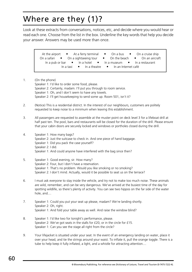# Where are they (1)?

Look at these extracts from conversations, notices, etc, and decide where you would hear or read each one. Choose from the list in the box. Underline the key words that help you decide your answer. Answers may be used more than once.

> At the airport  $\bullet$  At a ferry terminal  $\bullet$  On a bus  $\bullet$  On a cruise ship On a safari  $\bullet$  On a sightseeing tour  $\bullet$  On the beach  $\bullet$  On an aircraft In a pub or bar  $\bullet$  In a hotel  $\bullet$  In a museum  $\bullet$  In a restaurant In a taxi  $\bullet$  In a theatre  $\bullet$  In an Internet café

1. (On the phone)

Speaker 1: I'd like to order some food, please. Speaker 2: Certainly, madam. I'll put you through to room service. Speaker 1: Oh, and I don't seem to have any towels. Speaker 2: I'll get housekeeping to send some up. Room 501, isn't it?

- 2. (Notice) This is a residential district. In the interest of our neighbours, customers are politely requested to keep noise to a minimum when leaving this establishment.
- 3. All passengers are requested to assemble at the muster point on deck level 3 for a lifeboat drill at half past ten. The pool, bars and restaurants will be closed for the duration of the drill. Please ensure that your cabin doors are securely locked and windows or portholes closed during the drill.
- 4. Speaker 1: How many bags? Speaker 2: Just the suitcase to check in. And one piece of hand baggage. Speaker 1: Did you pack the case yourself? Speaker 2: I did. Speaker 1: And could anyone have interfered with the bag since then?
- 5. Speaker 1: Good evening, sir. How many? Speaker 2: Four, but I don't have a reservation. Speaker 1: That's no problem. Would you like smoking or no smoking? Speaker 2: I don't mind. Actually, would it be possible to seat us on the terrace?
- 6. I must ask everyone to stay inside the vehicle, and try not to make too much noise. These animals are wild, remember, and can be very dangerous. We've arrived at the busiest time of the day for spotting wildlife, so there's plenty of activity. You can see two hippos on the far side of the water hole, and....
- 7. Speaker 1: Could you put your seat up please, madam? We're landing shortly. Speaker 2: Oh, right. Speaker 1: And fold your table away as well. And raise the window blind?
- 8. Speaker 1: I'd like two for tonight's performance, please. Speaker 2: We've got seats in the stalls for £20, or in the circle for £15. Speaker 1: Can you see the stage all right from the circle?
- 9. Your lifejacket is situated under your seat. In the event of an emergency landing on water, place it over your head, and tie the strings around your waist. To inflate it, pull the orange toggle. There is a tube to help keep it fully inflated, a light, and a whistle for attracting attention....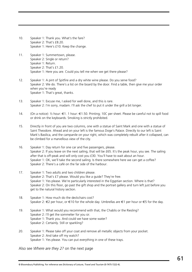- 10. Speaker 1: Thank you. What's the fare? Speaker 2: That's £8.20. Speaker 1: Here's £10. Keep the change.
- 11. Speaker 1: Summertown, please. Speaker 2: Single or return? Speaker 1: Return. Speaker 2: That's £1.20. Speaker 1: Here you are. Could you tell me when we get there please?
- 12. Speaker 1: A pint of Spitfire and a dry white wine please. Do you serve food? Speaker 2: We do. There's a list on the board by the door. Find a table, then give me your order when you're ready Speaker 1: That's great, thanks.
- 13. Speaker 1: Excuse me, I asked for well done, and this is rare. Speaker 2: I'm sorry, madam. I'll ask the chef to put it under the grill a bit longer.
- 14. (On a notice): ½ hour: €1. 1 hour: €1.50. Printing; 10C per sheet. Please be careful not to spill food or drink on the keyboards. Smoking is strictly prohibited.
- 15. Directly in front of you are two columns, one with a statue of Saint Mark and one with a statue of Saint Theodore. Ahead and on your left is the famous Doge's Palace. Directly to our left is Saint Mark's Basilica, and the campanile on your right, which was completely rebuilt after it collapsed, can be climbed for a marvellous view of the city.
- 16. Speaker 1: Day return for one car and five passengers, please. Speaker 2: If you leave on the next sailing, that will be £65. It's the peak hour, you see. The sailing after that is off-peak and will only cost you £30. You'll have to wait about an hour. Speaker 1: OK, we'll take the second sailing. Is there somewhere here we can get a coffee? Speaker 2: There's a café on the far side of the harbour.
- 17. Speaker 1: Two adults and two children please. Speaker 2: That's £7 please. Would you like a guide? They're free. Speaker 1: Yes please. We're particularly interested in the Egyptian section. Where is that? Speaker 2: On this floor, go past the gift shop and the portrait gallery and turn left just before you get to the natural history section.
- 18. Speaker 1: How much do the deckchairs cost? Speaker 2:  $\in$ 2 per hour, or  $\in$ 10 for the whole day. Umbrellas are  $\in$ 1 per hour or  $\in$ 5 for the day.
- 19. Speaker 1: What would you recommend with that, the Chablis or the Riesling? Speaker 2: I'll get the sommelier for you sir. Speaker 1: Thank you. And could we have some water? Speaker 2: Certainly. Still or sparkling?
- 20. Speaker 1: Please take off your coat and remove all metallic objects from your pocket. Speaker 2: And take off my watch? Speaker 1: Yes please. You can put everything in one of these trays.

Also see *Where are they 2?* on the next page

<sup>©</sup> Bloomsbury Publishing. For reference see *Dictionary of Leisure, Travel and Tourism* (0-7475-7222-4).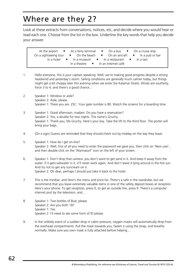# Where are they 2?

Look at these extracts from conversations, notices, etc, and decide where you would hear or read each one. Choose from the list in the box. Underline the key words that help you decide your answer.

| At the airport $\bullet$ At a ferry terminal $\bullet$ On a bus $\bullet$ On a cruise ship                                   |  |
|------------------------------------------------------------------------------------------------------------------------------|--|
| On a sightseeing tour $\bullet$ On the beach $\bullet$ On an aircraft $\bullet$ In a pub or bar                              |  |
| In a hotel $\bullet$ In a museum $\bullet$ In a restaurant $\bullet$ In a taxi<br>In a theatre $\bullet$ In an Internet café |  |

- 1. Hello everyone, this is your captain speaking. Well, we're making good progress despite a strong headwind and yesterday's storm. Sailing conditions are generally much calmer today, but things might get a bit choppy later this evening when we enter the Kalamar Straits. Winds are southerly, force 3 to 4, and there's a good chance...
- 2. Speaker 1: Window or aisle? Speaker 2: Aisle, please. Speaker 1: There you are. 25C. Your gate number is 80. Watch the screens for a boarding time.
- 3. Speaker 1: Good afternoon, madam. Do you have a reservation? Speaker 2: Yes, a double for two nights. The name's Gruchy. Speaker 1: Thank you, Ms Gruchy. Here's your key. Take the lift to the third floor. The porter will bring your bags.
- 4. (On a sign) Guests are reminded that they should check out by midday on the day they leave.
- 5. Speaker 1: How do I get on-line? Speaker 2: Well, first of all you need to enter the password we gave you, then click on 'New user', and then double-click on the 'Wannasurf' icon on the left of your screen.
- 6. Speaker 1: Don't drop that camera: you don't want to get sand in it. And keep it away from the water: if it gets saltwater in it, it'll never work again. And don't leave it lying around in the hot sun. And try not to get any suncream on it. Speaker 2: Oh dear, perhaps I should just take it back to the hotel.
- 7. This is the minibar, and here's the menu and price list. There's a safe in the wardrobe, but we recommend that you leave extremely valuable items in one of the safety deposit boxes at reception. Here's your phone. To get reception, press 0, to get an outside line, press 9. There's a computer internet port by the television, and...
- 8. Speaker 1: Two bottles of Bud, please. Speaker 2: Are you both 18? Speaker 1: Yes. Speaker 2: I'll need to see some form of ID please.
- 9. In the unlikely event of a sudden drop in cabin pressure, oxygen masks will automatically drop from the overhead compartments. Pull the mask towards you, fasten it using the strap, and breathe normally. Make sure you own mask is fully attached before helping....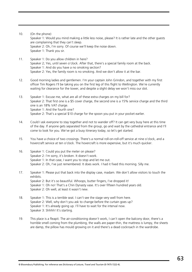- 10. (On the phone) Speaker 1: Would you mind making a little less noise, please? It is rather late and the other guests are complaining that they can't sleep. Speaker 2: Oh, I'm sorry. Of course we'll keep the noise down. Speaker 1: Thank you sir.
- 11. Speaker 1: Do you allow children in here? Speaker 2; Yes, until seven o'clock. After that, there's a special family room at the back. Speaker 1: And do you have a no smoking section? Speaker 2: Yes, the family room is no smoking. And we don't allow it at the bar.
- 12. Good morning ladies and gentlemen. I'm your captain John Grindon, and together with my first officer Tim Rogers I'll be taking you on the first leg of this flight to Wellington. We're currently waiting for clearance for the tower, and despite a slight delay we won't miss our slot.
- 13. Speaker 1: Excuse me, what are all of these extra charges on my bill for? Speaker 2: That first one is a \$5 cover charge, the second one is a 15% service charge and the third one is an 18% VAT charge. Speaker 1: And the fourth one? Speaker 2: That's a special \$10 charge for the spoon you put in your pocket earlier.
- 14. Could I ask everyone to stay together and not to wander off? It can get very busy here at this time of the day. If anyone gets separated from the group, go and wait by the cathedral entrance and I'll come to look for you. We've got a busy itinerary today, so let's get started.
- 15. You have a choice of two crossings. There's a normal roll-on-roll-off service at nine o'clock, and a hovercraft service at ten o'clock. The hovercraft is more expensive, but it's much quicker.
- 16. Speaker 1: Could you put the meter on please? Speaker 2: I'm sorry, it's broken. It doesn't work. Speaker 1: In that case, I want you to stop and let me out. Speaker 2: Oh, I've just remembered. It does work. I had it fixed this morning. Silly me.
- 17. Speaker 1: Please put that back into the display case, madam. We don't allow visitors to touch the exhibits. Speaker 2: But it's so beautiful. Whoops, butter fingers, I've dropped it! Speaker 1: Oh no! That's a Chin Dynasty vase. It's over fifteen hundred years old. Speaker 2: Oh well, at least it wasn't new.
- 18. Speaker 1: This is a terrible seat. I can't see the stage very well from here. Speaker 2: Well, why don't you ask to change before the curtain goes up? Speaker 1: It's already going up. I'll have to wait for the interval now. Speaker 3: Shhhh! It's starting.
- 19. This place is a fleapit. The air-conditioning doesn't work, I can't open the balcony door, there's a horrible smell coming from the plumbing, the walls are paper-thin, the mattress is lumpy, the sheets are damp, the pillow has mould growing on it and there's a dead cockroach in the wardrobe.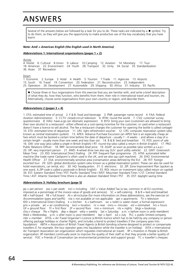## ANSWERS

Several of the answers below are followed by a task for you to do. These tasks are indicated by a  $*$  symbol. Try to do them, as they will give you the opportunity to make productive use of the key vocabulary that you have learnt.

#### *Note: AmE = American English (the English used in North America)*

#### **Abbreviations 1: International organisations (pages 1 + 2)**

Across

4. Hostel 6. Cultural 8.Union 9. Labour 10.Camping 12. Aviation 14. Monetary 17. Tour 18. American 22. Environment 24. Youth 28. Transport 32. Unity 34. Social 35. Standardization 36. Asian 37. Recreation

Down

1. Economic 2. Europe 3. Hotel 4. Health 5. Tourism 7.Trade 11. Agencies 13. Airports 15. South 16. Travel 19. Convention 20. Federation 21. Reconstruction 23. Independent 25. Operators 26. Development 27. Automobile 29. Shipping 30. Africa 31. Industry 33. Pacific

 Choose three or four organisations from this exercise that you are familiar with, and write a brief description of what they do, how they function, who benefits from them, their role in international travel and tourism, etc. Alternatively, choose some organisations from your own country or region, and describe them.

#### **Abbreviations 2 (pages 3 + 4)**

1. ETA: estimated time of arrival 2. F & B: food and beverage 3. PNR: passenger name record 4. FAA: Federal Aviation Administration 5. CCTV: closed-circuit television 6. RTW: round the world 7. CSQ: customer survey questionnaire 8. HAG: have-a-go (an idiomatic expression) 9. BYO: bring your own (customers are allowed to bring their own alcohol to a restaurant - either offered as a cost-saving incentive for the customer, or used when a restaurant doesn't have a licence to sell alcohol. The fee a restaurant charges the customer for opening the bottle is called *corkage*) 10. ETD: estimated time of departure 11. LRV: light refreshment voucher 12. CRS: computer reservation system (also known as *central reservation system*) 13. APEX: Advance Purchase Excursion (an APEX fare is an especially cheap air fare which must be booked a certain time before the date of departure - usually 1 - 4 weeks - and allows a stay of a certain length - usually more than one week and less than six) 14. B & B: bed and breakfast 15. POS: point of sale 16. OW: one way (also called a *single* in British English) / RT: round trip (also called a *return* in British English) 17. PRO: Public Relations Officer 18. RRP: recommended retail price 19. ASAP: as soon as possible (also written *a.s.a.p.*) 20. VIP: very important person 21. 4WD: 4-wheel drive (we also say *SUV*: *sport utility vehicle*) 22. GMT: Greenwich Mean Time 23. IDD: International Direct Dialling 24. FFP: frequent flyer programme 25. ATM: automated teller machine (the trade name *Cashpoint* is often used in the UK, and we also say *cash machine*) 26. EHO: Environmental Health Officer 27. ESA: environmentally sensitive area (conservation areas defined by the EU) 28. FET: foreign escorted tour 29. GDS: global distribution system (also known as a *global reservation system*. These can also be used for hotel reservations, car rental, etc) 30. HQ: headquarters 31. E: electronic 32. ZIP: Zone Improvement Plan (spoken as one word. A *ZIP code* is called a *postcode* in British English) 33. ROI: return on investment (also called *return on capital*) 34. EST: Eastern Standard Time / PST: Pacific Standard Time / MST: Mountain Standard Time / CST: Central Standard Time / AST: Atlantic Standard Time (there is also an *Alaskan Standard Time*) / PST 35: DST: daylight saving time

#### **Abbreviations 3: Holiday brochure (page 5)**

pp = per person pw = per week incl = including VAT = Value Added Tax (a tax, common in all EU countries, imposed as a percentage of the invoice value of goods and services)  $SC = self-catering$   $B & B = bed$  and breakfast  $HB = half-board$  FB  $=$  full board AI = all-inclusive (for more information on these abbreviations, see the exercise on *Accommodation types and tariffs*) n/a = not available *or* not applicable apt = apartments TV = television IDD = International Direct Dialling k = kitchen b = bathroom wc = toilet (= *water closet*, a formal expression) priv = private a/c = air conditioning locn = location nr = near mins =- minutes est = estimated hrs = hours GF = ground floor 1F = first floor 2F = second floor min = minimum nts = nights bkgs = bookings chq = cheque flts = flights dep = depart wkly = weekly Sat = Saturday a.m. = before noon (= *ante meridiem*) Wed = Wednesday p.m. = after noon (= *post meridiem*) Apr = April Jul = July PLC = public limited company mbr = member ATOL = Air Travel Organiser's Licence (a British licence which has to be held by any company or person offering package holidays or charter flights, and includes a bond to protect travellers if the company goes into liquidation) ABTA = Association of British Travel Agents (a British bonding scheme designed to protect or compensate travellers if, for example, the tour operator goes into liquidation while the traveller is on holiday) IATA = International Air Transport Association (an organization which regulates international air travel)  $IIP =$  Investors in People (a British organization: IIP members continually work to improve the quality of their staff so that they provide a better quality of service) FOC = Friends of Conservation (an environmental protection and support group) TC = traveller's cheques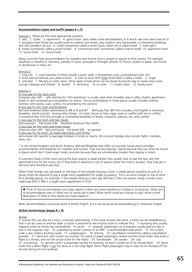#### **Accommodation types and tariffs (pages 6 + 7)**

Exercise 1: (these are the most appropriate answers)

1. villa 2. chalet 3. apartment 4. guest house (also called a *bed and breakfast*, or *B and B*: see note after Exercise 3) 5. boutique hotel (these are usually small-to-medium size hotels, very modern, very fashionable, in interesting buildings, and with excellent service) 6. motel (sometimes called a *motor hotel*, *motor inn* or *travel hotel*) 7. hotel garni 8. hostel (sometimes called a *youth hostel*) 9. commercial hotel (sometimes called a *transit hotel*) 10. apartment hotel 11. luxury hotel 12. tourist hotel

Many countries have accommodation for travellers and tourists that is unique or special to that country. For example, *Gasthaus* or *Gasthof* in Germany, *parador* in Spain, *pousada* in Portugal, *pension* in France, *ryokan* in Japan, *rest house* or *dormhouse* in India, etc.

#### Exercise 2:

1. king size 2. suite (varieties of these include a *junior suite*, a *honeymoon suite*, a *presidential suite*, etc) 3. bunk bed (sometimes just called a *bunk*) 4. twin (a room with three small beds is called a *triple*) 5. single 6. sofa bed 7. Murphy (a trade name. Other types of bed which can be stored during the day to create extra room include *rollaways* and *Z-beds*) 8. double 9. dormitory 10. en suite 11. studio room 12. family room

#### Exercise 3:

A (You pay for the room only):

European plan (EP) self-catering (SC) (this expression is usually used when travellers stay in villas, chalets, apartment hotels or self-contained accommodation on resorts. The accommodation in these places usually includes cooking facilities, with plates, cups, cutlery, etc provided by the owners)

B (you pay for the room and breakfast)<br>Bed and breakfast (often abbreviated to BB or B and B)\* Bermuda Plan (BP) (this includes a *full English* or *American breakfast*, which consists - among other things - of cereal, bacon or ham, eggs, toast or waffles with tea or coffee) Continental Plan (CP) (this includes a *Continental breakfast* of bread, croissants, pastries, etc, with coffee)

C (you pay for the room and two meals)

Demi pension half board (HB) Modified American Plan (MAP)

D (you pay for the room and three meals)

American plan (AP) bed and board full board (FB) en pension

E (you pay for the room, all meals and snacks, and drinks)

all-inclusive (AI) (specific to package holidays in hotels or resorts. All-inclusive holidays also include flights, transfers, taxes, etc)

\* In the United Kingdom and North America, *Bed and Breakfast* also refers to a private house which provides accommodation and breakfast for travellers and tourists. They are very popular, mainly because they can often be found in places which don't have larger hotels, and also because they are considerably cheaper than staying in hotels.

If customers book a hotel room during the *busy season* or *peak period*, they usually have to pay the *rack rate* (the advertised price for the room), but if they book *in advance* or *out of season* (when the hotel is quieter), they may get a *discount* (and therefore pay less).

When hotel charges are calculated on the basis of two people sharing a room, a single person travelling as part of a group might be required to pay a *single room supplement* for *single occupancy*. This is an extra charge on top of what he is already paying. For example, if *two* people sharing a room pay \$40 each, then *one* person using a similar room might pay  $$50 (= $40 + a \n *single room supplement* of $10).$ 

 Think of the accommodation you have stayed in when you have travelled on holiday or on business. What sort of accommodation was it? What sort of rooms did it have? What tariffs could you choose to pay? Write a brief description of three or four places you have stayed in.

Note: *accommodation* cannot be plural in British English, but it can be plural (*accommodations*) in American English.

#### **Airline terminology (pages 8 + 9)**

Across:

2. reissue (this can also be a noun: a *reissue*) (alternatively, if the route remains the same, a ticket can be *revalidated* so that it can be used on another date: a sticker is attached to the original ticket to indicate this) 7. bumping (this usually happens when an airline has overbooked) 9. carrier 11. stopover (passengers on a stopover usually spend a day or two in the stopover city) 14. published (a carrier's version of an *RRP* - a *recommended retail price*) 15. first (a fare code is also called a *booking code*) 17. compensation 18. sharing 20. cancellation (sometimes called a *cancellation penalty*) 21. electronic (also known as *e-tickets*. The piece of paper passengers receive via their email when they book a flight is a receipt, and not the actual ticket for the flight) 25. transferable 26. locator 29. club 31. connecting 32. penalty (and if a passenger cancels his booking, he won't receive all of his money back) 33. direct (note that a *direct flight* is not the same as a *non-stop flight*. Direct flight passengers may or may not be allowed off the aircraft during the first landing)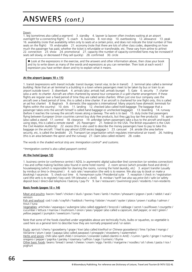### ANSWERS *(cont.)*

Down:

1. leg (sometimes also called a *segment*) 3. standby 4. layover (a layover often involves waiting at an airport *overnight* for a connecting flight) 5. coach 6. business 8. non-stop 10. overbooking 12. allowance 13. peak 16. availability (note that availability refers only to seats *at a certain price*, and does not indicate the total number of free seats on the flight) 19. endorsable 21. economy (note that there are lots of other class codes, depending on how much the passenger has paid, whether the ticket is refundable or transferable, etc. These vary from airline to airline) 22. connection 23. show 24. promotional 27. capacity (the number of capacity-controlled fares may be increased if seats sell slowly, or decreased if they sell quickly) 28. confirmed 30. circle

 Look at the expressions in the exercise, and the answers and other information above, then close your book and try to write down as many of the words and expressions as you can remember. Then look at each word / expression you have written down and try to explain what it means.

#### **At the airport (pages 10 + 11)**

1. transit (expressions with *transit* include: transit *lounge*; transit *visa*; *to be in transit*) 2. terminal (also called a *terminal building*. Note that an *air terminal* is a building in a town where passengers meet to be taken by bus or train to an airport outside town) 3. disembark 4. arrivals (also: *arrivals hall*, *arrivals lounge*) 5. Gate 6. security 7. charter (also a verb: *to charter*. Aircraft are often chartered by several tour companies in a *split charter* arrangement. If these flights are regular over a fixed period of time they are called *series charters*. When just one tour company uses the aircraft over a fixed period of time, this is called a *time charter*. If an aircraft is chartered for one flight only, this is called an *ad hoc charter*) 8. Bagtrack 9. domestic (the opposite is *international*. Many airports have *domestic terminals* for flights within the country) 10. slots 11. landing 12. checked (also called *hold baggage*. The baggage that a passenger takes onto the aircraft himself is called *hand baggage* or *unchecked baggage*) 13. boarding 14. runway (before it reaches the runway the aircraft moves along a *taxiway*. The verb is *to taxi*) 15. duty (note that passengers flying between European Union countries cannot buy *duty free* products, but they can buy *tax free* products) 16. apron (also called a *stand*) 17. control 18. clearance 19. airbridge (when passengers take a bus to the aircraft and board using steps, this is called a *remote stand*) 20. Passengers' 21. Federal (in the USA. The British equivalent is the *CAA*: the *Civil Aviation Authority*) 22. excess (this is also used to describe the money passengers have to pay to take this baggage on the aircraft: '*I had to pay almost £200 excess baggage.*') 23. carousel 24. airside (the area before security, etc, is called the *landside*) 25. Transport (an organisation which regulates international air travel) 26. holding (this is an area between the apron and the runway) 27. claim (also called *reclaim*) 28. codes

The words in the shaded vertical strip are: *Immigration control*\* *and customs*.

\**Immigration control* is also called *passport control*.

#### **At the hotel (page 12)**

1. business centre (or conference centre) / ADSL (= *asymmetric digital subscriber line*) connection (or wireless connection) / tea and coffee making facilities (also found in some hotel rooms) 2. room service (which provides food and drink) / housekeeping (which is responsible for cleaning the rooms, running the hotel *laundry*, etc) 3. airport transfer (usually by minibus or *limo* (= *limousine*) ) 4. rack rate / reservation (the verb is *to reserve*. We also say *to book* or *make a booking*) / vacancies 5. check-out time 6. honeymoon suite / Presidential suite 7. reception / check in / registration card (the verb is *to register*) / key card / lift (elevator = AmE) 8. minibar / tariff (we also say *price list*) / safe (or safety deposit box) / direct-dial telephone / balcony / pay-TV 9. bar / restaurant / (swimming) pool / residents / non-residents

#### **Basic foods (pages 13 + 14)**

Meat and poultry: bacon / beef / chicken / duck / goose / hare / lamb / mutton / pheasant / pigeon / pork / rabbit / yeal / venison

Fish and seafood: cod / crab / crayfish / haddock / herring / lobster / mussel / oyster / plaice / prawn / scallop / salmon / trout / tuna

Vegetables: artichoke / asparagus / aubergine (also called *eggplant*) / broccoli / cabbage / carrot / cauliflower / courgette / cucumber / lettuce / marrow / mushroom / onion / peas / pepper (also called a *capsicum*, *bell pepper*, or *red* / *green* / *yellow pepper*) / pumpkin / sweetcorn / turnip

Note that some of the foods classified under vegetables above are technically fruits, bulbs or squashes, so *vegetable* is used here as a general term to describe how they are normally prepared and / or eaten.

Fruits: apricot / cherry / gooseberry / grape / kiwi (also called *kiwifruit* or *Chinese gooseberry*) / lime / lychee / mango / nectarine / plum / pear / papaya (also called *pawpaw*) / pineapple / strawberry / watermelon Herbs and spices: chilli (also spelt *chile*) / cinnamon / coriander (called *cilantro* in AmE) / cumin / garlic / ginger / nutmeg /

oregano / pepper / paprika / parsley / rosemary / saffron / sage / turmeric / thyme Other basic foods: beans / bread / cereal / cheese / cream / eggs / lentils / margarine / noodles / oil / olives / pasta / rice /

yoghurt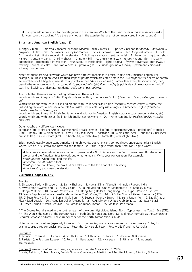Can you add more foods to the categories in this exercise? Which of the basic foods in this exercise are used a lot your country's cooking? Are there any foods in the exercise that are not commonly used in your country?

#### **British and American English (page 15)**

1. angry = mad 2. cinema = theater (or *movie theater*) film = movies 3. porter = bellhop (or *bellboy*) anywhere = anyplace 4. taxi = cab 5. sweets = candy (or *candies*) biscuits = cookies crisps = chips (or *potato chips*) ill = sick 6. ground = first first = second lift = elevator 7. holiday = vacation autumn = fall 8. chemist = drugstore shop = store trousers = pants 9. bill = check 10. note = bill 10. single = one-way return = round-trip 11. car =  $automobile \ crossroads = intersection \ roundabout = traffic circle \text{ lights = signal \ flyover = overpass \ motorway = }$ freeway puncture = flat diversion = detour petrol = gas 12. underground = subway pavement = sidewalk  $subway =$  underpass

Note that there are several words which can have different meanings in British English and American English. For example, in British English, *chips* are fried strips of potato which are eaten hot; in the USA *chips* are fried slices of potato eaten cold out of a bag (hot fried strips of potato in the USA are called *fries*). Some other examples include: *bill*, *mad*, *biscuit* (the American word for a *scone*), *first* / *second* / *third* (etc) *floor*, *holiday* (a public day of celebration in the USA, e.g., Thanksgiving, Christmas, Presidents' Day), *pants*, *gas*, *subway*.

Also note that there are some spelling differences. These include:

Words which end in -*gue* in British English only end with -*g* in American English (*dialogue* = *dialog*, *catalogue* = *catalog*, etc)

Words which end with -*re* in British English end with -*er* in American English (*theatre* = *theater*, *centre* = *center*, etc) British-English words which use a double *l* in unstressed syllables only use a single *l* in American English (*traveller* = *traveler*, *levelling* = *leveling*, etc)

Words which end in -*our* in British English only end with -*or* in American English (*colour* = *color*, *flavour* = *flavor*, etc) Words which end with -*ise* or -*ize* in British-English can only end in -*ize* in American-English (*realise* / *realize* = *realize* only, etc)

Other vocabulary differences include:

aeroplane (BrE) = airplane (AmE) caravan (BrE) = trailer (AmE) flat (BrE) = apartment (AmE) grilled (BrE) = broiled (AmE) nappy (BrE) = diaper (AmE) post (BrE) = mail (AmE) postcode (BrE) = zip code (AmE) pub (BrE) = bar (AmE) public toilet (BrE) = restroom (AmE) rubbish (BrE) = trash (AmE) torch (BrE) = flashlight (AmE)

British people usually understand American-English words, but Americans do not always understand British-English words. People in Australia and New Zealand tend to use British-English rather than American-English words.

 Imagine a conversation between a British person and a North American. The British person uses British-English words, and the American tries to work out what he means. Write your conversation. For example: *British person*: Where can I find the lift? *American*: The *lift*. What's that? *British person*: You know, the box that can take me to the top floor of this building.<br>American: Oh. you mean the *elevator*. **Etc.**.. *American: Oh, you mean the elevator.* 

#### **Currencies (pages 16 + 17)**

Exercise 1:

1. Singapore Dollar / Singapore 2. Baht / Thailand 3. Kuwait Dinar / Kuwait 4. Indian Rupee / India 5. Swiss Franc / Switzerland 6. Yuan / China 7. Pound Sterling / United Kingdom (£) 8. Rouble / Russia 9. Dong / Vietnam 10. Bolivar / Venezuela 11. Hong Kong Dollar / Hong Kong 12. Cyprus Pound / Cyprus\* 13. Won / Republic of Korea (usually referred to as *South Korea*)\*\* 14. US Dollar / United States of America (US\$) 15. Chilean Peso / Chile 16. Iranian Rial / Iran 17. Egyptian Pound / Egypt 18. Yen / Japan (¥) 19. Saudi Arabian Riyal / Saudi Arabia 20. Australian Dollar / Australia 21. UAE Dirham / United Arab Emirates 22. Real / Brazil 23. Czech Koruna / Czech Republic 24. Jordanian Dinar / Jordan 25. Maltese Lira / Malta

\* The Cyprus Pound is used in the southern part of the (currently) divided island. North Cyprus uses the *Turkish Lira* (*TRL*). \* \* The Won is the name of the currency used in both South Korea and North Korea (known formally as the *Democratic People's Republic of Korea*). The currency code for the North Korean Won is *KPW*.

Note that some countries (especially those with 'soft' currencies) use or accept more than one currency. Cuba, for example, uses three currencies: the Cuban Peso, the Convertible Peso (1 Peso = US\$1) and the US Dollar.

Exercise 2:

1. Ecuador 2. Israel 3. Estonia 4. South Africa 5. Lithuania 6. Latvia 7. Slovenia 8. Romania 9. Pakistan (the Pakistani Rupee) 10. Peru 11. Bangladesh 12. Nicaragua 13. Ukraine 14. Indonesia 15. Malaysia

Exercise 3: (*these countries, territories, etc, were all using the Euro in March 2005*): Austria, Belgium, Finland, France, French Guiana, Guadeloupe, Martinique, Mayotte, Monaco, Réunion, St Pierre,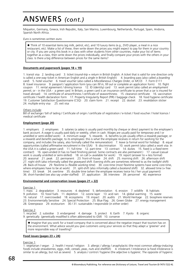Miquelon, Germany, Greece, Irish Republic, Italy, San Marino, Luxembourg, Netherlands, Portugal, Spain, Andorra, Spanish North Africa.

*Euro* is sometimes written *euro*.

 Think of 10 essential items (eg milk, petrol, etc), and 10 luxury items (e.g., DVD player, a meal in a nice restaurant, etc). Make a list of these, then write down the prices you might expect to pay for them in your country or city. If you are using this book in a class with other students from other countries, make your list of items together as a class, then write down the prices individually, and finally compare your prices with the others in your class. Is there a big difference between prices for the same items?

# **Documents and paperwork (pages 18 + 19)**

1. transit visa 2. landing card 3. ticket (*round-trip* = *return* in British English. A ticket that is valid for one direction only is called a *one-way* ticket in American English and a *single* in British English) 4. boarding pass (also called a *boarding card*) 5. hotel voucher 6. travel voucher (also called a *Miscellaneous Charges Order*, or *MCO*) 7. Form E111 8. travel insurance 9. passport / application form (you can *fill in*, *fill out* or *complete* an application form) 10. flight coupon 11. rental agreement / driving licence 12. ID (identity) card 13. work permit (also called an *employment permit*, or - in the USA - a *green card*. In Britain, a green card is an insurance certificate to prove that a car is insured for travel abroad) 14. certificate of airworthiness / certificate of seaworthiness 15. clearance certificate 16. vaccination certificate / health declaration form 17. Property Irregularity Report (PIR) / baggage check 18. food hygiene certificate 19. Customer Satisfaction Questionnaire (CSQ) 20. claim form 21. receipt 22. docket 23. revalidation sticker 24. multiple entry visa 25. exit visa

# Others include:

Bill of exchange / bill of lading / Certificate of origin / certificate of registration / e-ticket / food voucher / hotel licence / medical certificate

# **Employment (page 20)**

1. employers 2. employees 3. salaries (a *salary* is usually paid monthly by cheque or direct payment to the employee's bank account. A *wage* is usually paid daily or weekly, often in cash. Wages are usually paid for *temporary* and / or *unskilled* or *semi-skilled* work) 4. minimum wage 5. rewards 6. benefits (a job usually offers a *rewards package*, or a *rewards and benefits package*, to its employees: this is what the employee receives in return for working for the company, and includes the salary, also formally called the *remuneration*) 7. leave (a formal word for holiday) 8. equal opportunities (called *affirmative recruitment* in the USA) 9. discrimination 10. work permit (also called a *work visa*. In the USA it is called a *green card*) 11. full-time 12. part-time 13. contract 14. duties 15. fixed (= a *fixed-term contract*) 16. open-ended (it has no fixed finishing period. Some contracts are also *permanent.*) 17. casual (casual work is usually unskilled or semi-skilled) 18. on call (= available for work) 19. report (answer to = less formal) 20. seasonal 21. peak 22. permanent 23. front-of-house 24. shift 25. morning shift 26. afternoon shift 27. night shift (also informally called the *graveyard shift*. Evening shifts are sometimes referred to as the *twilight shift*) 28. Back-of-house 29. flexitime (= *flexible working time*) 30. core-time (most flexitime systems have some core-time, where employees have to be at work) 31. split-shift (also informally called a *bookend shift*) 32. allowed time (= free time) 33. break 34. overtime 35. double time (when the employee receives twice his / her usual payment) 36. short-handed (we also say under-staffed) 37. application 38. interview 39. personnel 40. experience

# **Environmental and conservation issues (pages 21 + 22)**

Exercise 1:

1. mass 2. degradation 3. resources 4. depleted 5. deforestation 6. erosion 7. wildlife 8. habitats 9. pollution 10. fossil fuels 11. depletion 12. ozone layer 13. acid rain 14. global warming 15. waste 16. natural 17. overcrowded 18. ecosystems 19. impact 20. audits 21. World Heritage 22. biosphere reserves 23. Environmentally Sensitive 24. Special Protection 25. Blue Flag 26. Green Globe 27. energy management 28. Greenpeace 29. ecotourism 30 / 31. sustainable / responsible (in either order)

#### Exercise 2:

1. recycled 2. subsidise 3. endangered 4. damage 5. protect 6. Earth 7. Kyoto 8. organic 9. genetically (*genetically modified* is often abbreviated to *GM*) 10. conserve

 Imagine that you work for a travel company that is concerned about the negative impact that tourism has on the environment. What advice would you give customers using your services so that they adapt a 'greener' and more responsible way of travelling?

# **Food issues (pages 23 + 24)**

Exercise 1:

1. vegetarian / vegan 2. health / moral / religion 3. allergic / allergy / anaphylactic (the most common *allergy-inducing* foods include *strawberries*, *eggs*, *milk*, *cereals*, *peas*, *nuts* and *shellfish*) 4. intolerant / intolerance (a food intolerance is similar to an allergy, but not as severe) 5. analysis / control / hygiene (the adjective is *hygienic*. The opposite of hygienic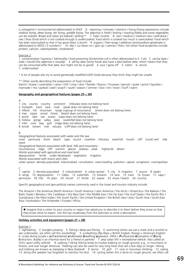is *unhygienic*) / environmental (abbreviated to *EHO*) 6. steaming / minerals / vitamins / frying (frying expressions include *shallow frying*, *deep frying*, *stir frying*, *griddle frying*. The adjective is *fried*) / boiling / roasting (Meat and some vegetables can be *roasted*. Bread and cakes are *baked*) / grilling\*\* 7. halal / kosher 8. rare / medium / medium-rare / well-done / raw / blue (food which is not cooked enough is *undercooked*, food which is cooked too much is *overcooked*. Food which has been overcooked so that it has gone black is *burnt*) 9. organic / free-range / additives (*monosodium glutamate* is abbreviated to *MSG*) / E-numbers<sup>\*</sup> 10. diet / cut down on / give up / calories / fibre / fat (other food properties include: *protein*, *calcium*, *carbohydrates*, *cholesterol*)

#### Exercise 2:

1. contaminated / bacteria / Salmonella / food poisoning (*Escherichia coli* is often abbreviated to E. Coli) 2. use-by date / stale / mould (the adjective is *mouldy*) 3. sell-by date (some foods also have a *best-before date*, which means that they can be consumed *after* that date, but might not be so good) 4. sour / gone off 5. rotten 6. rancid 7. undercooked

\* A lot of people also try to avoid *genetically modified* (*GM*) foods because they think they might be unsafe.

\*\* Other words describing the preparation of food include:

blanch / braise / caramelise / carve / chill / chop / dice / flambé / flavour / fricassee / garnish / grate / grind / liquidize / marinade / mix / parboil / peel / poach / sauté / season / simmer / slice / stir / strain / stuff / warm

# **Geography and geographical features (pages 25 + 26)**

A.

1. city county country continent (*tributary* does not belong here)

2. footpath track lane road (*peak* does not belong here)

3. hillock hill mountain range (=group of mountains) (*shore* does not belong here)

4. tree copse wood forest (*beach* does not belong here)

5. pond lake sea ocean (*cape* does not belong here)

6. hollow gorge valley plain (*waterfall* does not belong here)

7. inlet cove bay gulf (*ridge* does not belong here)

8. brook stream river estuary (*cliff* does not belong here)

B.

*Geographical features associated with water and the sea*:

coast peninsula shore beach cape source coastline tributary waterfall mouth cliff (coral) reef tide wave

*Geographical features associated with land, hills and mountains*:

mountainous ridge cliff summit glacier plateau peak highlands desert

*Words associated with agriculture and rural land*:

depopulation fertile under-developed vegetation irrigation

*Words associated with towns and cities*:

urban sprawl densely-populated industrialised conurbation overcrowding pollution capital congestion cosmopolitan

C.

1. capital 2. densely-populated 3. industrialised 4. urban sprawl 5. city 6. irrigation 7. source 8. peaks 9. range 10. depopulation 11. Valley 12. waterfalls 13. streams 14. lane 15. track 16. Ocean 17. cape / peninsula 18. hills 19. plain 20. mouth 21. fertile 22. waves 23. shore / beach 24. country

Specific geographical and geo-political names commonly used in the travel and tourism industry include:

The Amazon / the Americas (North America / South America / Latin America) / the Arctic / Antarctica / the Balkans / the Baltic States / Benelux / the Caribbean / the Near East / the Middle East / the Far East / the Gulf States / the Pacific Rim / Scandinavia / the West Indies / the South Pacific / the United Kingdom / the British isles / Asia / South Asia / South-East Asia / Australasia / the Antipodes / Europe / Africa

 Imagine that a visitor to your country or region has asked you to describe it to them before they arrive so that they know what to expect. Use the key vocabulary from the exercises to write a description.

# **Holiday activities and equipment (pages 27 + 28)**

# Exercise 1:

1. sightseeing 2. bungee jumping 3. fishing / deep-sea fishing 4. swimming (when we use a mask and a snorkel to see underwater, we often call this *snorkelling*) 5. sunbathing (*flip-flops* = British English; *thongs* = American English) 6. scuba diving (scuba = **s**elf-**c**ontained **u**nderwater **b**reathing **a**pparatus. PADI = **P**rofessional **A**ssociation of **D**iving *Instructors*. *Buddy* is an informal word for a *friend* or *partner*) 7. jeep safari (*RV* = *recreational vehicle*. Also called an *SUV*= *sport utility vehicle*) 8. walking / hiking (hiking tends to involve walking on rough ground, e.g., in mountains or forests, and over longer distances. *Trekking* can also be used for very long hikes that last a few days or longer. Hiking and trekking are known as *tramping* in New Zealand) 9. tennis 10. golf 11. rock or mountain climbing 12. sailing 13. skiing (the speaker has forgotten to mention his *skis*) 14. cycling (when this is done on rough ground, we often call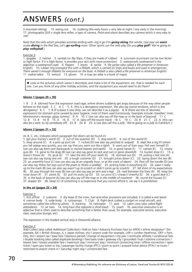it *mountain biking*) 15. eating out 16. clubbing (*the early hours* = very late at night / very early in the morning) 17. photography (*SLR* = *single lens reflex*, a type of camera. *Point-and-shoot* describes any camera which is very easy to use)

Note that the verb which precedes activities ending with -*ing* is *go* (*I'm going skiing this winter*, *Last year we went scuba diving in the Red Sea*, *Let's go surfing now*). Other sports use the verb *play* (*Do you play golf*? *We're going to play volleyball.*)

# Exercise 2:

1. goggles 2. helmet 3. sandals (or *flip flops*, if they are made of rubber) 4. suncream (suncream can be *low factor* or *high factor*. If it is *high factor*, it provides your skin with more protection) 5. waterproofs (*waterproof* is the adjective: a *waterproof coat*) 6. flippers 7. boots 8. tackle 9. life jacket (also called a *life preserver* in American English) 10. rubber ring (compare this with a *lifebelt*, which is carried on ships and boats and used in emergencies: *There weren't enough lifebelts for everyone on the boat*. A lifebelt is also called a *life preserver* in American English) 11. walkie-talkie 12. wetsuit 13. gloves 14. a map (an *atlas* is a book of maps)

 Look at the activities which weren't described, and make a list of the equipment, etc, that is needed for each one. Can you think of any other holiday activities, and the equipment you would need to do them?

# **Idioms 1 (pages 29 + 30)**

1. B 2. A (derived from the expression *road rage*, where drivers suddenly get angry because of the way other people behave on the road) 3. C 4. C 5. A (this is a derogatory expression. We also say *tourist enclaves*, which is less derogatory) 6. C 7. B (if a place is *very* dirty, we can describe it as a *pigsty*) 8. B (there are lots of idiomatic expressions for stomach ache caused by poor hygiene, most of them used humorously. Examples include: *travellers' trots*; *Montezuma's revenge*, *gippy tummy*) 9. A 10. C (we can also say *off the map* or *in the back of beyond*) 11. C 12. B 13. B 14. B 15. A 16. A 17. A (also *off the tourist track*) 18. C 19. C 20. B 21. C 22. A (this can also be a verb: *to rip somebody off*) 23. B 24. B 25. A (we also call this a *jolly*: '*We're going on a jolly to Frankfurt.*')

# **Idioms 2 (pages 31 + 32)**

(A, B, C, etc, indicates which paragraph the idiom can be found in)

1. get your money's worth (E) 2. out of the question (D) 3. dog-tired (F) 4. out of this world (F)

5. shop around (C) 6. a pick-up joint (A) 7. nicked (D) (we also say *pinched* or *swiped*) 8. slept like a log (F) (when you fall asleep very quickly, you can say that you *went out like a light*) 9. went out of their way / fell over himself (F) (we can also say *bent over backwards* or *moved heaven and earth*) 10. in good hands (F) 11. natives (E) 12. misery guts (B) 13. gone to the dogs (B) (we can also say *gone to rack and ruin* or *gone downhill*) 14. bucket shop (C) 15. a stone's throw (A) 16. grub (E) 17. take the skin off your teeth (E) 18. stormed out (D) 19. pulling a fast one (A) (we can also say *trying one on*) 20. a tough customer (D) 21. brought prices down (C) 22. laying down the law (B) 23. an unearthly hour (C) (we can also say *at an ungodly hour*, or *at the crack of dawn*) 24. flew off the handle (D) (we can also say *threw her toys out of the pram* or *threw a wobbly*) 25. picking holes in everything (D) 26. wasn't really up to the mark (B) (we can also say *wasn't up to scratch* or *didn't come up to scratch*) 27. fell short of my expectations (B) 28. pay through the nose (B) (we can also say *pay an arm and a leg*) 29. read between the lines (A) 30. keep the noise down (F) 31. plonk (E) 32. pull his socks up (D) 33. cut price (C) / cheap'n'cheerful (E) 34. a good deal (C) 35. in the back of beyond (A) (we can also say *off the map* or *in the middle of nowhere*) 36. round the houses (C) 37. skipper (D) 38. steep (C) (if something is so expensive that you cannot afford it, we say it is *prohibitive*)

# **In the air (pages 33 + 34)**

# Exercise 1:

1. first officer 2. subsonic 3. dry lease (if the crew, fuel and other provisions are included, it is called a *wet lease*) 4. narrow body 5. wide body 6. turboprops 7. Club 8. flight deck (called a *cockpit* on small aircraft, and sometimes called *the office* by pilots) 9. stacking 10. helicopter 11. aisle 12. cabin crew (also called *flight attendants*) 13. air taxis 14. long-haul (the opposite is *short-haul*) 15. coach 16. executive (*executive* is an adjective that is often used to describe something that is better than usual, for example, *executive service*, *executive class*, *executive lounge*, etc)

The expression in the shaded vertical strip is *Oneworld alliance*.

# Exercise 2:

Add-Collect (also called *Additional Collection*) / Add-on fare / Advance Purchase Fare (or APEX) / airline designator\* (for example, BA = British Airways, JL = Japan Airlines, etc) / airport code (for example, LHR = London Heathrow, ORY = Paris Orly, etc) / airport tax / base fare / blackout period / change of equipment / city pair / commuter affiliate / conditional fare / double booking (also called *duplicate booking*) / fare basis code / gateway city / grounded / hub / interline connection / lowest fare / lowest available fare / maximum stay / minimum stay / minimum connecting time / offline connection / open ticket / open-jaw ticket or trip / passenger facility charge (PFC) / point to point / prepaid ticket advice (PTA) / re-route / restricted-to-airport check-in / Saturday night stay / unrestricted fare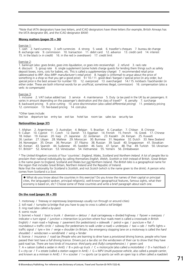\*Note that IATA designators have *two* letters, and ICAO designators have *three* letters (for example, British Airways has the IATA designator *BA*, and the ICAO designator *BAW*)

#### **Money matters (pages 35 + 36)**

#### Exercise 1:

1. cash 2. hard currency 3. soft currencies 4. strong 5. weak 6. traveller's cheques 7. bureau de change 8. exchange rate 9. commission 10. transaction 11. debit card 12. advance 13. credit card 14. interest 15. in the black (= *in credit*) 16. in the red (= *overdrawn*) 17. credit limit

#### Exercise 2:

1. bankrupt (also: *goes broke*, *goes into liquidation*, or *goes into receivership*) 2. refund 3. rack rate 4. discount 5. group rate 6. single supplement (some hotels charge guests for lending them things such as safety deposit boxes, irons, cots for babies, etc. This is called a *supplementary charge*) 7. recommended retail price (abbreviated to *RRP*. Also *MRP*: *manufacturer's retail price*) 8. haggle (= (*informal*) to argue about the price of something in a shop so that you get a good price) 9 / 10 / 11. good deal / bargain / special price (in any order, but *special price* is the best answer for number 10) 12. overpriced 13. overcharged 14 / 15. kickback / backhander (in either order. These are both informal words for an unofficial, sometimes illegal, commission) 16. compensation (also a verb: *to compensate*)

#### Exercise 3:

1. inclusive 2. VAT (value added tax) 3. service 4. maintenance 5. Duty (a tax paid in the UK by air passengers. It varies in amount depending on the passenger's destination and the class of travel)\* 6. penalty 7. surcharge 8. backward pricing 9. price cutting 10. price discrimination (also called *differential pricing*) 11. predatory pricing 12. commission 13. fee-based pricing 14. cost-plus

#### \*Other taxes include:

bed tax departure tax entry tax exit tax hotel tax room tax sales tax security tax

#### **Nationalities (page 37)**

1. Afghan 2. Argentinean 3. Australian 4. Belgian 5. Brazilian 6. Canadian 7. Chilean 8. Chinese 9. Cuban 10. Cypriot 11. Czech 12. Danish 13. Egyptian 14. Finnish 15. French 16. Greek 17. Chinese 18. Indian 19. Iranian 20. Iraqi 21. Japanese 22. Jordanian 23. Kazakh 24. Kenyan 25. Kuwaiti 26. Laotian 27. Libyan 28. Maltese 29. Moroccan 30. Burmese 31. Nepalese 32. Dutch 33. New Zealand 34. Norwegian 35. Oman 36. Peruvian 37. Filipino 38. Russian 39. Saudi 40. Singaporean 41. Slovakian 42. Korean 43. Spanish 44. Sudanese 45. Swedish 46. Swiss 47. Syrian 48. Thai 49. Turkish 50. Ukrainian 51. British\* 52. American 53. Venezuelan 54. Vietnamese 55. Yemeni 56. Zimbabwean

\* The *United Kingdom* consists of four 'countries': *England*, *Wales*, *Scotland* and *Northern Ireland*. A lot of people like to proclaim their national individuality by calling themselves *English*, *Welsh*, *Scottish* or *Irish* instead of British. *Great Britain* is the name given to England, Scotland and Wales but not Northern Ireland. *The British Isles* is a geographical name for the region that includes Great Britain, Northern Ireland and the Republic of Ireland. Note that the nationality for *Scotland* is *Scottish*, and not *Scotch* (which is the name given to the drink). A person who comes from Scotland is a *Scot*.

 What do you know about the countries in this exercise? Do you know the names of their capital or principal cities, the language(s) spoken, principal religion(s), well-known geographical features, famous sights, what their economy is based on, etc? Choose some of these countries and write a brief paragraph about each one.

#### **On the road (pages 38 + 39)**

1. motorway / freeway or expressway (expressways usually run through or around cities)

- 2. toll road / turnpike (a bridge that you have to pay to cross is called a *toll bridge*)
- 3. ring road (also called a *by-pass*)
- 4. scenic route

5. bonnet = hood / boot = trunk / diversion = detour / dual carriageway = divided highway / flyover = overpass / indicator = turn signal / junction = intersection (a junction where four roads meet is called a crossroads in British English) / main road = highway / pavement (for pedestrians) = sidewalk / petrol = gas / puncture = flat / roundabout = traffic circle / subway (for pedestrians to walk under a road) = underpass / taxi = cab / traffic lights = traffic signal / tyre = tire / verge = shoulder (in Britain, the emergency stopping lane on a motorway is called the *hard shoulder*) / windscreen = windshield / wing = fender

6. licence / insurance / road tax (People who are learning to drive have a *provisional* driving licence, people who have passed their test have a *full* driving licence. Drivers put a *tax disc* on the windscreen of their car to show that they have paid road tax. There are two kinds of insurance: *third* party and *(fully) comprehensive*.) / green card

7. A = saloon (called a *sedan* in AmE) / B = pick-up truck / C = motorcycle (also called a *motorbike*) / D = hatchback / E = city car / F = estate (called a *station wagon* in AmE) / G = MPV (*multi-purpose vehicle*, also called a *people carrier*, and known as a *minivan* in AmE) / H = scooter / I = sports car (a sports car with an open top is often called a *roadster*)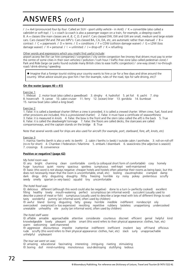/ J = 4x4 (pronounced *four by four*. Called an SUV - *sport utility vehicle* - in AmE) / K = convertible (also called a *cabriolet* or *soft top*) / L = coach (a coach is also a passenger wagon on a train, for example, a *sleeping coach*) 8. A = classes (the main classes are *A, B, C, D, E* and *F*. Cars classed DW, EW and GW are small, medium and large *estate* cars. Cars classed 5M and 7M are *MPV's*. Cars classed BA, CA, DA, etc, are *automatic* rather than *manual*) / B = contract / C = paperwork / D = terms / E = conditions / F = CDW (collision damage waiver) / G = LDW (loss damage waiver) / H = personal / I = unlimited / J = drop-off / K = refuelling

# Other words and expressions which you might find useful include:

airport access fee (for car hire companies) / congestion / city centre congestion fee (money that drivers must pay to enter the centre of some cities in their own vehicles) / pollution / rush hour / traffic-free zone (also called pedestrian zone) / Park and Ride (large car parks found outside many British cities to ease traffic congestion) / one-way street / no-through road / drink-driving / speeding

 Imagine that a foreign tourist visiting your country wants to hire a car for a few days and drive around the country. What advice would you give him / her (for example, rules of the road, tips for safe driving, etc)?

# **On the water (pages 40 + 41)**

# Exercise 1:

1. lifeboat 2. motor boat (also called a *speedboat*) 3. dinghy 4. hydrofoil 5. jet foil 6. yacht 7. ship 8. hovercraft 9. canoe 10. cabin cruiser 11. ferry 12. (ocean) liner 13. gondola 14. bumboat 15. narrow boat (also called a *long boat*)

# Exercise 2

1. False: it is called a *bareboat* charter (When a crew is provided, it is called a *crewed* charter. When crew, fuel, food and other provisions are included, this is a *provisioned* charter) 2. False: it must have a certificate of *seaworthiness* 3. False: it is measured in *knots* 4. False: the bow is the front and the stern (also called the *aft*) is the back 5. True 6. False: it is called the *deadweight* tonnage 7. False: the floors are called decks, the staircases are called companionways, and the captain stands on the bridge 8. True

Note that several words used for ships are also used for aircraft (for example, *port*, *starboard*, *fore*, *aft*, *knots*, etc)

# Exercise 3:

1. marina / berths (berth is also a verb: *to berth*) 2. cabin / berths (= beds) / outside cabin / portholes 3. roll-on-roll-off (*ro-ro* for short) 4. Chamber / Federation / Maritime 5. embark / disembark 6. seasickness (the adjective is *seasick*) 7. crossings 8. convenience

# **Positive or negative? (page 42)**

# *My hotel room was*:

☺: airy bright charming clean comfortable comfy (a colloquial short form of *comfortable*) cosy homely huge luxurious quiet roomy spacious spotless sumptuous well-kept well-maintained /: basic (this word is *not* always negative: cheaper hotels and hostels often advertise their rooms as being basic, but this does not necessarily mean that the room is uncomfortable, small, etc) boiling claustrophobic cramped damp dark dingy dirty disgusting draughty filthy freezing horrible icy noisy pokey pretentious scruffy seedy smelly spartan (= *very* basic) squalid tiny uncomfortable

# *The hotel food was*:

☺: delicious different (although this word could also be negative) done to a turn (= perfectly cooked) excellent filling healthy lovely mouth-watering perfect scrumptious (an informal word) succulent (usually used to describe a piece of meat or fish) sumptuous (usually used to describe a large meal with lots of different things to eat) tasty wonderful yummy (an informal word, often used by children)

/: awful bland boring disgusting fatty greasy horrible inedible indifferent nondescript oily overcooked overpriced (= too expensive) revolting repetitive rubbery tasteless unappetising undercooked uneatable unhealthy vile yucky (an informal word, often used by children)

# *The hotel staff were*:

☺: affable amiable approachable attentive considerate courteous discreet efficient genial helpful kind knowledgeable lovely pleasant polite smart (this word refers to their physical appearance: clothes, hair, etc) warm welcoming well-mannered

/: aggressive discourteous impolite inattentive indifferent inefficient insolent lazy off-hand officious rude scruffy (this word refers to their physical appearance: clothes, hair, etc) slack surly unapproachable unhelpful unpleasant

# *The tour we went on was*:

☺: amazing educational fascinating interesting intriguing riveting stimulating /: boring dull mind-numbing monotonous soul-destroying stultifying tedious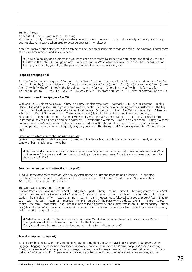*The beach was*:

☺: beautiful lovely picturesque stunning

/: crowded dirty heaving (= very crowded) overcrowded polluted rocky stony (*rocky* and *stony* are usually, but not always, negative when used to describe beaches) windswept

Note that many of the adjectives in this exercise can be used to describe more than one thing. For example, a hotel room can be well-maintained, and so can a beach.

 Think of a holiday or a business trip you have been on recently. Describe your hotel room, the food you ate and the staff in the hotel. Did you go on any trips or excursions? What were they like? Try to describe other aspects of the trip (for example, your flight, the people you met, the places you visited, etc)

# **Prepositions (page 43)**

1. from / to / at / on / during (or *in*) / at / on 2. by / from / to / on 3. at / at / from / through / in 4. into / in / for / in (or *at*) 5. on / by (or *at*) / outside (or *at*) / into (or *inside* or *around*) / for (or *on*) 6. at (or *in*) / by (or *near*) / from (or *to*) / to 7. with / with / of 8. to / with / for / since 9. with / for / to 10. to / in / in / at / with 11. for / to / for 12. for / in / of / to 13. as / like / like / like 14. on / for / in 15. from / on / of / in 16. over (or *around*) / on / to / in

# **Restaurants and bars (pages 44 + 45)**

Wok and Roll = Chinese takeaway Curry in a Hurry = Indian restaurant Wetback's = Tex-Mex restaurant Frank's Plaice = fish and chip shop (usually these are takeaway outlets, but some provide seating for their customers) The Big Munch = fast food restaurant (also called a fast food outlet) Souperman = diner Bar Celona = tapas bar Alhambra = bodega Wasabi-Go! = sushi bar Tastes = food court (also called a *hawker centre* in some countries, e.g., Singapore) The Red Lion = pub Mamma Mia's = pizzeria Pasta Master = trattoria Aux Trois Cloches = bistro Le Poisson d'Or = relais (it could also be a *brasserie*) Silverthorne's = carvery Rosie Lee's = tea room Jimmy's = snack bar (also called a *café* or *cafeteria*. Cafés which serve traditional British foods like English breakfasts, sausages and mashed potato, etc, are known colloquially as *greasy spoons*) The George and Dragon = gastropub Choo choo's = buffet

# Other words which you might find useful include:<br>canteen coffee shop deli(catessen) drive-th

drive-through (often a feature of fast food restaurants) family restaurant sandwich bar steakhouse wine bar

 Recommend some restaurants and bars in your town / city to a visitor. What sort of restaurants are they? What do they serve? Are there any dishes that you would particularly recommend? Are there any places that the visitor should avoid? Why?

# **Services, amenities and attractions (page 46)**

1. ATM (*automated teller machine*. We also say *cash machine* or use the trade name *Cashpoint*) 2. bus stop 3. botanic garden 4. port 5. internet café 6. guest house 7. Mosque 8. art gallery 9. police station 10. market 11. surgery 12. optician

# The words and expressions in the box are:

Cinema (*theater* or *movie theater* in AmE) art gallery park library casino airport shopping centre (*mall* in AmE) market amusement park (also called a *theme park*) stadium youth hostel nightclub police station bus stop station health club ATM restaurant port castle bank guest house (also called a *bed and breakfast* in Britain) zoo pub museum town hall mosque temple surgery (= the place where a doctor works) theatre sports centre taxi rank post office bar chemist (also called a *pharmacy*, and a *drugstore* in AmE) travel agency phone box (also called a *public phone* or *pay phone*) internet café optician botanic garden ice rink (also called a *skating rink*) dentist hospital beach

 What services and amenities are there in your town? What attractions are there for tourists to visit? Write a brief guide aimed at people visiting your town for the first time. Can you add any other services, amenities and attractions to the list in the box?

# **Travel equipment (page 47)**

1. suitcase (the general word for something we use to carry things in when travelling is *luggage* or *baggage*. Other luggage / baggage types include: *rucksack* or *backpack*; *holdall* (see number 4); *shoulder bag*; *suit carrier*; *tote bag*; *trunk*; *pilot case*; *briefcase*. People use *bum bags* or *money belts* to carry money and other small valuables.) 2. torch (called a *flashlight* in AmE) 3. penknife (also called a *pocket knife*. If the knife features other accessories, such as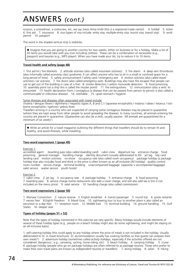scissors, a screwdriver, a corkscrew, etc, we say *Swiss Army knife* (this is a registered trade name)) 4. holdall 5. ticket 6. first aid 7. insurance 8. visa (types of visa include: *entry visa*; *multiple-entry visa*; *tourist visa*; *transit visa*) 9. work permit 10. passport

The word in the shaded vertical strip is *toiletries*.

 Imagine that you are going to another country for two weeks, either on business or for a holiday. Make a list of 20 items you would take with you (not including clothes). These can be a combination of *necessities* (e.g., passport) and *luxuries* (e.g., MP3 player). When you have made your list, try to reduce it to 10 items.

# **Travel health and safety (page 48)**

1. first aid kit / fire blankets 2. altitude sickness (also called *mountain sickness*) 3. fire alarm 4. deep vein thrombosis (also informally called *economy class syndrome*. It can affect anyone who has to sit in a small or confined space for a long period of time) 5. safety announcement / safety card / emergency exit 6. motion sickness (also called *travel sickness*) / air sickness 7. fire doors (also called *emergency exits*. Buildings may also have *fire escapes* that people can use to get out of the building in case of a fire) 8. smoke detectors / carbon monoxide detectors 9. food poisoning 10. assembly point (on a ship this is called the *muster point*) 11. fire extinguishers 12. immunization (also a verb: *to immunize*) 13. health declaration form / contagious (a disease that can be passed from person to person is also called a *communicable* or *infectious* disease) 14. notifiable 15. upset stomach / hygiene

# Some illnesses and diseases often associated with travel include:

cholera / dengue (fever) / diphtheria / hepatitis (types A, B and C) / Japanese encephalitis / malaria / rabies / tetanus / tickborne encephalitis / typhoid / yellow fever

Travellers arriving in a country who are suspected of carrying some contagious diseases may be placed *in quarantine* (where they are kept away from other people to avoid *spreading* the disease). In many countries, all animals entering the country are placed in quarantine. (*Quarantine* can also be a verb, usually passive: '*All animals are quarantined for a minimum of six weeks*')

 Write an article for a travel magazine outlining the different things that travellers should do to remain fit and healthy, and avoid illnesses, while travelling.

# **Two-word expressions 1 (page 49)**

# Exercise 1:

accredited agent boarding pass (also called *boarding card*) cabin crew departure tax entrance charge food poisoning general manager handling charge identity document (usually abbreviated to *ID*) jet lag key card landing card motion sickness no-show occupancy rate (also called *room occupancy*) package holiday (a package holiday that also includes food and drink in the price is often known as an *all-inclusive (AI)* holiday) quality control room number service charge terminal building unaccompanied baggage (opposite = *accompanied baggage*) valet service waiter service youth hostel

# Exercise 2:

1. cabin crew 2. jet lag 3. occupancy rate 4. package holiday 5. entrance charge 6. food poisoning 7. boarding pass 8. service charge (some restaurants also add a *cover charge*, and will also add *tax* is this is not included on the menu price) 9. valet service 10. handling charge (also called *commission*)

# **Two-word expressions 2 (page 50)**

1. Warsaw Convention 2. nature reserve 3. English breakfast 4. transit passenger 5. round trip 6. poste restante 7. excess fare 8.Eighth freedom 9. Mardi Gras 10. sightseeing tour (a tour to another place is also called an *excursion* or a *day trip*) 11. reception room 12. Middle East 13. terminal building 14. ground handling 15. Gulf States 16. sleeper seat

# **Types of holiday (pages 51 + 52)**

Note that the types of holiday mentioned in this exercise are very specific. Many holidays would include elements of several of these holiday types (e.g., people on a beach holiday might also do some sightseeing, and might be staying on an all-inclusive basis).

1. self-catering holiday (this could apply to *any* holiday where the price of meals is not included in the holiday. Usually abbreviated to SC in travel brochures. SC accommodation usually has cooking facilities so that guests can prepare their own meals\*) 2. adventure holiday (sometimes called *activity holidays*, especially if the activities offered are not considered 'dangerous', e.g., canoeing, cycling, horse-riding, etc) 3. beach holiday 4. camping holiday 5. cruise 6. package holiday (people who go on package holidays are often referred to as *package tourists*. Those who prefer to make their own travel plans are known as *independent tourists* or *travellers*) 7. skiing holiday 8. safari 9. hiking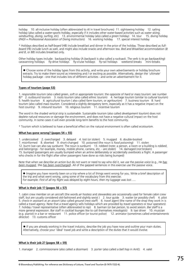holiday 10. all-inclusive holiday (often abbreviated to *AI* in travel brochures) 11. sightseeing holiday 12. sailing holiday (also called a *water-sports holiday*, especially if it includes other water-based activities such as *water skiing*, *windsurfing*, *diving*, *surfing*, etc) 13. environmental holiday (also called a *green* holiday) 14. tour 15. diving holiday (*PADI* = *Professional Association of Diving Instructors*) 16. working holiday 17. special interest holiday

\* Holidays described as *half-board* (HB) include breakfast and dinner in the price of the holiday. Those described as *fullboard* (FB) include lunch as well, and might also include snacks and afternoon tea. *Bed and Breakfast* accommodation (*B and B*, or *BB*) includes breakfast only.

Other holiday types include: backpacking holiday (A *backpack* is also called a *rucksack*. The verb is *to go backpacking*) caravanning holidays fly-drive holidays fly-cruise holidays fly-rail holidays weekend breaks mini-breaks

 Choose some of the holiday types from this activity, and write your own advertisements or holiday brochure extracts. Try to make them sound as interesting and / or exciting as possible. Alternatively, design the 'ultimate' holiday package - one that includes lots of different activities - and write an advertisement for it.

# **Types of tourism (page 53)**

1. responsible tourism (also called *green*, *soft* or *appropriate* tourism: the opposite of *hard* or *mass* tourism: see number 8)\* 2. outbound tourism 3. roots tourism (also called *ethnic* tourism) 4. heritage tourism (similar to *cultural* tourism) 5. health tourism 6. agricultural tourism ( also called *farm* tourism, or *agritourism*) 7. business tourism 8. hard tourism (also called *mass tourism*. Considered a slightly derogatory term, especially as it has a negative impact on the host country) 9. inbound tourism 10. religious tourism 11. incentive tourism

The word in the shaded vertical strip is *sustainable*. Sustainable tourism (also called *development tourism*) does not deplete natural resources or damage the environment, and does not have a negative cultural impact on the host community. In some cases it will even provide long-term benefits to the host community.

\* Tourism which is believed to have a beneficial effect on the natural environment is often called *ecotourism*.

# **What has gone wrong? (pages 54 + 55)**

1. undercooked 2. overcharged 3. delayed 4. lost (or stolen) 5. mugged 6. double-booked 7. misinformed 8. diverted 9. short-changed 10. poisoned (the noun is *food poisoning*) 11. stolen 12. burnt (we can also say *sunburnt*. The noun is *sunburn*) 13. robbed (note: a person, a room or a building is *robbed*, and belongings - for example, money, mobile phone, camera, etc. - are *stolen*) 14. damaged (*not* broken) 15. bumped (passengers are usually bumped when an airline deliberately or accidentally *overbooks* a flight. A passenger who checks in for the flight after other passengers have done so risks being bumped)

Note that when we describe an action but do not want or need to say who did it, we use the *passive voice* (e.g., *He has been mugged*, *She has been overcharged*). All of the gapped sentences in this exercise use the passive voice.

 Imagine you have recently been on a trip where a lot of things went wrong for you. Write a brief description of the trip and what went wrong, using some of the vocabulary from this exercise. For example: *First of all my flight was delayed by eight hours, then my luggage was lost*…..

# **What is their job 1? (pages 56 + 57)**

1. cabin crew member on an aircraft (the words *air hostess* and *stewardess* are occasionally used for female cabin crew staff, but are usually considered old-fashioned and slightly sexist ) 2. tour guide 3. waiter (or possibly chef) 4. pilot 5. check-in assistant at an airport (also called *ground crew staff*) 6. travel agent (the name of the shop they work in is called a travel *agency*. Note that a *travel agency* sells holidays which are provided by *travel operators* or *tour operators*) 7. holiday / travel representative (often abbreviated to *rep*) 8. barman (or *bar person*, to avoid sexism. *Bar staff* is a more general expression. Bar staff in *cocktail lounges* like to call themselves *mixologists*) 9. taxi driver 10. musician (e.g. pianist) in a bar or restaurant 11. police officer (or tourist police) 12. animator (sometimes called *entertainments director*) 13. customs officer

 If you are already working in the travel industry, describe the job you have now and outline your main duties. Alternatively, choose your 'ideal' travel job and write a description of the duties that it would involve.

# **What is their job 2? (pages 58 + 59)**

1. manager 2. commissionaire (also called a *doorman*) 3. porter (also called a *bell hop* in AmE) 4. valet